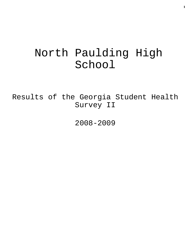# North Paulding High School

Results of the Georgia Student Health Survey II

2008-2009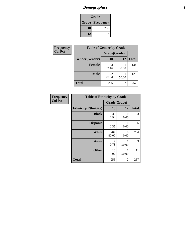# *Demographics* **2**

| Grade                  |     |  |  |  |
|------------------------|-----|--|--|--|
| <b>Grade Frequency</b> |     |  |  |  |
| 10                     | 255 |  |  |  |
| 12                     |     |  |  |  |

| <b>Frequency</b> | <b>Table of Gender by Grade</b> |              |       |              |  |
|------------------|---------------------------------|--------------|-------|--------------|--|
| <b>Col Pct</b>   |                                 | Grade(Grade) |       |              |  |
|                  | Gender(Gender)                  | <b>10</b>    | 12    | <b>Total</b> |  |
|                  | <b>Female</b>                   | 133<br>52.16 | 50.00 | 134          |  |
|                  | <b>Male</b>                     | 122<br>47.84 | 50.00 | 123          |  |
|                  | <b>Total</b>                    | 255          | 2     | 257          |  |

| <b>Frequency</b> |  |
|------------------|--|
| <b>Col Pct</b>   |  |

| <b>Table of Ethnicity by Grade</b> |              |            |              |  |  |
|------------------------------------|--------------|------------|--------------|--|--|
|                                    | Grade(Grade) |            |              |  |  |
| <b>Ethnicity</b> (Ethnicity)       | 10           | 12         | <b>Total</b> |  |  |
| <b>Black</b>                       | 33<br>12.94  | 0<br>0.00  | 33           |  |  |
| <b>Hispanic</b>                    | 6<br>2.35    | 0<br>0.00  | 6            |  |  |
| White                              | 204<br>80.00 | 0<br>0.00  | 204          |  |  |
| <b>Asian</b>                       | 2<br>0.78    | 1<br>50.00 | 3            |  |  |
| <b>Other</b>                       | 10<br>3.92   | 1<br>50.00 | 11           |  |  |
| <b>Total</b>                       | 255          | 2          | 257          |  |  |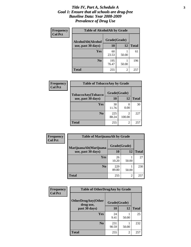#### *Title IV, Part A, Schedule A* **3** *Goal 1: Ensure that all schools are drug-free Baseline Data: Year 2008-2009 Prevalence of Drug Use*

| Frequency<br><b>Col Pct</b> | <b>Table of AlcoholAlt by Grade</b> |              |       |              |  |
|-----------------------------|-------------------------------------|--------------|-------|--------------|--|
|                             | AlcoholAlt(Alcohol                  | Grade(Grade) |       |              |  |
|                             | use, past 30 days)                  | <b>10</b>    | 12    | <b>Total</b> |  |
|                             | Yes                                 | 60<br>23.53  | 50.00 | 61           |  |
|                             | N <sub>0</sub>                      | 195<br>76.47 | 50.00 | 196          |  |
|                             | Total                               | 255          | 2     | 257          |  |

| Frequency      | <b>Table of TobaccoAny by Grade</b> |              |                          |              |  |
|----------------|-------------------------------------|--------------|--------------------------|--------------|--|
| <b>Col Pct</b> | <b>TobaccoAny(Tobacco</b>           | Grade(Grade) |                          |              |  |
|                | use, past 30 days)                  | <b>10</b>    | 12                       | <b>Total</b> |  |
|                | Yes                                 | 30<br>11.76  | 0<br>0.00                | 30           |  |
|                | N <sub>0</sub>                      | 225<br>88.24 | $\mathfrak{D}$<br>100.00 | 227          |  |
|                | <b>Total</b>                        | 255          | 2                        | 257          |  |

| Frequency<br><b>Col Pct</b> | <b>Table of MarijuanaAlt by Grade</b> |              |                |              |  |
|-----------------------------|---------------------------------------|--------------|----------------|--------------|--|
|                             | MarijuanaAlt(Marijuana                | Grade(Grade) |                |              |  |
|                             | use, past 30 days)                    | <b>10</b>    | 12             | <b>Total</b> |  |
|                             | <b>Yes</b>                            | 26<br>10.20  | 50.00          | 27           |  |
|                             | N <sub>0</sub>                        | 229<br>89.80 | 50.00          | 230          |  |
|                             | <b>Total</b>                          | 255          | $\overline{2}$ | 257          |  |

| <b>Frequency</b><br><b>Col Pct</b> | <b>Table of OtherDrugAny by Grade</b>                  |              |       |              |  |
|------------------------------------|--------------------------------------------------------|--------------|-------|--------------|--|
|                                    | <b>OtherDrugAny(Other</b><br>Grade(Grade)<br>drug use, |              |       |              |  |
|                                    | past 30 days)                                          | 10           | 12    | <b>Total</b> |  |
|                                    | Yes                                                    | 24<br>9.41   | 50.00 | 25           |  |
|                                    | N <sub>0</sub>                                         | 231<br>90.59 | 50.00 | 232          |  |
|                                    | <b>Total</b>                                           | 255          | 2     | 257          |  |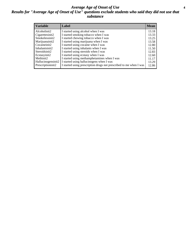#### *Average Age of Onset of Use* **4** *Results for "Average Age of Onset of Use" questions exclude students who said they did not use that substance*

| <b>Variable</b>    | Label                                                              | <b>Mean</b> |
|--------------------|--------------------------------------------------------------------|-------------|
| Alcoholinit2       | I started using alcohol when I was                                 | 13.18       |
| Cigarettesinit2    | I started smoking tobacco when I was                               | 13.33       |
| Smokelessinit2     | I started chewing tobacco when I was                               | 13.25       |
| Marijuanainit2     | I started using marijuana when I was                               | 13.58       |
| Cocaineinit2       | I started using cocaine when I was                                 | 12.80       |
| Inhalantsinit2     | I started using inhalants when I was                               | 11.50       |
| Steroidsinit2      | I started using steroids when I was                                | 12.83       |
| Ecstasyinit2       | I started using ecstasy when I was                                 | 12.60       |
| Methinit2          | I started using methamphetamines when I was                        | 11.17       |
| Hallucinogensinit2 | I started using hallucinogens when I was                           | 13.29       |
| Prescriptioninit2  | I started using prescription drugs not prescribed to me when I was | 12.86       |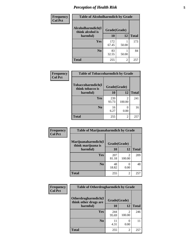# *Perception of Health Risk* **5**

| Frequency      | <b>Table of Alcoholharmdich by Grade</b> |              |                          |              |  |
|----------------|------------------------------------------|--------------|--------------------------|--------------|--|
| <b>Col Pct</b> | Alcoholharmdich(I<br>think alcohol is    | Grade(Grade) |                          |              |  |
|                | harmful)                                 | 10           | 12                       | <b>Total</b> |  |
|                | <b>Yes</b>                               | 172<br>67.45 | 50.00                    | 173          |  |
|                | N <sub>0</sub>                           | 83<br>32.55  | 50.00                    | 84           |  |
|                | <b>Total</b>                             | 255          | $\overline{\mathcal{L}}$ | 257          |  |

| <b>Frequency</b> | <b>Table of Tobaccoharmdich by Grade</b> |              |                                       |              |
|------------------|------------------------------------------|--------------|---------------------------------------|--------------|
| <b>Col Pct</b>   | Tobaccoharmdich(I<br>think tobacco is    | Grade(Grade) |                                       |              |
|                  | harmful)                                 | 10           | 12                                    | <b>Total</b> |
|                  | Yes                                      | 239<br>93.73 | $\mathcal{D}_{\mathcal{L}}$<br>100.00 | 241          |
|                  | N <sub>0</sub>                           | 16<br>6.27   | $\mathcal{O}$<br>0.00                 | 16           |
|                  | <b>Total</b>                             | 255          | $\overline{c}$                        | 257          |

| Frequency      | <b>Table of Marijuanaharmdich by Grade</b>                |              |                          |              |  |  |
|----------------|-----------------------------------------------------------|--------------|--------------------------|--------------|--|--|
| <b>Col Pct</b> | Marijuanaharmdich(I<br>Grade(Grade)<br>think marijuana is |              |                          |              |  |  |
|                | harmful)                                                  | 10           | 12                       | <b>Total</b> |  |  |
|                | <b>Yes</b>                                                | 207<br>81.18 | $\mathfrak{D}$<br>100.00 | 209          |  |  |
|                | N <sub>0</sub>                                            | 48<br>18.82  | 0.00                     | 48           |  |  |
|                | <b>Total</b>                                              | 255          | $\overline{c}$           | 257          |  |  |

| Frequency      | <b>Table of Otherdrugharmdich by Grade</b>   |              |                |              |  |  |  |
|----------------|----------------------------------------------|--------------|----------------|--------------|--|--|--|
| <b>Col Pct</b> | Otherdrugharmdich(I<br>think other drugs are | Grade(Grade) |                |              |  |  |  |
|                | harmful)                                     | 10           | 12             | <b>Total</b> |  |  |  |
|                | <b>Yes</b>                                   | 244<br>95.69 | 2<br>100.00    | 246          |  |  |  |
|                | N <sub>0</sub>                               | 11<br>4.31   | 0.00           | 11           |  |  |  |
|                | <b>Total</b>                                 | 255          | $\overline{2}$ | 257          |  |  |  |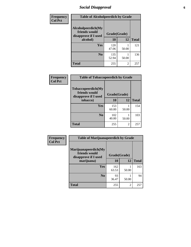# *Social Disapproval* **6**

| <b>Frequency</b> | <b>Table of Alcoholpeerdich by Grade</b>                    |              |       |              |
|------------------|-------------------------------------------------------------|--------------|-------|--------------|
| <b>Col Pct</b>   | Alcoholpeerdich(My<br>friends would<br>disapprove if I used | Grade(Grade) |       |              |
|                  | alcohol)                                                    | 10           | 12    | <b>Total</b> |
|                  | <b>Yes</b>                                                  | 120<br>47.06 | 50.00 | 121          |
|                  | N <sub>0</sub>                                              | 135<br>52.94 | 50.00 | 136          |
|                  | <b>Total</b>                                                | 255          | 2     | 257          |

| <b>Frequency</b> |
|------------------|
| <b>Col Pct</b>   |

| <b>Table of Tobaccopeerdich by Grade</b>                    |              |              |              |  |  |
|-------------------------------------------------------------|--------------|--------------|--------------|--|--|
| Tobaccopeerdich(My<br>friends would<br>disapprove if I used |              | Grade(Grade) |              |  |  |
| tobacco)                                                    | 10           | 12           | <b>Total</b> |  |  |
| Yes                                                         | 153<br>60.00 | 50.00        | 154          |  |  |
| N <sub>0</sub>                                              | 102<br>40.00 | 50.00        | 103          |  |  |
| <b>Total</b>                                                | 255          | 2            | 257          |  |  |

| <b>Frequency</b> | <b>Table of Marijuanapeerdich by Grade</b>                                                                                  |              |       |              |  |  |
|------------------|-----------------------------------------------------------------------------------------------------------------------------|--------------|-------|--------------|--|--|
| <b>Col Pct</b>   | Marijuanapeerdich(My<br>friends would<br>disapprove if I used<br>marijuana)<br><b>Yes</b><br>N <sub>0</sub><br><b>Total</b> | Grade(Grade) |       |              |  |  |
|                  |                                                                                                                             | 10           | 12    | <b>Total</b> |  |  |
|                  |                                                                                                                             | 162<br>63.53 | 50.00 | 163          |  |  |
|                  |                                                                                                                             | 93<br>36.47  | 50.00 | 94           |  |  |
|                  |                                                                                                                             | 255          | 2     | 257          |  |  |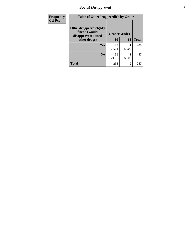# *Social Disapproval* **7**

| Frequency      | <b>Table of Otherdrugpeerdich by Grade</b>                    |              |                |              |  |  |  |
|----------------|---------------------------------------------------------------|--------------|----------------|--------------|--|--|--|
| <b>Col Pct</b> | Otherdrugpeerdich(My<br>friends would<br>disapprove if I used | Grade(Grade) |                |              |  |  |  |
|                | other drugs)                                                  | 10           | 12             | <b>Total</b> |  |  |  |
|                | Yes                                                           | 199<br>78.04 | 50.00          | 200          |  |  |  |
|                | N <sub>0</sub>                                                | 56<br>21.96  | 50.00          | 57           |  |  |  |
|                | <b>Total</b>                                                  | 255          | $\overline{2}$ | 257          |  |  |  |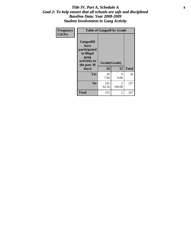#### Title IV, Part A, Schedule A **8** *Goal 2: To help ensure that all schools are safe and disciplined Baseline Data: Year 2008-2009 Student Involvement in Gang Activity*

| Frequency      |                                                                                                   | <b>Table of Gangself by Grade</b> |                  |              |
|----------------|---------------------------------------------------------------------------------------------------|-----------------------------------|------------------|--------------|
| <b>Col Pct</b> | Gangself(I<br>have<br>participated<br>in illegal<br>gang<br>activities in<br>the past 30<br>days) | Grade(Grade)<br>10                | 12               | <b>Total</b> |
|                | Yes                                                                                               | 20<br>7.84                        | $\theta$<br>0.00 | 20           |
|                | N <sub>0</sub>                                                                                    | 235<br>92.16                      | 2<br>100.00      | 237          |
|                | <b>Total</b>                                                                                      | 255                               | 2                | 257          |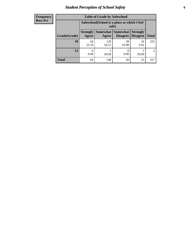# *Student Perception of School Safety* **9**

| <b>Frequency</b><br>Row Pct |
|-----------------------------|
|                             |

| <b>Table of Grade by Safeschool</b> |                          |                                                        |                      |                                    |                |  |
|-------------------------------------|--------------------------|--------------------------------------------------------|----------------------|------------------------------------|----------------|--|
|                                     |                          | Safeschool (School is a place at which I feel<br>safe) |                      |                                    |                |  |
| Grade(Grade)                        | <b>Strongly</b><br>Agree | Somewhat  <br>Agree                                    | Somewhat<br>Disagree | <b>Strongly</b><br><b>Disagree</b> | <b>Total</b>   |  |
| 10                                  | 64<br>25.10              | 139<br>54.51                                           | 28<br>10.98          | 24<br>9.41                         | 255            |  |
| 12                                  | 0.00                     | 50.00                                                  | 0<br>0.00            | 50.00                              | $\overline{2}$ |  |
| <b>Total</b>                        | 64                       | 140                                                    | 28                   | 25                                 | 257            |  |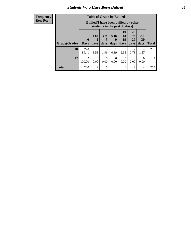### *Students Who Have Been Bullied* **10**

#### **Frequency Row Pct**

| <b>Table of Grade by Bullied</b> |                          |                                                                               |                              |                          |                               |                        |                       |              |
|----------------------------------|--------------------------|-------------------------------------------------------------------------------|------------------------------|--------------------------|-------------------------------|------------------------|-----------------------|--------------|
|                                  |                          | <b>Bullied</b> (I have been bullied by other<br>students in the past 30 days) |                              |                          |                               |                        |                       |              |
| Grade(Grade)                     | $\bf{0}$<br><b>Days</b>  | 1 or<br>days                                                                  | 3 <sub>to</sub><br>5<br>days | <b>6 to</b><br>9<br>days | <b>10</b><br>to<br>19<br>days | 20<br>to<br>29<br>days | All<br>30<br>days     | <b>Total</b> |
| 10                               | 228<br>89.41             | $\mathbf Q$<br>3.53                                                           | 5<br>1.96                    | 0.39                     | 6<br>2.35                     | $\overline{2}$<br>0.78 | 4<br>1.57             | 255          |
| 12                               | $\overline{2}$<br>100.00 | 0<br>0.00                                                                     | 0<br>0.00                    | $\Omega$<br>0.00         | 0<br>0.00                     | $\Omega$<br>0.00       | $\mathcal{O}$<br>0.00 | 2            |
| <b>Total</b>                     | 230                      | 9                                                                             | 5                            |                          | 6                             | 2                      | 4                     | 257          |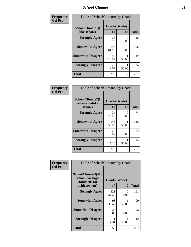#### *School Climate* **11**

| Frequency      | <b>Table of SchoolClimate1 by Grade</b> |                    |                  |              |  |  |
|----------------|-----------------------------------------|--------------------|------------------|--------------|--|--|
| <b>Col Pct</b> | SchoolClimate1(I<br>like school)        | Grade(Grade)<br>10 | 12               | <b>Total</b> |  |  |
|                | <b>Strongly Agree</b>                   | 28<br>10.98        | 0.00             | 28           |  |  |
|                | <b>Somewhat Agree</b>                   | 156<br>61.18       | $\Omega$<br>0.00 | 156          |  |  |
|                | <b>Somewhat Disagree</b>                | 48<br>18.82        | 50.00            | 49           |  |  |
|                | <b>Strongly Disagree</b>                | 23<br>9.02         | 50.00            | 24           |  |  |
|                | <b>Total</b>                            | 255                | $\overline{2}$   | 257          |  |  |

| Frequency<br>Col Pct |  |
|----------------------|--|

| <b>Table of SchoolClimate2 by Grade</b>           |                    |                           |              |  |  |
|---------------------------------------------------|--------------------|---------------------------|--------------|--|--|
| SchoolClimate2(I<br>feel successful at<br>school) | Grade(Grade)<br>10 | 12                        | <b>Total</b> |  |  |
| <b>Strongly Agree</b>                             | 74<br>29.02        | $\mathbf{\Omega}$<br>0.00 | 74           |  |  |
| <b>Somewhat Agree</b>                             | 145<br>56.86       | 50.00                     | 146          |  |  |
| <b>Somewhat Disagree</b>                          | 23<br>9.02         | 0.00                      | 23           |  |  |
| <b>Strongly Disagree</b>                          | 13<br>5.10         | 50.00                     | 14           |  |  |
| Total                                             | 255                | 2                         | 257          |  |  |

| Frequency      | <b>Table of SchoolClimate3 by Grade</b>                      |              |                           |              |
|----------------|--------------------------------------------------------------|--------------|---------------------------|--------------|
| <b>Col Pct</b> | <b>SchoolClimate3(My</b><br>school has high<br>standards for | Grade(Grade) |                           |              |
|                | achievement)                                                 | 10           | 12                        | <b>Total</b> |
|                | <b>Strongly Agree</b>                                        | 121<br>47.45 | $\mathbf{\Omega}$<br>0.00 | 121          |
|                | <b>Somewhat Agree</b>                                        | 98<br>38.43  | 50.00                     | 99           |
|                | <b>Somewhat Disagree</b>                                     | 25<br>9.80   | ∩<br>0.00                 | 25           |
|                | <b>Strongly Disagree</b>                                     | 11<br>4.31   | 50.00                     | 12           |
|                | Total                                                        | 255          | 2                         | 257          |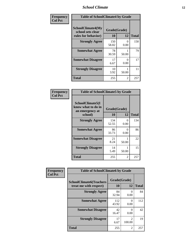#### *School Climate* **12**

| Frequency      |                                                                      | <b>Table of SchoolClimate4 by Grade</b> |                           |              |  |
|----------------|----------------------------------------------------------------------|-----------------------------------------|---------------------------|--------------|--|
| <b>Col Pct</b> | <b>SchoolClimate4(My</b><br>school sets clear<br>rules for behavior) | Grade(Grade)<br>10                      | 12                        | <b>Total</b> |  |
|                | <b>Strongly Agree</b>                                                | 150<br>58.82                            | $\theta$<br>0.00          | 150          |  |
|                | <b>Somewhat Agree</b>                                                | 78<br>30.59                             | 50.00                     | 79           |  |
|                | <b>Somewhat Disagree</b>                                             | 17<br>6.67                              | $\mathbf{\Omega}$<br>0.00 | 17           |  |
|                | <b>Strongly Disagree</b>                                             | 10<br>3.92                              | 50.00                     | 11           |  |
|                | <b>Total</b>                                                         | 255                                     | 2                         | 257          |  |

| <b>Table of SchoolClimate5 by Grade</b>                   |              |           |              |  |  |
|-----------------------------------------------------------|--------------|-----------|--------------|--|--|
| SchoolClimate5(I<br>know what to do in<br>an emergency at | Grade(Grade) |           |              |  |  |
| school)                                                   | 10           | 12        | <b>Total</b> |  |  |
| <b>Strongly Agree</b>                                     | 134<br>52.55 | 0<br>0.00 | 134          |  |  |
| <b>Somewhat Agree</b>                                     | 86<br>33.73  | 0<br>0.00 | 86           |  |  |
| <b>Somewhat Disagree</b>                                  | 21<br>8.24   | 50.00     | 22           |  |  |
| <b>Strongly Disagree</b>                                  | 14<br>5.49   | 50.00     | 15           |  |  |
| <b>Total</b>                                              | 255          | 2         | 257          |  |  |

| Frequency      | <b>Table of SchoolClimate6 by Grade</b>                  |                           |                                       |              |
|----------------|----------------------------------------------------------|---------------------------|---------------------------------------|--------------|
| <b>Col Pct</b> | <b>SchoolClimate6(Teachers</b><br>treat me with respect) | Grade(Grade)<br><b>10</b> | 12                                    | <b>Total</b> |
|                | <b>Strongly Agree</b>                                    | 84<br>32.94               | 0<br>0.00                             | 84           |
|                | <b>Somewhat Agree</b>                                    | 112<br>43.92              | 0.00                                  | 112          |
|                | <b>Somewhat Disagree</b>                                 | 42<br>16.47               | 0<br>0.00                             | 42           |
|                | <b>Strongly Disagree</b>                                 | 17<br>6.67                | $\mathcal{D}_{\mathcal{L}}$<br>100.00 | 19           |
|                | <b>Total</b>                                             | 255                       | $\overline{2}$                        | 257          |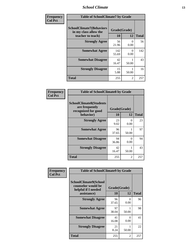#### *School Climate* **13**

| Frequency      |                                                                               | <b>Table of SchoolClimate7 by Grade</b> |                |              |  |
|----------------|-------------------------------------------------------------------------------|-----------------------------------------|----------------|--------------|--|
| <b>Col Pct</b> | <b>SchoolClimate7(Behaviors</b><br>in my class allow the<br>teacher to teach) | Grade(Grade)<br><b>10</b>               | 12             | <b>Total</b> |  |
|                | <b>Strongly Agree</b>                                                         | 56<br>21.96                             | 0<br>0.00      | 56           |  |
|                | <b>Somewhat Agree</b>                                                         | 142<br>55.69                            | 0<br>0.00      | 142          |  |
|                | <b>Somewhat Disagree</b>                                                      | 42<br>16.47                             | 50.00          | 43           |  |
|                | <b>Strongly Disagree</b>                                                      | 15<br>5.88                              | 50.00          | 16           |  |
|                | <b>Total</b>                                                                  | 255                                     | $\mathfrak{D}$ | 257          |  |

| Frequency      | <b>Table of SchoolClimate8 by Grade</b>                                 |              |           |              |
|----------------|-------------------------------------------------------------------------|--------------|-----------|--------------|
| <b>Col Pct</b> | <b>SchoolClimate8(Students</b><br>are frequently<br>recognized for good | Grade(Grade) |           |              |
|                | behavior)                                                               | 10           | 12        | <b>Total</b> |
|                | <b>Strongly Agree</b>                                                   | 23<br>9.02   | 0<br>0.00 | 23           |
|                | <b>Somewhat Agree</b>                                                   | 96<br>37.65  | 50.00     | 97           |
|                | <b>Somewhat Disagree</b>                                                | 94<br>36.86  | 0<br>0.00 | 94           |
|                | <b>Strongly Disagree</b>                                                | 42<br>16.47  | 50.00     | 43           |
|                | <b>Total</b>                                                            | 255          | 2         | 257          |

| <b>Frequency</b> | <b>Table of SchoolClimate9 by Grade</b>                                           |                    |                |              |
|------------------|-----------------------------------------------------------------------------------|--------------------|----------------|--------------|
| <b>Col Pct</b>   | SchoolClimate9(School<br>counselor would be<br>helpful if I needed<br>assistance) | Grade(Grade)<br>10 | 12             | <b>Total</b> |
|                  | <b>Strongly Agree</b>                                                             | 96<br>37.65        | 0<br>0.00      | 96           |
|                  | <b>Somewhat Agree</b>                                                             | 97<br>38.04        | 50.00          | 98           |
|                  | <b>Somewhat Disagree</b>                                                          | 41<br>16.08        | ∩<br>0.00      | 41           |
|                  | <b>Strongly Disagree</b>                                                          | 21<br>8.24         | 50.00          | 22           |
|                  | <b>Total</b>                                                                      | 255                | $\overline{2}$ | 257          |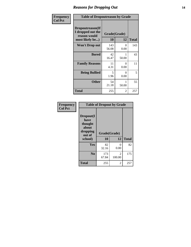### *Reasons for Dropping Out* **14**

| <b>Frequency</b> | <b>Table of Dropoutreason by Grade</b>                                   |                    |           |              |
|------------------|--------------------------------------------------------------------------|--------------------|-----------|--------------|
| <b>Col Pct</b>   | Dropoutreason(If<br>I dropped out the<br>reason would<br>most likely be) | Grade(Grade)<br>10 | 12        | <b>Total</b> |
|                  | <b>Won't Drop out</b>                                                    | 143<br>56.08       | 0<br>0.00 | 143          |
|                  | <b>Bored</b>                                                             | 42<br>16.47        | 50.00     | 43           |
|                  | <b>Family Reasons</b>                                                    | 11<br>4.31         | 0<br>0.00 | 11           |
|                  | <b>Being Bullied</b>                                                     | 5<br>1.96          | 0<br>0.00 | 5            |
|                  | <b>Other</b>                                                             | 54<br>21.18        | 50.00     | 55           |
|                  | <b>Total</b>                                                             | 255                | 2         | 257          |

| Frequency      | <b>Table of Dropout by Grade</b>                                       |                    |                           |     |
|----------------|------------------------------------------------------------------------|--------------------|---------------------------|-----|
| <b>Col Pct</b> | Dropout(I<br>have<br>thought<br>about<br>dropping<br>out of<br>school) | Grade(Grade)<br>10 | <b>Total</b>              |     |
|                | Yes                                                                    | 82<br>32.16        | $\mathbf{\Omega}$<br>0.00 | 82  |
|                | N <sub>0</sub>                                                         | 173<br>67.84       | $\mathfrak{D}$<br>100.00  | 175 |
|                | <b>Total</b>                                                           | 255                | $\overline{2}$            | 257 |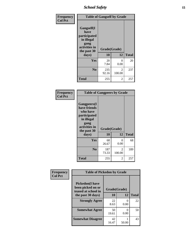*School Safety* **15**

| Frequency      | <b>Table of Gangself by Grade</b>                                                                 |                          |             |              |
|----------------|---------------------------------------------------------------------------------------------------|--------------------------|-------------|--------------|
| <b>Col Pct</b> | Gangself(I<br>have<br>participated<br>in illegal<br>gang<br>activities in<br>the past 30<br>days) | Grade(Grade)<br>10<br>12 |             | <b>Total</b> |
|                | Yes                                                                                               | 20<br>7.84               | 0<br>0.00   | 20           |
|                | N <sub>0</sub>                                                                                    | 235<br>92.16             | 2<br>100.00 | 237          |
|                | <b>Total</b>                                                                                      | 255                      | 2           | 257          |

| Frequency<br><b>Col Pct</b> | <b>Table of Gangpeers by Grade</b>                                                                                             |                    |             |              |
|-----------------------------|--------------------------------------------------------------------------------------------------------------------------------|--------------------|-------------|--------------|
|                             | <b>Gangpeers</b> (I<br>have friends<br>who have<br>participated<br>in illegal<br>gang<br>activities in<br>the past 30<br>days) | Grade(Grade)<br>10 | 12          | <b>Total</b> |
|                             | <b>Yes</b>                                                                                                                     | 68<br>26.67        | 0<br>0.00   | 68           |
|                             | N <sub>0</sub>                                                                                                                 | 187<br>73.33       | 2<br>100.00 | 189          |
|                             | <b>Total</b>                                                                                                                   | 255                | 2           | 257          |

| Frequency      | <b>Table of Pickedon by Grade</b>                                                        |                    |           |              |  |  |  |  |  |
|----------------|------------------------------------------------------------------------------------------|--------------------|-----------|--------------|--|--|--|--|--|
| <b>Col Pct</b> | <b>Pickedon</b> (I have<br>been picked on or<br>teased at school in<br>the past 30 days) | Grade(Grade)<br>10 | 12        | <b>Total</b> |  |  |  |  |  |
|                | <b>Strongly Agree</b>                                                                    | 22<br>8.63         | 0<br>0.00 | 22           |  |  |  |  |  |
|                | <b>Somewhat Agree</b>                                                                    | 50<br>19.61        | 0<br>0.00 | 50           |  |  |  |  |  |
|                | <b>Somewhat Disagree</b>                                                                 | 42<br>16.47        | 50.00     | 43           |  |  |  |  |  |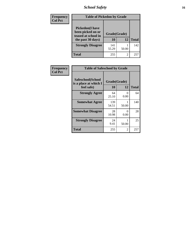*School Safety* **16**

| <b>Frequency</b> |                                                                                          | <b>Table of Pickedon by Grade</b> |                |     |  |  |  |  |  |  |
|------------------|------------------------------------------------------------------------------------------|-----------------------------------|----------------|-----|--|--|--|--|--|--|
| <b>Col Pct</b>   | <b>Pickedon</b> (I have<br>been picked on or<br>teased at school in<br>the past 30 days) | Grade(Grade)<br>10                | <b>Total</b>   |     |  |  |  |  |  |  |
|                  | <b>Strongly Disagree</b>                                                                 | 141<br>55.29                      | 50.00          | 142 |  |  |  |  |  |  |
|                  | <b>Total</b>                                                                             | 255                               | $\mathfrak{D}$ | 25' |  |  |  |  |  |  |

| Frequency      |                                                          | <b>Table of Safeschool by Grade</b> |                  |              |  |  |  |  |  |  |  |
|----------------|----------------------------------------------------------|-------------------------------------|------------------|--------------|--|--|--|--|--|--|--|
| <b>Col Pct</b> | Safeschool(School<br>is a place at which I<br>feel safe) | Grade(Grade)<br>10                  | 12               | <b>Total</b> |  |  |  |  |  |  |  |
|                | <b>Strongly Agree</b>                                    | 64<br>25.10                         | 0<br>0.00        | 64           |  |  |  |  |  |  |  |
|                | <b>Somewhat Agree</b>                                    | 139<br>54.51                        | 50.00            | 140          |  |  |  |  |  |  |  |
|                | <b>Somewhat Disagree</b>                                 | 28<br>10.98                         | $\Omega$<br>0.00 | 28           |  |  |  |  |  |  |  |
|                | <b>Strongly Disagree</b>                                 | 24<br>9.41                          | 50.00            | 25           |  |  |  |  |  |  |  |
|                | <b>Total</b>                                             | 255                                 | 2                | 257          |  |  |  |  |  |  |  |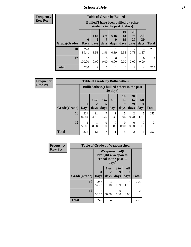*School Safety* **17**

**Frequency Row Pct**

| <b>Table of Grade by Bullied</b> |                                 |                                                                               |                              |                          |                               |                        |                          |              |  |  |
|----------------------------------|---------------------------------|-------------------------------------------------------------------------------|------------------------------|--------------------------|-------------------------------|------------------------|--------------------------|--------------|--|--|
|                                  |                                 | <b>Bullied</b> (I have been bullied by other<br>students in the past 30 days) |                              |                          |                               |                        |                          |              |  |  |
| Grade(Grade)                     | $\boldsymbol{0}$<br><b>Days</b> | 1 or<br>days                                                                  | 3 <sub>to</sub><br>5<br>days | <b>6 to</b><br>9<br>days | <b>10</b><br>to<br>19<br>days | 20<br>to<br>29<br>days | <b>All</b><br>30<br>days | <b>Total</b> |  |  |
| 10                               | 228<br>89.41                    | 9<br>3.53                                                                     | 5<br>1.96                    | 0.39                     | 6<br>2.35                     | 2<br>0.78              | 4<br>1.57                | 255          |  |  |
| 12                               | $\overline{2}$<br>100.00        | 0<br>0.00                                                                     | 0<br>0.00                    | 0<br>0.00                | 0<br>0.00                     | $\Omega$<br>0.00       | 0<br>0.00                | 2            |  |  |
| <b>Total</b>                     | 230                             | 9                                                                             | 5                            | 1                        | 6                             | $\overline{2}$         | 4                        | 257          |  |  |

**Frequency Row Pct**

| <b>Table of Grade by Bulliedothers</b> |                                                                |            |                  |           |                       |                       |           |                     |  |  |
|----------------------------------------|----------------------------------------------------------------|------------|------------------|-----------|-----------------------|-----------------------|-----------|---------------------|--|--|
|                                        | <b>Bulliedothers</b> (I bullied others in the past<br>30 days) |            |                  |           |                       |                       |           |                     |  |  |
|                                        | $\mathbf{0}$                                                   | 1 or       | 3 to<br>5        | 6 to<br>9 | <b>10</b><br>to<br>19 | <b>20</b><br>to<br>29 | All<br>30 |                     |  |  |
| Grade(Grade)<br>10                     | <b>Days</b><br>224                                             | days<br>11 | days<br>7        | days      | days<br>5             | days<br>2             | days<br>5 | <b>Total</b><br>255 |  |  |
|                                        | 87.84                                                          | 4.31       | 2.75             | 0.39      | 1.96                  | 0.78                  | 1.96      |                     |  |  |
| 12                                     | 50.00                                                          | 50.00      | $\Omega$<br>0.00 | 0<br>0.00 | $\Omega$<br>0.00      | $\Omega$<br>0.00      | 0<br>0.00 | $\overline{2}$      |  |  |
| <b>Total</b>                           | 225                                                            | 12         | 7                |           | 5                     | $\overline{2}$        | 5         | 257                 |  |  |

| Frequency      | <b>Table of Grade by Weaponschool</b> |                                                                        |              |                          |                   |              |  |  |  |
|----------------|---------------------------------------|------------------------------------------------------------------------|--------------|--------------------------|-------------------|--------------|--|--|--|
| <b>Row Pct</b> |                                       | <b>Weaponschool</b> (I<br>brought a weapon to<br>school in the past 30 |              |                          |                   |              |  |  |  |
|                | Grade(Grade)                          | $\bf{0}$<br><b>Days</b>                                                | 1 or<br>days | <b>6 to</b><br>9<br>days | All<br>30<br>days | <b>Total</b> |  |  |  |
|                | 10                                    | 248<br>97.25                                                           | 3<br>1.18    | 0.39                     | 3<br>1.18         | 255          |  |  |  |
|                | 12                                    | 50.00                                                                  | 50.00        | $\theta$<br>0.00         | $\Omega$<br>0.00  | 2            |  |  |  |
|                | <b>Total</b>                          | 249                                                                    | 4            |                          | 3                 | 257          |  |  |  |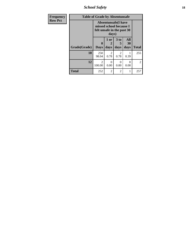*School Safety* **18**

| <b>Frequency</b> | <b>Table of Grade by Absentunsafe</b> |                          |                                                                                              |                        |           |                |  |  |
|------------------|---------------------------------------|--------------------------|----------------------------------------------------------------------------------------------|------------------------|-----------|----------------|--|--|
| <b>Row Pct</b>   |                                       |                          | <b>Absentunsafe(I have</b><br>missed school because I<br>felt unsafe in the past 30<br>days) |                        |           |                |  |  |
|                  |                                       | $\bf{0}$                 | 1 or<br>2                                                                                    | 3 <sub>to</sub><br>5   | All<br>30 |                |  |  |
|                  | Grade(Grade)                          | <b>Days</b>              | days                                                                                         | days                   | days      | <b>Total</b>   |  |  |
|                  | 10                                    | 250<br>98.04             | $\mathcal{L}$<br>0.78                                                                        | $\overline{2}$<br>0.78 | 0.39      | 255            |  |  |
|                  | 12                                    | $\overline{2}$<br>100.00 | 0<br>0.00                                                                                    | 0.00                   | 0<br>0.00 | $\overline{c}$ |  |  |
|                  | <b>Total</b>                          | 252                      | 2                                                                                            | $\overline{2}$         | 1         | 257            |  |  |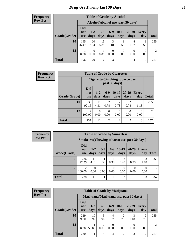#### **Frequency Row Pct**

| <b>Table of Grade by Alcohol</b> |                                 |                                    |                 |                  |                  |                |                  |               |  |  |  |
|----------------------------------|---------------------------------|------------------------------------|-----------------|------------------|------------------|----------------|------------------|---------------|--|--|--|
|                                  |                                 | Alcohol(Alcohol use, past 30 days) |                 |                  |                  |                |                  |               |  |  |  |
| Grade(Grade)                     | <b>Did</b><br>not<br><b>use</b> | $1-2$<br>days                      | $3 - 5$<br>days | $6-9$<br>days    | $10-19$<br>days  | 20-29<br>days  | Every<br>day     | <b>Total</b>  |  |  |  |
| 10                               | 195<br>76.47                    | 20<br>7.84                         | 15<br>5.88      | 3<br>1.18        | 9<br>3.53        | 4<br>1.57      | 9<br>3.53        | 255           |  |  |  |
| 12                               | 50.00                           | $\theta$<br>0.00                   | 50.00           | $\theta$<br>0.00 | $\theta$<br>0.00 | 0<br>0.00      | $\Omega$<br>0.00 | $\mathcal{D}$ |  |  |  |
| <b>Total</b>                     | 196                             | 20                                 | 16              | 3                | 9                | $\overline{4}$ | 9                | 257           |  |  |  |

| <b>Frequency</b> |              | <b>Table of Grade by Cigarettes</b> |                  |                  |                        |                                  |                     |              |  |  |
|------------------|--------------|-------------------------------------|------------------|------------------|------------------------|----------------------------------|---------------------|--------------|--|--|
| <b>Row Pct</b>   |              |                                     |                  |                  | past 30 days)          | Cigarettes (Smoking tobacco use, |                     |              |  |  |
|                  | Grade(Grade) | <b>Did</b><br>not<br><b>use</b>     | $1-2$<br>days    | $6-9$<br>days    | $10-19$<br>days        | $20 - 29$<br>days                | <b>Every</b><br>day | <b>Total</b> |  |  |
|                  | <b>10</b>    | 235<br>92.16                        | 11<br>4.31       | 2<br>0.78        | $\overline{2}$<br>0.78 | ↑<br>0.78                        | 3<br>1.18           | 255          |  |  |
|                  | 12           | 2<br>100.00                         | $\Omega$<br>0.00 | $\Omega$<br>0.00 | $\theta$<br>0.00       | $\Omega$<br>0.00                 | $\theta$<br>0.00    | 2            |  |  |
|                  | <b>Total</b> | 237                                 | 11               | 2                | $\overline{2}$         | $\overline{c}$                   | 3                   | 257          |  |  |

| <b>Frequency</b> | <b>Table of Grade by Smokeless</b> |                          |                        |                  |                  |                                               |                   |                     |                             |
|------------------|------------------------------------|--------------------------|------------------------|------------------|------------------|-----------------------------------------------|-------------------|---------------------|-----------------------------|
| <b>Row Pct</b>   |                                    |                          |                        |                  |                  | Smokeless (Chewing tobacco use, past 30 days) |                   |                     |                             |
|                  | Grade(Grade)                       | Did<br>not<br><b>use</b> | $1 - 2$<br><b>days</b> | $3-5$<br>days    | $6-9$<br>days    | $10-19$<br>days                               | $20 - 29$<br>days | <b>Every</b><br>day | <b>Total</b>                |
|                  | 10                                 | 236<br>92.55             | 11<br>4.31             | 0.39             | 0.39             | $\mathfrak{D}$<br>0.78                        | 0.39              | 3<br>1.18           | 255                         |
|                  | 12                                 | $\bigcap$<br>100.00      | $\Omega$<br>0.00       | $\Omega$<br>0.00 | $\Omega$<br>0.00 | 0<br>0.00                                     | $\Omega$<br>0.00  | 0.00                | $\mathcal{D}_{\mathcal{L}}$ |
|                  | <b>Total</b>                       | 238                      | 11                     | 1                |                  | $\overline{2}$                                |                   | 3                   | 257                         |

| <b>Frequency</b> |
|------------------|
| <b>Row Pct</b>   |

| <b>Table of Grade by Marijuana</b> |                                 |                                         |                  |                  |                  |               |                        |                |  |  |
|------------------------------------|---------------------------------|-----------------------------------------|------------------|------------------|------------------|---------------|------------------------|----------------|--|--|
|                                    |                                 | Marijuana (Marijuana use, past 30 days) |                  |                  |                  |               |                        |                |  |  |
| Grade(Grade)                       | <b>Did</b><br>not<br><b>use</b> | $1 - 2$<br>days                         | $3 - 5$<br>days  | $6-9$<br>days    | 10-19<br>days    | 20-29<br>days | <b>Every</b><br>day    | Total          |  |  |
| 10                                 | 229<br>89.80                    | 10<br>3.92                              | 5<br>1.96        | 4<br>1.57        | റ<br>0.78        | 1.18          | $\mathfrak{D}$<br>0.78 | 255            |  |  |
| 12                                 | 50.00                           | 50.00                                   | $\Omega$<br>0.00 | $\left($<br>0.00 | $\theta$<br>0.00 | 0.00          | 0.00                   | $\mathfrak{D}$ |  |  |
| <b>Total</b>                       | 230                             | 11                                      | 5                | $\overline{4}$   | $\overline{c}$   | 3             | $\overline{2}$         | 257            |  |  |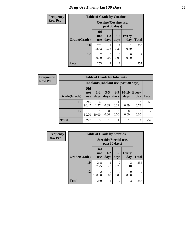# *Drug Use During Last 30 Days* 20

| <b>Frequency</b> |              | <b>Table of Grade by Cocaine</b> |                                        |                 |                     |                |  |  |
|------------------|--------------|----------------------------------|----------------------------------------|-----------------|---------------------|----------------|--|--|
| <b>Row Pct</b>   |              |                                  | Cocaine (Cocaine use,<br>past 30 days) |                 |                     |                |  |  |
|                  | Grade(Grade) | Did<br>not<br><b>use</b>         | $1 - 2$<br>days                        | $3 - 5$<br>days | <b>Every</b><br>day | <b>Total</b>   |  |  |
|                  | 10           | 251<br>98.43                     | 2<br>0.78                              | 0.39            | 0.39                | 255            |  |  |
|                  | 12           | $\mathfrak{D}$<br>100.00         | $\theta$<br>0.00                       | 0<br>0.00       | 0.00                | $\overline{2}$ |  |  |
|                  | <b>Total</b> | 253                              | $\overline{c}$                         |                 | 1                   | 257            |  |  |

| Frequency      |              |                                 | <b>Table of Grade by Inhalants</b> |                 |                  |                                        |                  |              |
|----------------|--------------|---------------------------------|------------------------------------|-----------------|------------------|----------------------------------------|------------------|--------------|
| <b>Row Pct</b> |              |                                 |                                    |                 |                  | Inhalants (Inhalant use, past 30 days) |                  |              |
|                | Grade(Grade) | <b>Did</b><br>not<br><b>use</b> | $1 - 2$<br>days                    | $3 - 5$<br>days | $6-9$<br>days    | $10-19$<br>days                        | Every<br>day     | <b>Total</b> |
|                | 10           | 246<br>96.47                    | 4<br>1.57                          | 0.39            | 0.39             | 0.39                                   | 2<br>0.78        | 255          |
|                | 12           | 50.00                           | 50.00                              | 0<br>0.00       | $\Omega$<br>0.00 | $\theta$<br>0.00                       | $\Omega$<br>0.00 | 2            |
|                | <b>Total</b> | 247                             | 5                                  |                 |                  |                                        | $\overline{2}$   | 257          |

| <b>Frequency</b> |              | <b>Table of Grade by Steroids</b>       |                        |                        |                       |                |  |
|------------------|--------------|-----------------------------------------|------------------------|------------------------|-----------------------|----------------|--|
| <b>Row Pct</b>   |              | Steroids (Steroid use,<br>past 30 days) |                        |                        |                       |                |  |
|                  | Grade(Grade) | <b>Did</b><br>not<br><b>use</b>         | $1-2$<br>days          | $3 - 5$<br>days        | <b>Every</b><br>day   | <b>Total</b>   |  |
|                  | 10           | 248<br>97.25                            | $\mathfrak{D}$<br>0.78 | $\mathfrak{D}$<br>0.78 | 3<br>1.18             | 255            |  |
|                  | 12           | $\mathfrak{D}$<br>100.00                | $\theta$<br>0.00       | 0<br>0.00              | $\mathcal{O}$<br>0.00 | $\overline{c}$ |  |
|                  | <b>Total</b> | 250                                     | $\overline{c}$         | $\overline{2}$         | 3                     | 257            |  |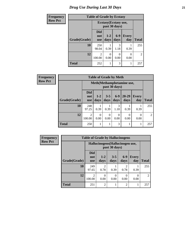# *Drug Use During Last 30 Days* **21**

| <b>Frequency</b> |              | <b>Table of Grade by Ecstasy</b>      |                                        |               |                     |                |  |  |
|------------------|--------------|---------------------------------------|----------------------------------------|---------------|---------------------|----------------|--|--|
| <b>Row Pct</b>   |              |                                       | Ecstasy (Ecstasy use,<br>past 30 days) |               |                     |                |  |  |
|                  | Grade(Grade) | Did<br>not<br><b>use</b>              | $1 - 2$<br>days                        | $6-9$<br>days | <b>Every</b><br>day | <b>Total</b>   |  |  |
|                  | 10           | 250<br>98.04                          | 0.39                                   | 3<br>1.18     | 0.39                | 255            |  |  |
|                  | 12           | $\mathcal{D}_{\mathcal{L}}$<br>100.00 | 0<br>0.00                              | 0.00          | 0.00                | $\overline{2}$ |  |  |
|                  | <b>Total</b> | 252                                   |                                        | 3             | 1                   | 257            |  |  |

| Frequency      |              | <b>Table of Grade by Meth</b>   |                  |                  |               |                           |                     |               |
|----------------|--------------|---------------------------------|------------------|------------------|---------------|---------------------------|---------------------|---------------|
| <b>Row Pct</b> |              |                                 |                  |                  | past 30 days) | Meth(Methamphetamine use, |                     |               |
|                | Grade(Grade) | <b>Did</b><br>not<br><b>use</b> | $1-2$<br>days    | $3 - 5$<br>days  | $6-9$<br>days | $20 - 29$<br>days         | <b>Every</b><br>day | <b>Total</b>  |
|                | 10           | 248<br>97.25                    | 0.39             | 0.39             | 3<br>1.18     | 0.39                      | 0.39                | 255           |
|                | 12           | 2<br>100.00                     | $\Omega$<br>0.00 | $\Omega$<br>0.00 | 0<br>0.00     | $\Omega$<br>0.00          | 0<br>0.00           | $\mathcal{L}$ |
|                | <b>Total</b> | 250                             |                  |                  | 3             |                           | 1                   | 257           |

| <b>Frequency</b> |              | <b>Table of Grade by Hallucinogens</b> |                                                   |                  |                |                     |                |  |  |
|------------------|--------------|----------------------------------------|---------------------------------------------------|------------------|----------------|---------------------|----------------|--|--|
| <b>Row Pct</b>   |              |                                        | Hallucinogens (Hallucinogen use,<br>past 30 days) |                  |                |                     |                |  |  |
|                  | Grade(Grade) | <b>Did</b><br>not<br><b>use</b>        | $1 - 2$<br>days                                   | $3 - 5$<br>days  | $6-9$<br>days  | <b>Every</b><br>day | <b>Total</b>   |  |  |
|                  | 10           | 249<br>97.65                           | $\mathfrak{D}$<br>0.78                            | 0.39             | 2<br>0.78      | 0.39                | 255            |  |  |
|                  | 12           | 2<br>100.00                            | 0.00                                              | $\theta$<br>0.00 | 0<br>0.00      | $\Omega$<br>0.00    | $\overline{2}$ |  |  |
|                  | <b>Total</b> | 251                                    | $\overline{2}$                                    |                  | $\overline{2}$ |                     | 257            |  |  |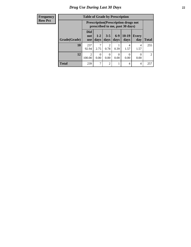#### **Frequency Row Pct**

| <b>Table of Grade by Prescription</b> |                                                                                                         |                                                                                             |                        |      |           |           |     |  |  |
|---------------------------------------|---------------------------------------------------------------------------------------------------------|---------------------------------------------------------------------------------------------|------------------------|------|-----------|-----------|-----|--|--|
|                                       |                                                                                                         | <b>Prescription</b> (Prescription drugs not<br>prescribed to me, past 30 days)              |                        |      |           |           |     |  |  |
| Grade(Grade)                          | <b>Did</b><br>not<br><b>use</b>                                                                         | 10-19<br>$6-9$<br>$1 - 2$<br>$3 - 5$<br><b>Every</b><br>days<br>days<br>days<br>day<br>days |                        |      |           |           |     |  |  |
| 10                                    | 237<br>92.94                                                                                            | 2.75                                                                                        | $\overline{2}$<br>0.78 | 0.39 | 4<br>1.57 | 4<br>1.57 | 255 |  |  |
| 12                                    | $\overline{c}$<br>0<br>0<br>0<br>$\theta$<br>$\theta$<br>100.00<br>0.00<br>0.00<br>0.00<br>0.00<br>0.00 |                                                                                             |                        |      |           |           |     |  |  |
| <b>Total</b>                          | 239                                                                                                     |                                                                                             | $\overline{2}$         |      | 4         | 4         | 257 |  |  |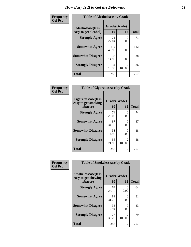| Frequency      | <b>Table of Alcoholease by Grade</b>              |                    |                  |              |  |  |
|----------------|---------------------------------------------------|--------------------|------------------|--------------|--|--|
| <b>Col Pct</b> | <b>Alcoholease</b> (It is<br>easy to get alcohol) | Grade(Grade)<br>10 | 12               | <b>Total</b> |  |  |
|                | <b>Strongly Agree</b>                             | 71<br>27.84        | 0.00             | 71           |  |  |
|                | <b>Somewhat Agree</b>                             | 112<br>43.92       | $\Omega$<br>0.00 | 112          |  |  |
|                | <b>Somewhat Disagree</b>                          | 38<br>14.90        | 0.00             | 38           |  |  |
|                | <b>Strongly Disagree</b>                          | 34<br>13.33        | 36               |              |  |  |
|                | <b>Total</b>                                      | 255                | 2                | 257          |  |  |

| Frequency<br>Col Pct |  |
|----------------------|--|

| <b>Table of Cigarettesease by Grade</b>                 |                    |                           |              |  |  |  |
|---------------------------------------------------------|--------------------|---------------------------|--------------|--|--|--|
| Cigarettesease(It is<br>easy to get smoking<br>tobacco) | Grade(Grade)<br>10 | 12                        | <b>Total</b> |  |  |  |
| <b>Strongly Agree</b>                                   | 74<br>29.02        | $\mathbf{\Omega}$<br>0.00 | 74           |  |  |  |
| <b>Somewhat Agree</b>                                   | 87<br>34.12        | ∩<br>0.00                 | 87           |  |  |  |
| <b>Somewhat Disagree</b>                                | 38<br>14.90        | 0.00                      | 38           |  |  |  |
| <b>Strongly Disagree</b>                                | 56<br>21.96        | 58                        |              |  |  |  |
| <b>Total</b>                                            | 255                | 2                         | 257          |  |  |  |

| Frequency      | <b>Table of Smokelessease by Grade</b>                         |                           |                                       |              |  |  |  |
|----------------|----------------------------------------------------------------|---------------------------|---------------------------------------|--------------|--|--|--|
| <b>Col Pct</b> | <b>Smokelessease</b> (It is<br>easy to get chewing<br>tobacco) | Grade(Grade)<br><b>10</b> | 12                                    | <b>Total</b> |  |  |  |
|                | <b>Strongly Agree</b>                                          | 64<br>25.10               | 0<br>0.00                             | 64           |  |  |  |
|                | <b>Somewhat Agree</b>                                          | 81<br>31.76               | $\mathbf{\Omega}$<br>0.00             | 81           |  |  |  |
|                | <b>Somewhat Disagree</b>                                       | 33<br>12.94               | 0<br>0.00                             | 33           |  |  |  |
|                | <b>Strongly Disagree</b>                                       | 77<br>30.20               | $\mathcal{D}_{\mathcal{L}}$<br>100.00 | 79           |  |  |  |
|                | <b>Total</b>                                                   | 255                       | 2                                     | 257          |  |  |  |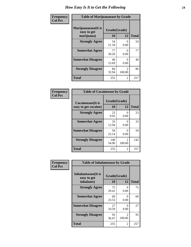| Frequency      | <b>Table of Marijuanaease by Grade</b>           |                    |                                       |              |  |  |  |
|----------------|--------------------------------------------------|--------------------|---------------------------------------|--------------|--|--|--|
| <b>Col Pct</b> | Marijuanaease(It is<br>easy to get<br>marijuana) | Grade(Grade)<br>10 | 12                                    | <b>Total</b> |  |  |  |
|                | <b>Strongly Agree</b>                            | 54<br>21.18        | $\Omega$<br>0.00                      | 54           |  |  |  |
|                | <b>Somewhat Agree</b>                            | 77<br>30.20        | $\mathbf{\Omega}$<br>0.00             | 77           |  |  |  |
|                | <b>Somewhat Disagree</b>                         | 40<br>15.69        | $\Omega$<br>0.00                      | 40           |  |  |  |
|                | <b>Strongly Disagree</b>                         | 84<br>32.94        | $\mathcal{D}_{\mathcal{L}}$<br>100.00 | 86           |  |  |  |
|                | <b>Total</b>                                     | 255                | 2                                     | 257          |  |  |  |

| <b>Table of Cocaineease by Grade</b>              |                    |                          |     |  |  |  |  |  |
|---------------------------------------------------|--------------------|--------------------------|-----|--|--|--|--|--|
| <b>Cocaineease</b> (It is<br>easy to get cocaine) | Grade(Grade)<br>10 | <b>Total</b>             |     |  |  |  |  |  |
| <b>Strongly Agree</b>                             | 23<br>9.02         | 0<br>0.00                | 23  |  |  |  |  |  |
| <b>Somewhat Agree</b>                             | 33<br>12.94        | 0<br>0.00                | 33  |  |  |  |  |  |
| <b>Somewhat Disagree</b>                          | 59<br>23.14        | 0.00                     | 59  |  |  |  |  |  |
| <b>Strongly Disagree</b>                          | 140<br>54.90       | $\mathfrak{D}$<br>100.00 | 142 |  |  |  |  |  |
| <b>Total</b>                                      | 255                | 2                        | 257 |  |  |  |  |  |

| Frequency      | <b>Table of Inhalantsease by Grade</b>                   |                           |                                       |              |
|----------------|----------------------------------------------------------|---------------------------|---------------------------------------|--------------|
| <b>Col Pct</b> | <b>Inhalantsease</b> (It is<br>easy to get<br>inhalants) | Grade(Grade)<br><b>10</b> | 12                                    | <b>Total</b> |
|                | <b>Strongly Agree</b>                                    | 75<br>29.41               | 0<br>0.00                             | 75           |
|                | <b>Somewhat Agree</b>                                    | 60<br>23.53               | 0<br>0.00                             | 60           |
|                | <b>Somewhat Disagree</b>                                 | 27<br>10.59               | 0<br>0.00                             | 27           |
|                | <b>Strongly Disagree</b>                                 | 93<br>36.47               | $\mathcal{D}_{\mathcal{L}}$<br>100.00 | 95           |
|                | <b>Total</b>                                             | 255                       | 2                                     | 257          |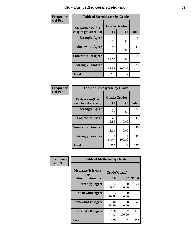| Frequency      | <b>Table of Steroidsease by Grade</b>               |                    |                           |              |  |  |  |  |
|----------------|-----------------------------------------------------|--------------------|---------------------------|--------------|--|--|--|--|
| <b>Col Pct</b> | <b>Steroidsease</b> (It is<br>easy to get steroids) | Grade(Grade)<br>10 | 12                        | <b>Total</b> |  |  |  |  |
|                | <b>Strongly Agree</b>                               |                    | 0.00                      | 18           |  |  |  |  |
|                | <b>Somewhat Agree</b>                               | 43<br>16.86        | $\mathbf{\Omega}$<br>0.00 | 43           |  |  |  |  |
|                | <b>Somewhat Disagree</b>                            | 58<br>22.75        | 0.00                      | 58           |  |  |  |  |
|                | <b>Strongly Disagree</b>                            | 136<br>53.33       | $\mathfrak{D}$<br>100.00  | 138          |  |  |  |  |
|                | <b>Total</b>                                        | 255                | $\overline{2}$            | 257          |  |  |  |  |

| Frequency      | <b>Table of Ecstasyease by Grade</b>              |                    |                           |              |  |  |  |  |
|----------------|---------------------------------------------------|--------------------|---------------------------|--------------|--|--|--|--|
| <b>Col Pct</b> | <b>Ecstasyease</b> (It is<br>easy to get ecstasy) | Grade(Grade)<br>10 | 12                        | <b>Total</b> |  |  |  |  |
|                | <b>Strongly Agree</b>                             | 22<br>8.63         | $\theta$<br>0.00          | 22           |  |  |  |  |
|                | <b>Somewhat Agree</b>                             | 43<br>16.86        | $\mathbf{\Omega}$<br>0.00 | 43           |  |  |  |  |
|                | <b>Somewhat Disagree</b>                          | 46<br>18.04        | 0<br>0.00                 | 46           |  |  |  |  |
|                | <b>Strongly Disagree</b>                          | 144<br>56.47       | $\mathcal{L}$<br>100.00   | 146          |  |  |  |  |
|                | Total                                             | 255                | 2                         | 257          |  |  |  |  |

| Frequency      | <b>Table of Methease by Grade</b>                          |                    |                          |              |
|----------------|------------------------------------------------------------|--------------------|--------------------------|--------------|
| <b>Col Pct</b> | <b>Methease</b> (It is easy<br>to get<br>methamphetamines) | Grade(Grade)<br>10 | 12                       | <b>Total</b> |
|                | <b>Strongly Agree</b>                                      | 24<br>9.41         | 0<br>0.00                | 24           |
|                | <b>Somewhat Agree</b>                                      | 53<br>20.78        | 0<br>0.00                | 53           |
|                | <b>Somewhat Disagree</b>                                   | 40<br>15.69        | ∩<br>0.00                | 40           |
|                | <b>Strongly Disagree</b>                                   | 138<br>54.12       | $\mathfrak{D}$<br>100.00 | 140          |
|                | Total                                                      | 255                | $\overline{2}$           | 257          |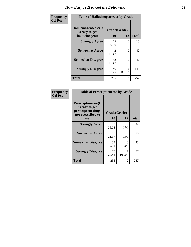| <b>Frequency</b> | <b>Table of Hallucinogensease by Grade</b>                      |                    |             |              |  |  |  |  |
|------------------|-----------------------------------------------------------------|--------------------|-------------|--------------|--|--|--|--|
| <b>Col Pct</b>   | <b>Hallucinogensease(It</b><br>is easy to get<br>hallucinogens) | Grade(Grade)<br>10 | 12          | <b>Total</b> |  |  |  |  |
|                  | <b>Strongly Agree</b>                                           | 25<br>9.80         | 0<br>0.00   | 25           |  |  |  |  |
|                  | <b>Somewhat Agree</b>                                           | 42<br>16.47        | 0<br>0.00   | 42           |  |  |  |  |
|                  | <b>Somewhat Disagree</b>                                        | 42<br>16.47        | 0<br>0.00   | 42           |  |  |  |  |
|                  | <b>Strongly Disagree</b>                                        | 146<br>57.25       | 2<br>100.00 | 148          |  |  |  |  |
|                  | <b>Total</b>                                                    | 255                | 2           | 257          |  |  |  |  |

| Frequency<br>  Col Pct |
|------------------------|
|                        |

| <b>Table of Prescriptionease by Grade</b>                                                |              |                                       |              |  |  |  |  |
|------------------------------------------------------------------------------------------|--------------|---------------------------------------|--------------|--|--|--|--|
| <b>Prescriptionease</b> (It<br>is easy to get<br>prescription drugs<br>not prescribed to | Grade(Grade) |                                       |              |  |  |  |  |
| me)                                                                                      | 10           | 12                                    | <b>Total</b> |  |  |  |  |
| <b>Strongly Agree</b>                                                                    | 92<br>36.08  | 0<br>0.00                             | 92           |  |  |  |  |
| <b>Somewhat Agree</b>                                                                    | 55<br>21.57  | $\mathbf{0}$<br>0.00                  | 55           |  |  |  |  |
| <b>Somewhat Disagree</b>                                                                 | 33<br>12.94  | 0<br>0.00                             | 33           |  |  |  |  |
| <b>Strongly Disagree</b>                                                                 | 75<br>29.41  | $\mathcal{D}_{\mathcal{L}}$<br>100.00 | 77           |  |  |  |  |
| Total                                                                                    | 255          | 2                                     | 257          |  |  |  |  |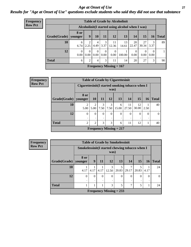#### *Age at Onset of Use* **27** *Results for "Age at Onset of Use" questions exclude students who said they did not use that substance*

| <b>Frequency</b> |              | <b>Table of Grade by Alcoholinit</b> |                  |                        |                               |                           |                                                  |                  |             |                  |              |
|------------------|--------------|--------------------------------------|------------------|------------------------|-------------------------------|---------------------------|--------------------------------------------------|------------------|-------------|------------------|--------------|
| <b>Row Pct</b>   |              |                                      |                  |                        |                               |                           | Alcoholinit (I started using alcohol when I was) |                  |             |                  |              |
|                  | Grade(Grade) | <b>8 or</b><br>younger               | 9                | 10                     | 11                            | <b>12</b>                 | 13                                               | 14               | 15          | 16               | <b>Total</b> |
|                  | 10           | 6<br>6.74                            | 2<br>2.25        | $\overline{4}$<br>4.49 | 3<br>3.37                     | 11<br>12.36               | 13<br>14.61                                      | 20<br>22.47      | 27<br>30.34 | 3<br>3.37        | 89           |
|                  | 12           | $\Omega$<br>0.00                     | $\theta$<br>0.00 | $\mathbf{0}$<br>0.00   | $\theta$<br>0.00 <sub>1</sub> | 0.00                      | 100.00                                           | $\theta$<br>0.00 | $0.00\,$    | $\theta$<br>0.00 |              |
|                  | <b>Total</b> | 6                                    | $\overline{2}$   | 4                      | 3                             | 11                        | 14                                               | 20               | 27          | 3                | 90           |
|                  |              |                                      |                  |                        |                               | Frequency Missing $= 167$ |                                                  |                  |             |                  |              |

| <b>Frequency</b> |              | <b>Table of Grade by Cigarettesinit</b> |                                                         |           |                     |                                |                                |             |      |    |
|------------------|--------------|-----------------------------------------|---------------------------------------------------------|-----------|---------------------|--------------------------------|--------------------------------|-------------|------|----|
| <b>Row Pct</b>   |              |                                         | Cigarettesinit(I started smoking tobacco when I<br>was) |           |                     |                                |                                |             |      |    |
|                  | 11           | 12                                      | <b>13</b>                                               | <b>14</b> | 15                  | <b>16</b>                      | <b>Total</b><br>40<br>$\Omega$ |             |      |    |
|                  | 10           | $\overline{c}$<br>5.00                  | $\mathfrak{D}$<br>5.00                                  | 3<br>7.50 | 3<br>7.50           | 6<br>15.00                     | 11<br>27.50                    | 12<br>30.00 | 2.50 |    |
|                  | 12           | $\theta$                                | $\Omega$                                                | $\theta$  | $\overline{0}$<br>٠ | $\Omega$<br>٠                  | $\Omega$<br>٠                  | $\theta$    | 0    |    |
|                  | <b>Total</b> | $\overline{2}$                          | $\overline{2}$                                          | 3         | 3                   | 6                              | 11                             | 12          |      | 40 |
|                  |              |                                         |                                                         |           |                     | <b>Frequency Missing = 217</b> |                                |             |      |    |

| Frequency      | <b>Table of Grade by Smokelessinit</b> |                        |                                                        |          |            |                           |          |            |          |              |
|----------------|----------------------------------------|------------------------|--------------------------------------------------------|----------|------------|---------------------------|----------|------------|----------|--------------|
| <b>Row Pct</b> |                                        |                        | Smokelessinit(I started chewing tobacco when I<br>was) |          |            |                           |          |            |          |              |
|                | Grade(Grade)                           | <b>8 or</b><br>younger | 9                                                      | 11       | 12         | 13                        | 14       | 15         | 16       | <b>Total</b> |
|                | 10                                     | 4.17                   | 4.17                                                   | 4.17     | 3<br>12.50 | 5<br>20.83                | 29.17    | 5<br>20.83 | 4.17     | 24           |
|                | 12                                     | $\Omega$               | $\theta$                                               | $\Omega$ | $\theta$   | $\Omega$                  | $\Omega$ | $\Omega$   | $\Omega$ | $\Omega$     |
|                | <b>Total</b>                           |                        |                                                        |          | 3          | 5                         | 7        | 5          |          | 24           |
|                |                                        |                        |                                                        |          |            | Frequency Missing $= 233$ |          |            |          |              |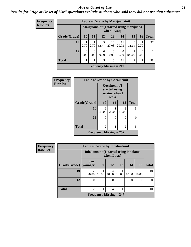#### *Age at Onset of Use* **28**

### *Results for "Age at Onset of Use" questions exclude students who said they did not use that substance*

| <b>Frequency</b> |              |                                                        |                  |                        | <b>Table of Grade by Marijuanainit</b> |                  |            |                  |              |  |
|------------------|--------------|--------------------------------------------------------|------------------|------------------------|----------------------------------------|------------------|------------|------------------|--------------|--|
| <b>Row Pct</b>   |              | Marijuanainit(I started using marijuana<br>when I was) |                  |                        |                                        |                  |            |                  |              |  |
|                  | Grade(Grade) | <b>10</b>                                              | <b>11</b>        | <b>12</b>              | 13                                     | 14               | 15         | 16               | <b>Total</b> |  |
|                  | 10           | 2.70                                                   | 2.70             | 5<br>13.51             | 10<br>27.03                            | 11<br>29.73      | 8<br>21.62 | 2.70             | 37           |  |
|                  | 12           | $\Omega$<br>0.00                                       | $\Omega$<br>0.00 | $\overline{0}$<br>0.00 | 0<br>0.00                              | $\theta$<br>0.00 | 100.00     | $\Omega$<br>0.00 | 1            |  |
|                  | <b>Total</b> |                                                        |                  | 5                      | 10                                     | 11               | 9          |                  | 38           |  |
|                  |              |                                                        |                  |                        | Frequency Missing $= 219$              |                  |            |                  |              |  |

| Frequency      | <b>Table of Grade by Cocaineinit</b> |                        |                                                          |                         |              |  |  |
|----------------|--------------------------------------|------------------------|----------------------------------------------------------|-------------------------|--------------|--|--|
| <b>Row Pct</b> |                                      |                        | Cocaineinit(I<br>started using<br>cocaine when I<br>was) |                         |              |  |  |
|                | Grade(Grade)                         | 10                     | 14                                                       | 15                      | <b>Total</b> |  |  |
|                | 10                                   | $\mathcal{L}$<br>40.00 | 20.00                                                    | $\mathfrak{D}$<br>40.00 | 5            |  |  |
|                | 12                                   | $\Omega$               | 0                                                        | 0                       | 0            |  |  |
|                | <b>Total</b>                         | $\overline{2}$         |                                                          | 2                       | 5            |  |  |
|                | Frequency Missing $= 252$            |                        |                                                          |                         |              |  |  |

| <b>Frequency</b> |  |
|------------------|--|
| <b>Row Pct</b>   |  |

| <b>Table of Grade by Inhalantsinit</b> |                                          |                           |                         |       |          |          |              |  |  |  |
|----------------------------------------|------------------------------------------|---------------------------|-------------------------|-------|----------|----------|--------------|--|--|--|
|                                        | Inhalantsinit (I started using inhalants |                           |                         |       |          |          |              |  |  |  |
| Grade(Grade)                           | 8 or<br>younger                          | $\boldsymbol{9}$          | 12                      | 13    | 14       | 15       | <b>Total</b> |  |  |  |
| 10                                     | $\overline{c}$<br>20.00                  | 10.00                     | $\overline{4}$<br>40.00 | 10.00 | 10.00    | 10.00    | 10           |  |  |  |
| 12                                     | $\theta$<br>٠                            | $\theta$                  | $\Omega$                | 0     | $\Omega$ | $\theta$ |              |  |  |  |
| <b>Total</b>                           | $\overline{c}$<br>1<br>4                 |                           |                         |       |          |          |              |  |  |  |
|                                        |                                          | Frequency Missing $= 247$ |                         |       |          |          |              |  |  |  |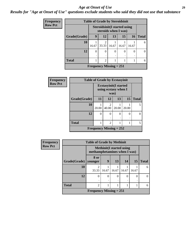#### *Age at Onset of Use* **29**

*Results for "Age at Onset of Use" questions exclude students who said they did not use that substance*

| <b>Frequency</b> | <b>Table of Grade by Steroidsinit</b> |                           |                                      |          |          |           |              |  |  |  |
|------------------|---------------------------------------|---------------------------|--------------------------------------|----------|----------|-----------|--------------|--|--|--|
| <b>Row Pct</b>   |                                       | steroids when I was)      | <b>Steroidsinit (I started using</b> |          |          |           |              |  |  |  |
|                  | Grade(Grade)                          | 9                         | 12                                   | 13       | 15       | <b>16</b> | <b>Total</b> |  |  |  |
|                  | 10                                    | 16.67                     | 2<br>33.33                           | 16.67    | 16.67    | 16.67     | 6            |  |  |  |
|                  | 12                                    | $\theta$                  | $\theta$                             | $\theta$ | $\Omega$ | $\theta$  | $\Omega$     |  |  |  |
|                  | <b>Total</b>                          |                           | 2                                    |          |          |           | 6            |  |  |  |
|                  |                                       | Frequency Missing $= 251$ |                                      |          |          |           |              |  |  |  |

| Frequency      | <b>Table of Grade by Ecstasyinit</b> |       |                                                               |       |          |              |  |  |
|----------------|--------------------------------------|-------|---------------------------------------------------------------|-------|----------|--------------|--|--|
| <b>Row Pct</b> |                                      |       | <b>Ecstasyinit</b> (I started<br>using ecstasy when I<br>was) |       |          |              |  |  |
|                | Grade(Grade)                         | 11    | 12                                                            | 13    | 15       | <b>Total</b> |  |  |
|                | 10                                   | 20.00 | $\mathfrak{D}$<br>40.00                                       | 20.00 | 20.00    | 5            |  |  |
|                | 12                                   | 0     | 0                                                             | 0     | $\Omega$ | 0            |  |  |
|                | <b>Total</b>                         |       | $\mathfrak{D}$<br>1<br>1                                      |       |          |              |  |  |
|                |                                      |       | Frequency Missing $= 252$                                     |       |          |              |  |  |

| <b>Frequency</b> | <b>Table of Grade by Methinit</b> |                                      |                                                                  |          |       |          |              |  |  |  |
|------------------|-----------------------------------|--------------------------------------|------------------------------------------------------------------|----------|-------|----------|--------------|--|--|--|
| <b>Row Pct</b>   |                                   |                                      | <b>Methinit</b> (I started using<br>methamphetamines when I was) |          |       |          |              |  |  |  |
|                  | Grade(Grade)                      | 8 or<br>  younger                    | 9                                                                | 13       | 14    | 15       | <b>Total</b> |  |  |  |
|                  | 10                                | $\mathcal{D}_{\mathcal{A}}$<br>33.33 | 16.67                                                            | 16.67    | 16.67 | 16.67    | 6            |  |  |  |
|                  | 12                                | 0                                    | 0                                                                | $\Omega$ | 0     | $\Omega$ | $\theta$     |  |  |  |
|                  | <b>Total</b>                      | $\mathfrak{D}$                       |                                                                  |          |       |          | 6            |  |  |  |
|                  |                                   | <b>Frequency Missing = 251</b>       |                                                                  |          |       |          |              |  |  |  |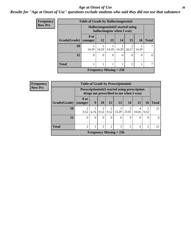#### Age at Onset of Use **30**

### *Results for "Age at Onset of Use" questions exclude students who said they did not use that substance*

| <b>Frequency</b> |                        | <b>Table of Grade by Hallucinogensinit</b> |          |                                                                 |          |                                      |           |                |
|------------------|------------------------|--------------------------------------------|----------|-----------------------------------------------------------------|----------|--------------------------------------|-----------|----------------|
| <b>Row Pct</b>   |                        |                                            |          | Hallucinogensinit (I started using<br>hallucinogens when I was) |          |                                      |           |                |
|                  | Grade(Grade)   younger | 8 or                                       | 12       | 13                                                              | 14       | 15                                   | <b>16</b> | <b>Total</b>   |
|                  | 10                     | 14.29                                      | 14.29    | 14.29                                                           | 14.29    | $\mathcal{D}_{\mathcal{L}}$<br>28.57 | 14.29     | 7              |
|                  | 12                     | $\Omega$                                   | $\theta$ | $\theta$                                                        | $\Omega$ | $\Omega$                             | $\Omega$  | $\overline{0}$ |
|                  | <b>Total</b>           | 1                                          |          |                                                                 |          | $\overline{2}$                       |           | 7              |
|                  |                        |                                            |          | Frequency Missing $= 250$                                       |          |                                      |           |                |

| <b>Frequency</b> |              |                 | <b>Table of Grade by Prescriptioninit</b>                                   |           |          |                                                                                                 |            |                         |           |              |
|------------------|--------------|-----------------|-----------------------------------------------------------------------------|-----------|----------|-------------------------------------------------------------------------------------------------|------------|-------------------------|-----------|--------------|
| <b>Row Pct</b>   |              |                 |                                                                             |           |          | <b>Prescriptioninit (I started using prescription</b><br>drugs not prescribed to me when I was) |            |                         |           |              |
|                  | Grade(Grade) | 8 or<br>younger | 9                                                                           | 10        | 12       | 13                                                                                              | 14         | 15                      | 16        | <b>Total</b> |
|                  | <b>10</b>    | 2<br>9.52       | 4.76                                                                        | 2<br>9.52 | 9.52     | 3<br>14.29                                                                                      | 5<br>23.81 | $\overline{4}$<br>19.05 | 2<br>9.52 | 21           |
|                  | 12           | $\theta$        | $\Omega$                                                                    | $\Omega$  | $\Omega$ | $\Omega$                                                                                        | $\Omega$   | $\Omega$                | 0         | $\Omega$     |
|                  | <b>Total</b> | $\overline{2}$  | $\mathfrak{D}$<br>2<br>3<br>$\overline{\mathcal{L}}$<br>2<br>$\overline{4}$ |           |          |                                                                                                 |            |                         |           |              |
|                  |              |                 |                                                                             |           |          | Frequency Missing $= 236$                                                                       |            |                         |           |              |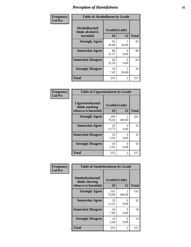| Frequency      | <b>Table of Alcoholharm by Grade</b>          |                    |                           |              |  |
|----------------|-----------------------------------------------|--------------------|---------------------------|--------------|--|
| <b>Col Pct</b> | Alcoholharm(I<br>think alcohol is<br>harmful) | Grade(Grade)<br>10 | 12                        | <b>Total</b> |  |
|                | <b>Strongly Agree</b>                         | 92<br>36.08        | 50.00                     | 93           |  |
|                | <b>Somewhat Agree</b>                         | 80<br>31.37        | $\Omega$<br>0.00          | 80           |  |
|                | <b>Somewhat Disagree</b>                      | 64<br>25.10        | $\mathbf{\Omega}$<br>0.00 | 64           |  |
|                | <b>Strongly Disagree</b>                      | 19<br>7.45         | 50.00                     | 20           |  |
|                | <b>Total</b>                                  | 255                | 2                         | 257          |  |

|                                                          | <b>Table of Cigarettesharm by Grade</b> |                           |              |  |  |  |
|----------------------------------------------------------|-----------------------------------------|---------------------------|--------------|--|--|--|
| Cigarettesharm(I<br>think smoking<br>tobacco is harmful) | Grade(Grade)<br>10                      | 12                        | <b>Total</b> |  |  |  |
| <b>Strongly Agree</b>                                    | 200<br>78.43                            | 2<br>100.00               | 202          |  |  |  |
| <b>Somewhat Agree</b>                                    | 35<br>13.73                             | $\mathbf{\Omega}$<br>0.00 | 35           |  |  |  |
| <b>Somewhat Disagree</b>                                 | 10<br>3.92                              | $\mathbf{\Omega}$<br>0.00 | 10           |  |  |  |
| <b>Strongly Disagree</b>                                 | 10<br>3.92                              | $\mathbf{\Omega}$<br>0.00 | 10           |  |  |  |
| <b>Total</b>                                             | 255                                     | 2                         | 257          |  |  |  |

| Frequency      | <b>Table of Smokelessharm by Grade</b> |              |                                       |              |
|----------------|----------------------------------------|--------------|---------------------------------------|--------------|
| <b>Col Pct</b> | Smokelessharm(I<br>think chewing       | Grade(Grade) |                                       |              |
|                | tobacco is harmful)                    | 10           | 12                                    | <b>Total</b> |
|                | <b>Strongly Agree</b>                  | 191<br>74.90 | $\mathcal{D}_{\mathcal{L}}$<br>100.00 | 193          |
|                | <b>Somewhat Agree</b>                  | 32<br>12.55  | $\mathbf{0}$<br>0.00                  | 32           |
|                | <b>Somewhat Disagree</b>               | 18<br>7.06   | 0<br>0.00                             | 18           |
|                | <b>Strongly Disagree</b>               | 14<br>5.49   | $\Omega$<br>0.00                      | 14           |
|                | <b>Total</b>                           | 255          | 2                                     | 257          |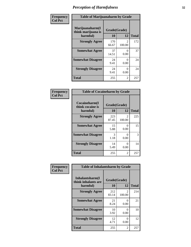| Frequency      | <b>Table of Marijuanaharm by Grade</b>            |                    |                |              |
|----------------|---------------------------------------------------|--------------------|----------------|--------------|
| <b>Col Pct</b> | Marijuanaharm(I<br>think marijuana is<br>harmful) | Grade(Grade)<br>10 | 12             | <b>Total</b> |
|                | <b>Strongly Agree</b>                             | 170<br>66.67       | 2<br>100.00    | 172          |
|                | <b>Somewhat Agree</b>                             | 37<br>14.51        | 0<br>0.00      | 37           |
|                | <b>Somewhat Disagree</b>                          | 24<br>9.41         | 0<br>0.00      | 24           |
|                | <b>Strongly Disagree</b>                          | 24<br>9.41         | 0<br>0.00      | 24           |
|                | <b>Total</b>                                      | 255                | $\overline{2}$ | 257          |

| <b>Table of Cocaineharm by Grade</b>          |                    |                           |     |  |  |
|-----------------------------------------------|--------------------|---------------------------|-----|--|--|
| Cocaineharm(I<br>think cocaine is<br>harmful) | Grade(Grade)<br>10 | <b>Total</b>              |     |  |  |
| <b>Strongly Agree</b>                         | 223<br>87.45       | $\mathfrak{D}$<br>100.00  | 225 |  |  |
| <b>Somewhat Agree</b>                         | 15<br>5.88         | $\mathbf{\Omega}$<br>0.00 | 15  |  |  |
| <b>Somewhat Disagree</b>                      | 3<br>1.18          | $\mathbf{\Omega}$<br>0.00 | 3   |  |  |
| <b>Strongly Disagree</b>                      | 14<br>5.49         | ∩<br>0.00                 | 14  |  |  |
| <b>Total</b>                                  | 255                | $\overline{2}$            | 257 |  |  |

| Frequency      | <b>Table of Inhalantsharm by Grade</b>             |                           |             |              |  |
|----------------|----------------------------------------------------|---------------------------|-------------|--------------|--|
| <b>Col Pct</b> | Inhalantsharm(I<br>think inhalants are<br>harmful) | Grade(Grade)<br><b>10</b> | 12          | <b>Total</b> |  |
|                | <b>Strongly Agree</b>                              | 212<br>83.14              | 2<br>100.00 | 214          |  |
|                | <b>Somewhat Agree</b>                              | 21<br>8.24                | 0<br>0.00   | 21           |  |
|                | <b>Somewhat Disagree</b>                           | 10<br>3.92                | 0<br>0.00   | 10           |  |
|                | <b>Strongly Disagree</b>                           | 12<br>4.71                | 0<br>0.00   | 12           |  |
|                | <b>Total</b>                                       | 255                       | 2           | 257          |  |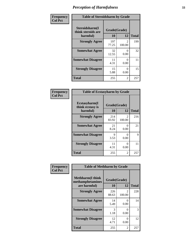| Frequency      | <b>Table of Steroidsharm by Grade</b>            |                    |                          |              |
|----------------|--------------------------------------------------|--------------------|--------------------------|--------------|
| <b>Col Pct</b> | Steroidsharm(I<br>think steroids are<br>harmful) | Grade(Grade)<br>10 | 12                       | <b>Total</b> |
|                | <b>Strongly Agree</b>                            | 197<br>77.25       | $\mathfrak{D}$<br>100.00 | 199          |
|                | <b>Somewhat Agree</b>                            | 32<br>12.55        | 0<br>0.00                | 32           |
|                | <b>Somewhat Disagree</b>                         | 11<br>4.31         | 0<br>0.00                | 11           |
|                | <b>Strongly Disagree</b>                         | 15<br>5.88         | 0<br>0.00                | 15           |
|                | <b>Total</b>                                     | 255                | 2                        | 257          |

| <b>Table of Ecstasyharm by Grade</b>          |                    |                           |     |  |  |  |
|-----------------------------------------------|--------------------|---------------------------|-----|--|--|--|
| Ecstasyharm(I<br>think ecstasy is<br>harmful) | Grade(Grade)<br>10 | <b>Total</b>              |     |  |  |  |
| <b>Strongly Agree</b>                         | 214<br>83.92       | 2<br>100.00               | 216 |  |  |  |
| <b>Somewhat Agree</b>                         | 21<br>8.24         | 0<br>0.00                 | 21  |  |  |  |
| <b>Somewhat Disagree</b>                      | 9<br>3.53          | $\mathbf{\Omega}$<br>0.00 | 9   |  |  |  |
| <b>Strongly Disagree</b>                      | 11<br>4.31         | 0<br>0.00                 | 11  |  |  |  |
| Total                                         | 255                | 2                         | 257 |  |  |  |

| Frequency      | <b>Table of Methharm by Grade</b>                           |                           |                           |              |  |
|----------------|-------------------------------------------------------------|---------------------------|---------------------------|--------------|--|
| <b>Col Pct</b> | <b>Methharm(I think</b><br>methamphetamines<br>are harmful) | Grade(Grade)<br><b>10</b> | 12                        | <b>Total</b> |  |
|                | <b>Strongly Agree</b>                                       | 226<br>88.63              | 2<br>100.00               | 228          |  |
|                | <b>Somewhat Agree</b>                                       | 14<br>5.49                | 0<br>0.00                 | 14           |  |
|                | <b>Somewhat Disagree</b>                                    | 3<br>1.18                 | $\mathbf{\Omega}$<br>0.00 | 3            |  |
|                | <b>Strongly Disagree</b>                                    | 12<br>4.71                | $\mathbf{0}$<br>0.00      | 12           |  |
|                | <b>Total</b>                                                | 255                       | 2                         | 257          |  |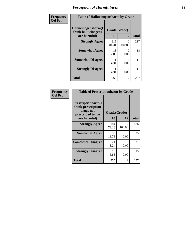| Frequency      | <b>Table of Hallucinogensharm by Grade</b>                 |                    |                         |              |
|----------------|------------------------------------------------------------|--------------------|-------------------------|--------------|
| <b>Col Pct</b> | Hallucinogensharm(I<br>think hallucinogens<br>are harmful) | Grade(Grade)<br>10 | 12                      | <b>Total</b> |
|                | <b>Strongly Agree</b>                                      | 215<br>84.31       | $\mathcal{L}$<br>100.00 | 217          |
|                | <b>Somewhat Agree</b>                                      | 18<br>7.06         | 0<br>0.00               | 18           |
|                | <b>Somewhat Disagree</b>                                   | 11<br>4.31         | 0<br>0.00               | 11           |
|                | <b>Strongly Disagree</b>                                   | 11<br>4.31         | 0<br>0.00               | 11           |
|                | <b>Total</b>                                               | 255                | 2                       | 257          |

| <b>Table of Prescriptionharm by Grade</b>                                         |                    |                           |              |  |  |
|-----------------------------------------------------------------------------------|--------------------|---------------------------|--------------|--|--|
| <b>Prescriptionharm(I)</b><br>think prescription<br>drugs not<br>prescribed to me | Grade(Grade)<br>10 | 12                        | <b>Total</b> |  |  |
| are harmful)                                                                      |                    |                           |              |  |  |
| <b>Strongly Agree</b>                                                             | 184<br>72.16       | $\mathfrak{D}$<br>100.00  | 186          |  |  |
| <b>Somewhat Agree</b>                                                             | 35<br>13.73        | 0<br>0.00                 | 35           |  |  |
| <b>Somewhat Disagree</b>                                                          | 21<br>8.24         | $\mathbf{\Omega}$<br>0.00 | 21           |  |  |
| <b>Strongly Disagree</b>                                                          | 15<br>5.88         | 0<br>0.00                 | 15           |  |  |
| <b>Total</b>                                                                      | 255                | 2                         | 257          |  |  |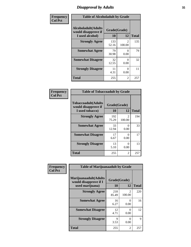# *Disapproval by Adults* **35**

| Frequency      | <b>Table of Alcoholadult by Grade</b>                                 |                    |                           |              |  |
|----------------|-----------------------------------------------------------------------|--------------------|---------------------------|--------------|--|
| <b>Col Pct</b> | <b>Alcoholadult</b> (Adults<br>would disapprove if<br>I used alcohol) | Grade(Grade)<br>10 | 12                        | <b>Total</b> |  |
|                | <b>Strongly Agree</b>                                                 | 133<br>52.16       | $\mathfrak{D}$<br>100.00  | 135          |  |
|                | <b>Somewhat Agree</b>                                                 | 79<br>30.98        | $\mathbf{\Omega}$<br>0.00 | 79           |  |
|                | <b>Somewhat Disagree</b>                                              | 32<br>12.55        | 0<br>0.00                 | 32           |  |
|                | <b>Strongly Disagree</b>                                              | 11<br>4.31         | 0<br>0.00                 | 11           |  |
|                | <b>Total</b>                                                          | 255                | 2                         | 257          |  |

| <b>Table of Tobaccoadult by Grade</b>                                 |                    |                         |              |  |  |
|-----------------------------------------------------------------------|--------------------|-------------------------|--------------|--|--|
| <b>Tobaccoadult</b> (Adults<br>would disapprove if<br>I used tobacco) | Grade(Grade)<br>10 | 12                      | <b>Total</b> |  |  |
| <b>Strongly Agree</b>                                                 | 192<br>75.29       | $\mathcal{L}$<br>100.00 | 194          |  |  |
| <b>Somewhat Agree</b>                                                 | 33<br>12.94        | 0<br>0.00               | 33           |  |  |
| <b>Somewhat Disagree</b>                                              | 17<br>6.67         | 0<br>0.00               | 17           |  |  |
| <b>Strongly Disagree</b>                                              | 13<br>5.10         | 0<br>0.00               | 13           |  |  |
| <b>Total</b>                                                          | 255                | 2                       | 257          |  |  |

| Frequency      | <b>Table of Marijuanaadult by Grade</b>                           |                    |                          |              |  |
|----------------|-------------------------------------------------------------------|--------------------|--------------------------|--------------|--|
| <b>Col Pct</b> | Marijuanaadult(Adults<br>would disapprove if I<br>used marijuana) | Grade(Grade)<br>10 | 12                       | <b>Total</b> |  |
|                | <b>Strongly Agree</b>                                             | 218<br>85.49       | $\mathfrak{D}$<br>100.00 | 220          |  |
|                | <b>Somewhat Agree</b>                                             | 16<br>6.27         | 0<br>0.00                | 16           |  |
|                | <b>Somewhat Disagree</b>                                          | 12<br>4.71         | 0<br>0.00                | 12           |  |
|                | <b>Strongly Disagree</b>                                          | 9<br>3.53          | 0<br>0.00                | 9            |  |
|                | <b>Total</b>                                                      | 255                | $\mathfrak{D}$           | 257          |  |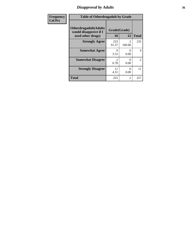# *Disapproval by Adults* **36**

| <b>Frequency</b> | <b>Table of Otherdrugadult by Grade</b>                                     |                                     |                  |              |
|------------------|-----------------------------------------------------------------------------|-------------------------------------|------------------|--------------|
| <b>Col Pct</b>   | <b>Otherdrugadult</b> (Adults<br>would disapprove if I<br>used other drugs) | Grade(Grade)<br>10                  | 12               | <b>Total</b> |
|                  | <b>Strongly Agree</b>                                                       | 233<br>91.37                        | 2<br>100.00      | 235          |
|                  | <b>Somewhat Agree</b>                                                       | 9<br>3.53                           | $\Omega$<br>0.00 | 9            |
|                  | <b>Somewhat Disagree</b>                                                    | $\mathcal{D}_{\mathcal{L}}$<br>0.78 | $\Omega$<br>0.00 | 2            |
|                  | <b>Strongly Disagree</b>                                                    | 11<br>4.31                          | 0<br>0.00        | 11           |
|                  | <b>Total</b>                                                                | 255                                 | 2                | 257          |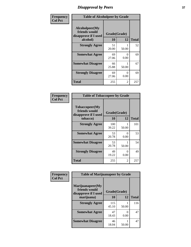## *Disapproval by Peers* **37**

| Frequency      | <b>Table of Alcoholpeer by Grade</b>                    |              |                           |              |  |
|----------------|---------------------------------------------------------|--------------|---------------------------|--------------|--|
| <b>Col Pct</b> | Alcoholpeer(My<br>friends would<br>disapprove if I used | Grade(Grade) |                           |              |  |
|                | alcohol)                                                | 10           | 12                        | <b>Total</b> |  |
|                | <b>Strongly Agree</b>                                   | 51<br>20.00  | 50.00                     | 52           |  |
|                | <b>Somewhat Agree</b>                                   | 69<br>27.06  | $\Omega$<br>0.00          | 69           |  |
|                | <b>Somewhat Disagree</b>                                | 66<br>25.88  | 50.00                     | 67           |  |
|                | <b>Strongly Disagree</b>                                | 69<br>27.06  | $\mathbf{\Omega}$<br>0.00 | 69           |  |
|                | Total                                                   | 255          | 2                         | 257          |  |

| Frequency      | <b>Table of Tobaccopeer by Grade</b>                                |                    |           |              |  |
|----------------|---------------------------------------------------------------------|--------------------|-----------|--------------|--|
| <b>Col Pct</b> | Tobaccopeer(My<br>friends would<br>disapprove if I used<br>tobacco) | Grade(Grade)<br>10 | 12        | <b>Total</b> |  |
|                | <b>Strongly Agree</b>                                               | 100<br>39.22       | 50.00     | 101          |  |
|                | <b>Somewhat Agree</b>                                               | 53<br>20.78        | 0<br>0.00 | 53           |  |
|                | <b>Somewhat Disagree</b>                                            | 53<br>20.78        | 50.00     | 54           |  |
|                | <b>Strongly Disagree</b>                                            | 49<br>19.22        | 0<br>0.00 | 49           |  |
|                | <b>Total</b>                                                        | 255                | 2         | 257          |  |

| Frequency      | <b>Table of Marijuanapeer by Grade</b> |                    |           |              |
|----------------|----------------------------------------|--------------------|-----------|--------------|
| <b>Col Pct</b> | Marijuanapeer(My<br>friends would      |                    |           |              |
|                | disapprove if I used<br>marijuana)     | Grade(Grade)<br>10 | 12        | <b>Total</b> |
|                | <b>Strongly Agree</b>                  | 115<br>45.10       | 50.00     | 116          |
|                | <b>Somewhat Agree</b>                  | 47<br>18.43        | 0<br>0.00 | 47           |
|                | <b>Somewhat Disagree</b>               | 46<br>18.04        | 50.00     | 47           |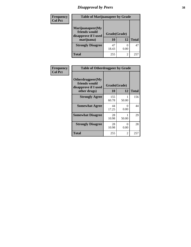# *Disapproval by Peers* **38**

| Frequency<br><b>Col Pct</b> | <b>Table of Marijuanapeer by Grade</b>                                  |                    |      |              |
|-----------------------------|-------------------------------------------------------------------------|--------------------|------|--------------|
|                             | Marijuanapeer(My<br>friends would<br>disapprove if I used<br>marijuana) | Grade(Grade)<br>10 | 12   | <b>Total</b> |
|                             | <b>Strongly Disagree</b>                                                | 47<br>18.43        | 0.00 | 47           |
|                             | Total                                                                   | 255                | 2    | $25^{\circ}$ |

| Frequency      | <b>Table of Otherdrugpeer by Grade</b>                                    |                           |           |              |
|----------------|---------------------------------------------------------------------------|---------------------------|-----------|--------------|
| <b>Col Pct</b> | Otherdrugpeer(My<br>friends would<br>disapprove if I used<br>other drugs) | Grade(Grade)<br><b>10</b> | 12        | <b>Total</b> |
|                | <b>Strongly Agree</b>                                                     | 155<br>60.78              | 50.00     | 156          |
|                | <b>Somewhat Agree</b>                                                     | 44<br>17.25               | 0<br>0.00 | 44           |
|                | <b>Somewhat Disagree</b>                                                  | 28<br>10.98               | 50.00     | 29           |
|                | <b>Strongly Disagree</b>                                                  | 28<br>10.98               | 0<br>0.00 | 28           |
|                | Total                                                                     | 255                       | 2         | 257          |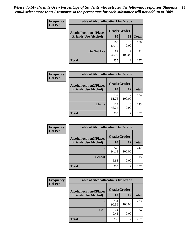| Frequency      | <b>Table of Alcohollocation1 by Grade</b> |              |                                       |              |
|----------------|-------------------------------------------|--------------|---------------------------------------|--------------|
| <b>Col Pct</b> | <b>Alcohollocation1(Places</b>            | Grade(Grade) |                                       |              |
|                | <b>Friends Use Alcohol)</b>               | 10           | 12                                    | <b>Total</b> |
|                |                                           | 166<br>65.10 | $\left( \right)$<br>0.00              | 166          |
|                | Do Not Use                                | 89<br>34.90  | $\mathcal{D}_{\mathcal{A}}$<br>100.00 | 91           |
|                | <b>Total</b>                              | 255          | $\overline{c}$                        | 257          |

| Frequency      | <b>Table of Alcohollocation2 by Grade</b>                     |                    |                          |              |
|----------------|---------------------------------------------------------------|--------------------|--------------------------|--------------|
| <b>Col Pct</b> | <b>Alcohollocation2(Places</b><br><b>Friends Use Alcohol)</b> | Grade(Grade)<br>10 | 12                       | <b>Total</b> |
|                |                                                               | 132<br>51.76       | $\mathfrak{D}$<br>100.00 | 134          |
|                | Home                                                          | 123<br>48.24       | $\theta$<br>0.00         | 123          |
|                | <b>Total</b>                                                  | 255                | 2                        | 257          |

| Frequency<br><b>Col Pct</b> | <b>Table of Alcohollocation 3 by Grade</b> |              |                          |              |
|-----------------------------|--------------------------------------------|--------------|--------------------------|--------------|
|                             | <b>Alcohollocation3(Places</b>             | Grade(Grade) |                          |              |
|                             | <b>Friends Use Alcohol)</b>                | 10           | 12                       | <b>Total</b> |
|                             |                                            | 240<br>94.12 | $\mathfrak{D}$<br>100.00 | 242          |
|                             | <b>School</b>                              | 15<br>5.88   | 0.00                     | 15           |
|                             | <b>Total</b>                               | 255          | $\overline{c}$           | 257          |

| <b>Frequency</b> | <b>Table of Alcohollocation4 by Grade</b> |              |                          |              |  |
|------------------|-------------------------------------------|--------------|--------------------------|--------------|--|
| <b>Col Pct</b>   | <b>Alcohollocation4(Places</b>            | Grade(Grade) |                          |              |  |
|                  | <b>Friends Use Alcohol)</b>               | 10           | 12                       | <b>Total</b> |  |
|                  |                                           | 231<br>90.59 | $\mathfrak{D}$<br>100.00 | 233          |  |
|                  | Car                                       | 24<br>9.41   | 0.00                     | 24           |  |
|                  | <b>Total</b>                              | 255          | $\overline{2}$           | 257          |  |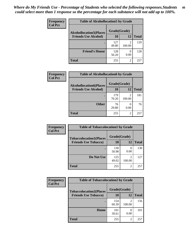| Frequency<br><b>Col Pct</b> | <b>Table of Alcohollocation5 by Grade</b> |              |             |              |
|-----------------------------|-------------------------------------------|--------------|-------------|--------------|
|                             | <b>Alcohollocation5(Places</b>            | Grade(Grade) |             |              |
|                             | <b>Friends Use Alcohol)</b>               | 10           | 12          | <b>Total</b> |
|                             |                                           | 127<br>49.80 | 2<br>100.00 | 129          |
|                             | <b>Friend's House</b>                     | 128<br>50.20 | 0.00        | 128          |
|                             | <b>Total</b>                              | 255          | 2           | 257          |

| <b>Frequency</b> | <b>Table of Alcohollocation6 by Grade</b> |              |             |              |
|------------------|-------------------------------------------|--------------|-------------|--------------|
| <b>Col Pct</b>   | <b>Alcohollocation6(Places</b>            | Grade(Grade) |             |              |
|                  | <b>Friends Use Alcohol)</b>               | 10           | 12          | <b>Total</b> |
|                  |                                           | 179<br>70.20 | 2<br>100.00 | 181          |
|                  | <b>Other</b>                              | 76<br>29.80  | 0.00        | 76           |
|                  | <b>Total</b>                              | 255          | 2           | 257          |

| Frequency<br><b>Col Pct</b>    | <b>Table of Tobaccolocation1 by Grade</b> |              |                                       |              |
|--------------------------------|-------------------------------------------|--------------|---------------------------------------|--------------|
| <b>Tobaccolocation1(Places</b> | Grade(Grade)                              |              |                                       |              |
|                                | <b>Friends Use Tobacco)</b>               | 10           | 12                                    | <b>Total</b> |
|                                |                                           | 130<br>50.98 | 0.00                                  | 130          |
|                                | Do Not Use                                | 125<br>49.02 | $\mathcal{D}_{\mathcal{L}}$<br>100.00 | 127          |
|                                | <b>Total</b>                              | 255          | $\overline{2}$                        | 257          |

| Frequency      | <b>Table of Tobaccolocation2 by Grade</b> |              |                                       |              |  |
|----------------|-------------------------------------------|--------------|---------------------------------------|--------------|--|
| <b>Col Pct</b> | <b>Tobaccolocation2(Places</b>            | Grade(Grade) |                                       |              |  |
|                | <b>Friends Use Tobacco)</b>               | 10           | 12                                    | <b>Total</b> |  |
|                |                                           | 154<br>60.39 | $\mathcal{D}_{\mathcal{A}}$<br>100.00 | 156          |  |
|                | Home                                      | 101<br>39.61 | 0.00                                  | 101          |  |
|                | <b>Total</b>                              | 255          | $\overline{2}$                        | 257          |  |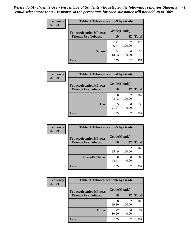| Frequency      | <b>Table of Tobaccolocation 3 by Grade</b> |              |                          |              |  |
|----------------|--------------------------------------------|--------------|--------------------------|--------------|--|
| <b>Col Pct</b> | <b>Tobaccolocation3(Places</b>             | Grade(Grade) |                          |              |  |
|                | <b>Friends Use Tobacco)</b>                | 10           | 12                       | <b>Total</b> |  |
|                |                                            | 221<br>86.67 | $\overline{c}$<br>100.00 | 223          |  |
|                | <b>School</b>                              | 34<br>13.33  | 0.00                     | 34           |  |
|                | <b>Total</b>                               | 255          | $\overline{2}$           | 257          |  |

| Frequency      | <b>Table of Tobaccolocation4 by Grade</b> |              |                          |              |
|----------------|-------------------------------------------|--------------|--------------------------|--------------|
| <b>Col Pct</b> | <b>Tobaccolocation4(Places</b>            | Grade(Grade) |                          |              |
|                | <b>Friends Use Tobacco)</b>               | 10           | 12                       | <b>Total</b> |
|                |                                           | 200<br>78.43 | $\mathfrak{D}$<br>100.00 | 202          |
|                | Car                                       | 55<br>21.57  | 0.00                     | 55           |
|                | <b>Total</b>                              | 255          | $\overline{2}$           | 257          |

| Frequency      | <b>Table of Tobaccolocation5 by Grade</b> |              |                          |              |
|----------------|-------------------------------------------|--------------|--------------------------|--------------|
| <b>Col Pct</b> | <b>Tobaccolocation5(Places</b>            | Grade(Grade) |                          |              |
|                | <b>Friends Use Tobacco)</b>               | 10           | 12                       | <b>Total</b> |
|                |                                           | 167<br>65.49 | $\mathfrak{D}$<br>100.00 | 169          |
|                | <b>Friend's House</b>                     | 88<br>34.51  | 0.00                     | 88           |
|                | <b>Total</b>                              | 255          | $\overline{2}$           | 257          |

| Frequency      | <b>Table of Tobaccolocation6 by Grade</b> |              |                |              |  |
|----------------|-------------------------------------------|--------------|----------------|--------------|--|
| <b>Col Pct</b> | <b>Tobaccolocation6(Places</b>            | Grade(Grade) |                |              |  |
|                | <b>Friends Use Tobacco)</b>               | 10           | 12             | <b>Total</b> |  |
|                |                                           | 178<br>69.80 | 2<br>100.00    | 180          |  |
|                | <b>Other</b>                              | 77<br>30.20  | 0.00           | 77           |  |
|                | <b>Total</b>                              | 255          | $\overline{2}$ | 257          |  |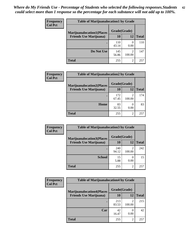| <b>Frequency</b> | <b>Table of Marijuanalocation1 by Grade</b> |              |                          |              |
|------------------|---------------------------------------------|--------------|--------------------------|--------------|
| <b>Col Pct</b>   | <b>Marijuanalocation1(Places</b>            | Grade(Grade) |                          |              |
|                  | <b>Friends Use Marijuana</b> )              | 10           | 12                       | <b>Total</b> |
|                  |                                             | 110<br>43.14 | 0.00                     | 110          |
|                  | Do Not Use                                  | 145<br>56.86 | $\overline{c}$<br>100.00 | 147          |
|                  | Total                                       | 255          | $\mathfrak{D}$           | 257          |

| <b>Frequency</b> | <b>Table of Marijuanalocation2 by Grade</b> |              |                          |              |  |  |
|------------------|---------------------------------------------|--------------|--------------------------|--------------|--|--|
| <b>Col Pct</b>   | <b>Marijuanalocation2(Places</b>            | Grade(Grade) |                          |              |  |  |
|                  | <b>Friends Use Marijuana</b> )              | 10           | 12                       | <b>Total</b> |  |  |
|                  |                                             | 172<br>67.45 | $\mathfrak{D}$<br>100.00 | 174          |  |  |
|                  | Home                                        | 83<br>32.55  | 0.00                     | 83           |  |  |
|                  | <b>Total</b>                                | 255          | 2                        | 257          |  |  |

| <b>Frequency</b><br><b>Col Pct</b> | <b>Table of Marijuanalocation3 by Grade</b>                        |                    |                          |              |
|------------------------------------|--------------------------------------------------------------------|--------------------|--------------------------|--------------|
|                                    | <b>Marijuanalocation3(Places</b><br><b>Friends Use Marijuana</b> ) | Grade(Grade)<br>10 | 12                       | <b>Total</b> |
|                                    |                                                                    | 240<br>94.12       | $\mathfrak{D}$<br>100.00 | 242          |
|                                    | <b>School</b>                                                      | 15<br>5.88         | 0.00                     | 15           |
|                                    | <b>Total</b>                                                       | 255                | $\mathfrak{D}$           | 257          |

| <b>Frequency</b> | <b>Table of Marijuanalocation4 by Grade</b> |              |                          |              |  |
|------------------|---------------------------------------------|--------------|--------------------------|--------------|--|
| <b>Col Pct</b>   | <b>Marijuanalocation4(Places</b>            | Grade(Grade) |                          |              |  |
|                  | <b>Friends Use Marijuana</b> )              | <b>10</b>    | 12                       | <b>Total</b> |  |
|                  |                                             | 213<br>83.53 | 100.00                   | 215          |  |
|                  | Car                                         | 42<br>16.47  | 0.00                     | 42           |  |
|                  | <b>Total</b>                                | 255          | $\overline{\mathcal{L}}$ | 257          |  |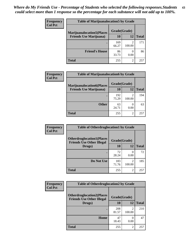| <b>Frequency</b> | <b>Table of Marijuanalocation5 by Grade</b> |              |             |              |
|------------------|---------------------------------------------|--------------|-------------|--------------|
| <b>Col Pct</b>   | <b>Marijuanalocation5</b> (Places           | Grade(Grade) |             |              |
|                  | <b>Friends Use Marijuana</b> )              | 10           | 12          | <b>Total</b> |
|                  |                                             | 169<br>66.27 | ∍<br>100.00 | 171          |
|                  | <b>Friend's House</b>                       | 86<br>33.73  | 0.00        | 86           |
|                  | Total                                       | 255          | 2           | 257          |

| Frequency      | <b>Table of Marijuanalocation6 by Grade</b>                        |                    |             |              |
|----------------|--------------------------------------------------------------------|--------------------|-------------|--------------|
| <b>Col Pct</b> | <b>Marijuanalocation6(Places</b><br><b>Friends Use Marijuana</b> ) | Grade(Grade)<br>10 | 12          | <b>Total</b> |
|                |                                                                    |                    |             |              |
|                |                                                                    | 192<br>75.29       | 2<br>100.00 | 194          |
|                | <b>Other</b>                                                       | 63<br>24.71        | 0.00        | 63           |
|                | <b>Total</b>                                                       | 255                | 2           | 257          |

| <b>Frequency</b> | <b>Table of Otherdruglocation1 by Grade</b>                          |              |                          |              |
|------------------|----------------------------------------------------------------------|--------------|--------------------------|--------------|
| <b>Col Pct</b>   | <b>Otherdruglocation1(Places</b><br><b>Friends Use Other Illegal</b> | Grade(Grade) |                          |              |
|                  | Drugs)                                                               | 10           | 12                       | <b>Total</b> |
|                  |                                                                      | 72<br>28.24  | $\Omega$<br>0.00         | 72           |
|                  | Do Not Use                                                           | 183<br>71.76 | 100.00                   | 185          |
|                  | <b>Total</b>                                                         | 255          | $\overline{\mathcal{L}}$ | 257          |

| Frequency      | <b>Table of Otherdruglocation2 by Grade</b>                          |              |                          |              |
|----------------|----------------------------------------------------------------------|--------------|--------------------------|--------------|
| <b>Col Pct</b> | <b>Otherdruglocation2(Places</b><br><b>Friends Use Other Illegal</b> | Grade(Grade) |                          |              |
|                | Drugs)                                                               | 10           | 12                       | <b>Total</b> |
|                |                                                                      | 208<br>81.57 | $\mathfrak{D}$<br>100.00 | 210          |
|                | Home                                                                 | 47<br>18.43  | 0<br>0.00                | 47           |
|                | <b>Total</b>                                                         | 255          | $\overline{c}$           | 257          |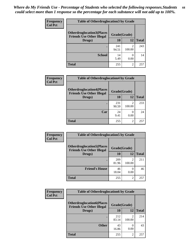| <b>Frequency</b> | <b>Table of Otherdruglocation 3 by Grade</b>                         |              |                          |              |  |
|------------------|----------------------------------------------------------------------|--------------|--------------------------|--------------|--|
| <b>Col Pct</b>   | <b>Otherdruglocation3(Places</b><br><b>Friends Use Other Illegal</b> | Grade(Grade) |                          |              |  |
|                  | Drugs)                                                               | 10           | 12                       | <b>Total</b> |  |
|                  |                                                                      | 241<br>94.51 | $\mathfrak{D}$<br>100.00 | 243          |  |
|                  | <b>School</b>                                                        | 14<br>5.49   | 0.00                     | 14           |  |
|                  | <b>Total</b>                                                         | 255          | 2                        | 257          |  |

| <b>Frequency</b> | <b>Table of Otherdruglocation4 by Grade</b>                          |              |                                       |              |
|------------------|----------------------------------------------------------------------|--------------|---------------------------------------|--------------|
| <b>Col Pct</b>   | <b>Otherdruglocation4(Places</b><br><b>Friends Use Other Illegal</b> | Grade(Grade) |                                       |              |
|                  | Drugs)                                                               | 10           | 12                                    | <b>Total</b> |
|                  |                                                                      | 231<br>90.59 | $\mathcal{D}_{\mathcal{L}}$<br>100.00 | 233          |
|                  | Car                                                                  | 24<br>9.41   | $\mathbf{\Omega}$<br>0.00             | 24           |
|                  | <b>Total</b>                                                         | 255          | $\mathcal{D}$                         | 257          |

| <b>Frequency</b> | <b>Table of Otherdruglocation5 by Grade</b>                          |              |                          |              |
|------------------|----------------------------------------------------------------------|--------------|--------------------------|--------------|
| <b>Col Pct</b>   | <b>Otherdruglocation5(Places</b><br><b>Friends Use Other Illegal</b> | Grade(Grade) |                          |              |
|                  | Drugs)                                                               | 10           | 12                       | <b>Total</b> |
|                  |                                                                      | 209<br>81.96 | $\mathfrak{D}$<br>100.00 | 211          |
|                  | <b>Friend's House</b>                                                | 46<br>18.04  | 0.00                     | 46           |
|                  | <b>Total</b>                                                         | 255          | 2                        | 257          |

| <b>Frequency</b> | <b>Table of Otherdruglocation6 by Grade</b>                           |              |                                                                                                                                                                           |              |
|------------------|-----------------------------------------------------------------------|--------------|---------------------------------------------------------------------------------------------------------------------------------------------------------------------------|--------------|
| <b>Col Pct</b>   | <b>Otherdruglocation6(Places)</b><br><b>Friends Use Other Illegal</b> | Grade(Grade) |                                                                                                                                                                           |              |
|                  | Drugs)                                                                | <b>10</b>    | 12                                                                                                                                                                        | <b>Total</b> |
|                  |                                                                       | 212<br>83.14 | $\mathcal{D}_{\mathcal{A}}^{\mathcal{A}}(\mathcal{A})=\mathcal{D}_{\mathcal{A}}^{\mathcal{A}}(\mathcal{A})\mathcal{D}_{\mathcal{A}}^{\mathcal{A}}(\mathcal{A})$<br>100.00 | 214          |
|                  | <b>Other</b>                                                          | 43<br>16.86  | $\Omega$<br>0.00                                                                                                                                                          | 43           |
|                  | <b>Total</b>                                                          | 255          | $\overline{c}$                                                                                                                                                            | 257          |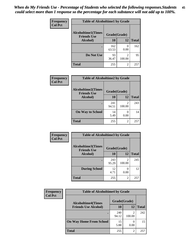| Frequency      | <b>Table of Alcoholtime1 by Grade</b>                           |              |                          |              |
|----------------|-----------------------------------------------------------------|--------------|--------------------------|--------------|
| <b>Col Pct</b> | <b>Alcoholtime1(Times</b><br>Grade(Grade)<br><b>Friends Use</b> |              |                          |              |
|                | Alcohol)                                                        | <b>10</b>    | 12                       | <b>Total</b> |
|                |                                                                 | 162<br>63.53 | $\Omega$<br>0.00         | 162          |
|                | Do Not Use                                                      | 93<br>36.47  | $\mathfrak{D}$<br>100.00 | 95           |
|                | <b>Total</b>                                                    | 255          | 2                        | 257          |

| Frequency      | <b>Table of Alcoholtime2 by Grade</b>           |              |             |              |
|----------------|-------------------------------------------------|--------------|-------------|--------------|
| <b>Col Pct</b> | <b>Alcoholtime2(Times</b><br><b>Friends Use</b> | Grade(Grade) |             |              |
|                | Alcohol)                                        | 10           | 12          | <b>Total</b> |
|                |                                                 | 241<br>94.51 | 2<br>100.00 | 243          |
|                | <b>On Way to School</b>                         | 14<br>5.49   | 0.00        | 14           |
|                | <b>Total</b>                                    | 255          | 2           | 257          |

| Frequency      | <b>Table of Alcoholtime3 by Grade</b>                           |              |                |              |
|----------------|-----------------------------------------------------------------|--------------|----------------|--------------|
| <b>Col Pct</b> | <b>Alcoholtime3(Times</b><br>Grade(Grade)<br><b>Friends Use</b> |              |                |              |
|                | Alcohol)                                                        | 10           | 12             | <b>Total</b> |
|                |                                                                 | 243<br>95.29 | 2<br>100.00    | 245          |
|                | <b>During School</b>                                            | 12<br>4.71   | 0.00           | 12           |
|                | <b>Total</b>                                                    | 255          | $\overline{2}$ | 257          |

| <b>Frequency</b><br><b>Col Pct</b> | <b>Table of Alcoholtime4 by Grade</b> |              |        |              |
|------------------------------------|---------------------------------------|--------------|--------|--------------|
|                                    | <b>Alcoholtime4(Times</b>             | Grade(Grade) |        |              |
|                                    | <b>Friends Use Alcohol)</b>           | 10           | 12     | <b>Total</b> |
|                                    |                                       | 240<br>94.12 | 100.00 | 242          |
|                                    | <b>On Way Home From School</b>        | 15<br>5.88   | 0.00   | 15           |
|                                    | <b>Total</b>                          | 255          | 2      | 257          |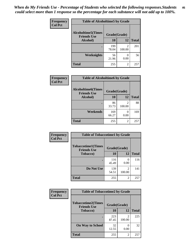*When do My Friends Use - Percentage of Students who selected the following responses.Students could select more than 1 response so the percentage for each substance will not add up to 100%.* **46**

| Frequency      | <b>Table of Alcoholtime5 by Grade</b>            |              |             |              |
|----------------|--------------------------------------------------|--------------|-------------|--------------|
| <b>Col Pct</b> | <b>Alcoholtime5</b> (Times<br><b>Friends Use</b> | Grade(Grade) |             |              |
|                | Alcohol)                                         | 10           | <b>12</b>   | <b>Total</b> |
|                |                                                  | 199<br>78.04 | 2<br>100.00 | 201          |
|                | Weeknights                                       | 56<br>21.96  | 0.00        | 56           |
|                | <b>Total</b>                                     | 255          | 2           | 257          |

| Frequency      | <b>Table of Alcoholtime6 by Grade</b>           |              |             |              |
|----------------|-------------------------------------------------|--------------|-------------|--------------|
| <b>Col Pct</b> | <b>Alcoholtime6(Times</b><br><b>Friends Use</b> | Grade(Grade) |             |              |
|                | Alcohol)                                        | 10           | 12          | <b>Total</b> |
|                | ٠                                               | 86<br>33.73  | 2<br>100.00 | 88           |
|                | Weekends                                        | 169<br>66.27 | 0.00        | 169          |
|                | <b>Total</b>                                    | 255          | 2           | 257          |

| Frequency      | <b>Table of Tobaccotime1 by Grade</b>                           |              |                                       |              |
|----------------|-----------------------------------------------------------------|--------------|---------------------------------------|--------------|
| <b>Col Pct</b> | <b>Tobaccotime1(Times</b><br>Grade(Grade)<br><b>Friends Use</b> |              |                                       |              |
|                | <b>Tobacco</b> )                                                | 10           | 12                                    | <b>Total</b> |
|                |                                                                 | 116<br>45.49 | 0<br>0.00                             | 116          |
|                | Do Not Use                                                      | 139<br>54.51 | $\mathcal{D}_{\mathcal{L}}$<br>100.00 | 141          |
|                | <b>Total</b>                                                    | 255          | 2                                     | 257          |

| Frequency      | <b>Table of Tobaccotime2 by Grade</b>           |              |                |              |
|----------------|-------------------------------------------------|--------------|----------------|--------------|
| <b>Col Pct</b> | <b>Tobaccotime2(Times</b><br><b>Friends Use</b> | Grade(Grade) |                |              |
|                | <b>Tobacco</b> )                                | 10           | 12             | <b>Total</b> |
|                |                                                 | 223<br>87.45 | 2<br>100.00    | 225          |
|                | <b>On Way to School</b>                         | 32<br>12.55  | 0.00           | 32           |
|                | <b>Total</b>                                    | 255          | $\mathfrak{D}$ | 257          |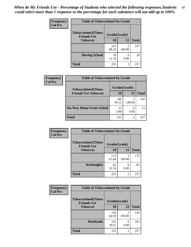*When do My Friends Use - Percentage of Students who selected the following responses.Students could select more than 1 response so the percentage for each substance will not add up to 100%.* **47**

| <b>Frequency</b> | <b>Table of Tobaccotime3 by Grade</b>           |              |                          |              |  |
|------------------|-------------------------------------------------|--------------|--------------------------|--------------|--|
| <b>Col Pct</b>   | <b>Tobaccotime3(Times</b><br><b>Friends Use</b> | Grade(Grade) |                          |              |  |
|                  | <b>Tobacco</b> )                                | 10           | 12                       | <b>Total</b> |  |
|                  |                                                 | 225<br>88.24 | $\mathfrak{D}$<br>100.00 | 227          |  |
|                  | <b>During School</b>                            | 30<br>11.76  | 0.00                     | 30           |  |
|                  | <b>Total</b>                                    | 255          | 2                        | 257          |  |

| Frequency<br><b>Col Pct</b> | <b>Table of Tobaccotime4 by Grade</b> |              |                |              |
|-----------------------------|---------------------------------------|--------------|----------------|--------------|
|                             | <b>Tobaccotime4(Times</b>             | Grade(Grade) |                |              |
|                             | <b>Friends Use Tobacco)</b>           | 10           | 12             | <b>Total</b> |
|                             |                                       | 240<br>94.12 | C<br>100.00    | 242          |
|                             | <b>On Way Home From School</b>        | 15<br>5.88   | 0.00           | 15           |
|                             | <b>Total</b>                          | 255          | $\mathfrak{D}$ | 257          |

| <b>Frequency</b> | <b>Table of Tobaccotime5 by Grade</b>           |              |             |              |
|------------------|-------------------------------------------------|--------------|-------------|--------------|
| <b>Col Pct</b>   | <b>Tobaccotime5(Times</b><br><b>Friends Use</b> | Grade(Grade) |             |              |
|                  | <b>Tobacco</b> )                                | 10           | 12          | <b>Total</b> |
|                  |                                                 | 173<br>67.84 | 2<br>100.00 | 175          |
|                  | Weeknights                                      | 82<br>32.16  | 0.00        | 82           |
|                  | <b>Total</b>                                    | 255          | 2           | 257          |

| <b>Frequency</b> | <b>Table of Tobaccotime6 by Grade</b>           |              |                         |              |
|------------------|-------------------------------------------------|--------------|-------------------------|--------------|
| <b>Col Pct</b>   | <b>Tobaccotime6(Times</b><br><b>Friends Use</b> | Grade(Grade) |                         |              |
|                  | <b>Tobacco</b> )                                | 10           | 12                      | <b>Total</b> |
|                  | ٠                                               | 154<br>60.39 | $\mathcal{L}$<br>100.00 | 156          |
|                  | Weekends                                        | 101<br>39.61 | 0<br>0.00               | 101          |
|                  | <b>Total</b>                                    | 255          | 2                       | 257          |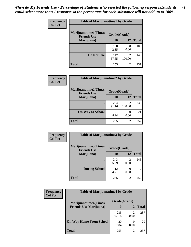| Frequency      | <b>Table of Marijuanatime1 by Grade</b>           |              |                |              |
|----------------|---------------------------------------------------|--------------|----------------|--------------|
| <b>Col Pct</b> | <b>Marijuanatime1(Times</b><br><b>Friends Use</b> | Grade(Grade) |                |              |
|                | Marijuana)                                        | 10           | 12             | <b>Total</b> |
|                |                                                   | 108<br>42.35 | 0<br>0.00      | 108          |
|                | Do Not Use                                        | 147<br>57.65 | 2<br>100.00    | 149          |
|                | <b>Total</b>                                      | 255          | $\overline{c}$ | 257          |

| Frequency      | <b>Table of Marijuanatime2 by Grade</b>    |              |                                       |              |
|----------------|--------------------------------------------|--------------|---------------------------------------|--------------|
| <b>Col Pct</b> | Marijuanatime2(Times<br><b>Friends Use</b> | Grade(Grade) |                                       |              |
|                | Marijuana)                                 | 10           | 12                                    | <b>Total</b> |
|                |                                            | 234<br>91.76 | $\mathcal{D}_{\mathcal{L}}$<br>100.00 | 236          |
|                | <b>On Way to School</b>                    | 21<br>8.24   | 0<br>0.00                             | 21           |
|                | <b>Total</b>                               | 255          | 2                                     | 257          |

| Frequency<br><b>Col Pct</b> | <b>Table of Marijuanatime3 by Grade</b>    |              |                          |              |  |
|-----------------------------|--------------------------------------------|--------------|--------------------------|--------------|--|
|                             | Marijuanatime3(Times<br><b>Friends Use</b> | Grade(Grade) |                          |              |  |
|                             | Marijuana)                                 | 10           | 12                       | <b>Total</b> |  |
|                             |                                            | 243<br>95.29 | $\mathfrak{D}$<br>100.00 | 245          |  |
|                             | <b>During School</b>                       | 12<br>4.71   | 0<br>0.00                | 12           |  |
|                             | <b>Total</b>                               | 255          | $\mathfrak{D}$           | 257          |  |

| <b>Frequency</b><br><b>Col Pct</b> | <b>Table of Marijuanatime4 by Grade</b> |              |        |       |
|------------------------------------|-----------------------------------------|--------------|--------|-------|
|                                    | <b>Marijuanatime4</b> (Times            | Grade(Grade) |        |       |
|                                    | <b>Friends Use Marijuana</b> )          | 10           | 12     | Total |
|                                    |                                         | 235<br>92.16 | 100.00 | 237   |
|                                    | <b>On Way Home From School</b>          | 20<br>7.84   | 0.00   | 20    |
|                                    | <b>Total</b>                            | 255          | 2      | 257   |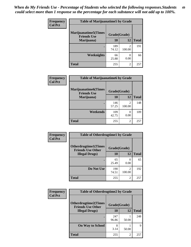| Frequency      | <b>Table of Marijuanatime5 by Grade</b>            |              |                                    |              |
|----------------|----------------------------------------------------|--------------|------------------------------------|--------------|
| <b>Col Pct</b> | <b>Marijuanatime5</b> (Times<br><b>Friends Use</b> | Grade(Grade) |                                    |              |
|                | Marijuana)                                         | 10           | 12                                 | <b>Total</b> |
|                |                                                    | 189<br>74.12 | $\overline{\mathcal{L}}$<br>100.00 | 191          |
|                | Weeknights                                         | 66<br>25.88  | 0.00                               | 66           |
|                | <b>Total</b>                                       | 255          | $\overline{c}$                     | 257          |

| Frequency      | <b>Table of Marijuanatime6 by Grade</b>    |              |                          |              |
|----------------|--------------------------------------------|--------------|--------------------------|--------------|
| <b>Col Pct</b> | Marijuanatime6(Times<br><b>Friends Use</b> | Grade(Grade) |                          |              |
|                | Marijuana)                                 | 10           | 12                       | <b>Total</b> |
|                |                                            | 146<br>57.25 | $\mathfrak{D}$<br>100.00 | 148          |
|                | Weekends                                   | 109<br>42.75 | 0<br>0.00                | 109          |
|                | <b>Total</b>                               | 255          | 2                        | 257          |

| Frequency      | <b>Table of Otherdrugtime1 by Grade</b>                 |              |                          |              |
|----------------|---------------------------------------------------------|--------------|--------------------------|--------------|
| <b>Col Pct</b> | <b>Otherdrugtime1(Times</b><br><b>Friends Use Other</b> | Grade(Grade) |                          |              |
|                | <b>Illegal Drugs</b> )                                  | 10           | 12                       | <b>Total</b> |
|                |                                                         | 65<br>25.49  | 0.00                     | 65           |
|                | Do Not Use                                              | 190<br>74.51 | $\mathfrak{D}$<br>100.00 | 192          |
|                | Total                                                   | 255          | $\overline{c}$           | 257          |

| Frequency<br><b>Col Pct</b> | <b>Table of Otherdrugtime2 by Grade</b>                 |              |                |              |  |  |
|-----------------------------|---------------------------------------------------------|--------------|----------------|--------------|--|--|
|                             | <b>Otherdrugtime2(Times</b><br><b>Friends Use Other</b> | Grade(Grade) |                |              |  |  |
|                             | <b>Illegal Drugs</b> )                                  | 10           | 12             | <b>Total</b> |  |  |
|                             |                                                         | 247<br>96.86 | 50.00          | 248          |  |  |
|                             | <b>On Way to School</b>                                 | 8<br>3.14    | 50.00          | 9            |  |  |
|                             | Total                                                   | 255          | $\overline{2}$ | 257          |  |  |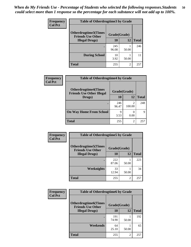| <b>Frequency</b> | <b>Table of Otherdrugtime3 by Grade</b>                 |              |                |              |  |  |
|------------------|---------------------------------------------------------|--------------|----------------|--------------|--|--|
| <b>Col Pct</b>   | <b>Otherdrugtime3(Times</b><br><b>Friends Use Other</b> | Grade(Grade) |                |              |  |  |
|                  | <b>Illegal Drugs</b> )                                  | 10           | 12             | <b>Total</b> |  |  |
|                  |                                                         | 245<br>96.08 | 50.00          | 246          |  |  |
|                  | <b>During School</b>                                    | 10<br>3.92   | 50.00          | 11           |  |  |
|                  | <b>Total</b>                                            | 255          | $\overline{c}$ | 257          |  |  |

| <b>Frequency</b> | <b>Table of Otherdrugtime4 by Grade</b>                         |              |                |              |  |  |
|------------------|-----------------------------------------------------------------|--------------|----------------|--------------|--|--|
| <b>Col Pct</b>   | <b>Otherdrugtime4(Times</b><br><b>Friends Use Other Illegal</b> | Grade(Grade) |                |              |  |  |
|                  | Drugs)                                                          | 10           | 12             | <b>Total</b> |  |  |
|                  |                                                                 | 246<br>96.47 | 100.00         | 248          |  |  |
|                  | <b>On Way Home From School</b>                                  | 9<br>3.53    | 0.00           | 9            |  |  |
|                  | <b>Total</b>                                                    | 255          | $\mathfrak{D}$ | 257          |  |  |

| <b>Frequency</b> | <b>Table of Otherdrugtime5 by Grade</b>                  |              |                |              |  |  |  |
|------------------|----------------------------------------------------------|--------------|----------------|--------------|--|--|--|
| <b>Col Pct</b>   | <b>Otherdrugtime5</b> (Times<br><b>Friends Use Other</b> | Grade(Grade) |                |              |  |  |  |
|                  | <b>Illegal Drugs</b> )                                   | 10           | 12             | <b>Total</b> |  |  |  |
|                  |                                                          | 222<br>87.06 | 50.00          | 223          |  |  |  |
|                  | Weeknights                                               | 33<br>12.94  | 50.00          | 34           |  |  |  |
|                  | <b>Total</b>                                             | 255          | $\overline{c}$ | 257          |  |  |  |

| <b>Frequency</b> | <b>Table of Otherdrugtime6 by Grade</b>                 |              |                |              |  |  |
|------------------|---------------------------------------------------------|--------------|----------------|--------------|--|--|
| <b>Col Pct</b>   | <b>Otherdrugtime6(Times</b><br><b>Friends Use Other</b> | Grade(Grade) |                |              |  |  |
|                  | <b>Illegal Drugs</b> )                                  | 10           | 12             | <b>Total</b> |  |  |
|                  |                                                         | 191<br>74.90 | 50.00          | 192          |  |  |
|                  | Weekends                                                | 64<br>25.10  | 50.00          | 65           |  |  |
|                  | Total                                                   | 255          | $\overline{2}$ | 257          |  |  |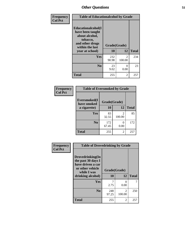| Frequency<br><b>Col Pct</b> | <b>Table of Educationalcohol by Grade</b>                                                                  |              |                                       |              |  |  |
|-----------------------------|------------------------------------------------------------------------------------------------------------|--------------|---------------------------------------|--------------|--|--|
|                             | Educationalcohol(I<br>have been taught<br>about alcohol,<br>tobacco,<br>and other drugs<br>within the last | Grade(Grade) |                                       |              |  |  |
|                             | year at school)                                                                                            | 10           | 12                                    | <b>Total</b> |  |  |
|                             | <b>Yes</b>                                                                                                 | 232<br>90.98 | $\mathcal{D}_{\mathcal{L}}$<br>100.00 | 234          |  |  |
|                             | N <sub>0</sub>                                                                                             | 23<br>9.02   | 0<br>0.00                             | 23           |  |  |
|                             | <b>Total</b>                                                                                               | 255          | $\mathfrak{D}$                        | 257          |  |  |

| Frequency      | <b>Table of Eversmoked by Grade</b> |              |                |              |  |  |  |
|----------------|-------------------------------------|--------------|----------------|--------------|--|--|--|
| <b>Col Pct</b> | Eversmoked(I<br>have smoked         | Grade(Grade) |                |              |  |  |  |
|                | a cigarette)                        | 10           | 12             | <b>Total</b> |  |  |  |
|                | Yes                                 | 83<br>32.55  | 2<br>100.00    | 85           |  |  |  |
|                | N <sub>0</sub>                      | 172<br>67.45 | 0.00           | 172          |  |  |  |
|                | <b>Total</b>                        | 255          | $\overline{2}$ | 257          |  |  |  |

| Frequency      | <b>Table of Drovedrinking by Grade</b>                                                                              |                    |                           |     |  |  |  |
|----------------|---------------------------------------------------------------------------------------------------------------------|--------------------|---------------------------|-----|--|--|--|
| <b>Col Pct</b> | Drovedrinking(In<br>the past 30 days I<br>have driven a car<br>or other vehicle<br>while I was<br>drinking alcohol) | Grade(Grade)<br>10 | <b>Total</b>              |     |  |  |  |
|                | <b>Yes</b>                                                                                                          | 2.75               | $\mathbf{\Omega}$<br>0.00 |     |  |  |  |
|                | N <sub>0</sub>                                                                                                      | 248<br>97.25       | $\mathcal{L}$<br>100.00   | 250 |  |  |  |
|                | <b>Total</b>                                                                                                        | 255                | 2                         | 257 |  |  |  |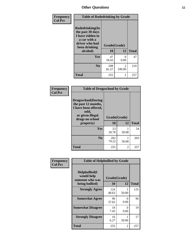| Frequency<br><b>Col Pct</b> | <b>Table of Rodedrinking by Grade</b>                                                                             |                          |                          |              |  |  |  |
|-----------------------------|-------------------------------------------------------------------------------------------------------------------|--------------------------|--------------------------|--------------|--|--|--|
|                             | <b>Rodedrinking(In</b><br>the past 30 days<br>I have ridden in<br>a car with a<br>driver who had<br>been drinking | Grade(Grade)<br>10<br>12 |                          | <b>Total</b> |  |  |  |
|                             | alcohol)                                                                                                          |                          |                          |              |  |  |  |
|                             | <b>Yes</b>                                                                                                        | 47<br>18.43              | 0<br>0.00                | 47           |  |  |  |
|                             | N <sub>0</sub>                                                                                                    | 208<br>81.57             | $\mathfrak{D}$<br>100.00 | 210          |  |  |  |
|                             | <b>Total</b>                                                                                                      | 255                      | 2                        | 257          |  |  |  |

#### **Frequency Col Pct**

| <b>Table of Drugsschool by Grade</b>                                                                                      |              |              |              |  |  |  |  |
|---------------------------------------------------------------------------------------------------------------------------|--------------|--------------|--------------|--|--|--|--|
| <b>Drugsschool</b> (During<br>the past 12 months,<br>I have been offered,<br>sold,<br>or given illegal<br>drugs on school |              | Grade(Grade) |              |  |  |  |  |
| property)                                                                                                                 | 10           | 12           | <b>Total</b> |  |  |  |  |
| Yes                                                                                                                       | 53<br>20.78  | 50.00        | 54           |  |  |  |  |
| N <sub>0</sub>                                                                                                            | 202<br>79.22 | 50.00        | 203          |  |  |  |  |
| Total                                                                                                                     | 255          | 2            | 257          |  |  |  |  |

| Frequency      | <b>Table of Helpbullied by Grade</b>                 |              |            |              |  |  |  |  |
|----------------|------------------------------------------------------|--------------|------------|--------------|--|--|--|--|
| <b>Col Pct</b> | $Helpb$ ullied $(I$<br>would help<br>someone who was | Grade(Grade) |            |              |  |  |  |  |
|                | being bullied)                                       | <b>10</b>    | 12         | <b>Total</b> |  |  |  |  |
|                | <b>Strongly Agree</b>                                | 124<br>48.63 | 1<br>50.00 | 125          |  |  |  |  |
|                | <b>Somewhat Agree</b>                                | 96<br>37.65  | 0<br>0.00  | 96           |  |  |  |  |
|                | <b>Somewhat Disagree</b>                             | 19<br>7.45   | 0<br>0.00  | 19           |  |  |  |  |
|                | <b>Strongly Disagree</b>                             | 16<br>6.27   | 50.00      | 17           |  |  |  |  |
|                | <b>Total</b>                                         | 255          | 2          | 257          |  |  |  |  |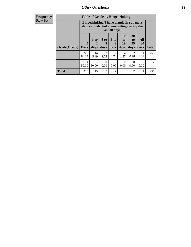| <b>Frequency</b> | <b>Table of Grade by Bingedrinking</b> |                                                                                                         |                   |                              |                        |                        |                                    |                   |                             |
|------------------|----------------------------------------|---------------------------------------------------------------------------------------------------------|-------------------|------------------------------|------------------------|------------------------|------------------------------------|-------------------|-----------------------------|
| <b>Row Pct</b>   |                                        | Bingedrinking(I have drunk five or more<br>drinks of alcohol at one sitting during the<br>last 30 days) |                   |                              |                        |                        |                                    |                   |                             |
|                  | Grade(Grade)                           | $\bf{0}$<br><b>Days</b>                                                                                 | 1 or<br>2<br>days | 3 <sub>to</sub><br>5<br>days | $6$ to<br>9<br>days    | 10<br>to<br>19<br>days | 20<br>t <sub>o</sub><br>29<br>days | All<br>30<br>days | <b>Total</b>                |
|                  | 10                                     | 225<br>88.24                                                                                            | 14<br>5.49        | 7<br>2.75                    | $\mathfrak{D}$<br>0.78 | 4<br>1.57              | $\mathfrak{D}$<br>0.78             | 0.39              | 255                         |
|                  | 12                                     | 50.00                                                                                                   | 1<br>50.00        | $\Omega$<br>0.00             | $\Omega$<br>0.00       | $\Omega$<br>0.00       | $\left($<br>0.00                   | $\Omega$<br>0.00  | $\mathcal{D}_{\mathcal{L}}$ |
|                  | <b>Total</b>                           | 226                                                                                                     | 15                | 7                            | $\overline{2}$         | 4                      | $\overline{c}$                     | 1                 | 257                         |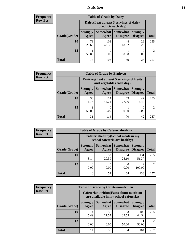### *Nutrition* **54**

| Frequency      |
|----------------|
| <b>Row Pct</b> |

| <b>Table of Grade by Dairy</b> |                                                                                                          |                                                                 |             |             |                             |  |  |  |
|--------------------------------|----------------------------------------------------------------------------------------------------------|-----------------------------------------------------------------|-------------|-------------|-----------------------------|--|--|--|
|                                |                                                                                                          | Dairy (I eat at least 3 servings of dairy<br>products each day) |             |             |                             |  |  |  |
| Grade(Grade)                   | Somewhat Somewhat<br><b>Strongly</b><br><b>Strongly</b><br><b>Disagree</b><br>Agree<br>Disagree<br>Agree |                                                                 |             |             |                             |  |  |  |
| 10                             | 73<br>28.63                                                                                              | 108<br>42.35                                                    | 48<br>18.82 | 26<br>10.20 | 255                         |  |  |  |
| 12                             | 50.00                                                                                                    | 0.00                                                            | 50.00       | 0.00        | $\mathcal{D}_{\mathcal{L}}$ |  |  |  |
| <b>Total</b>                   | 74                                                                                                       | 108                                                             | 49          | 26          | 257                         |  |  |  |

| <b>Frequency</b> |  |
|------------------|--|
| <b>Row Pct</b>   |  |

| y | <b>Table of Grade by Fruitveg</b> |                          |                                                                                              |             |             |                |  |  |
|---|-----------------------------------|--------------------------|----------------------------------------------------------------------------------------------|-------------|-------------|----------------|--|--|
|   |                                   |                          | Fruitveg(I eat at least 5 servings of fruits<br>and vegetables each day)                     |             |             |                |  |  |
|   | Grade(Grade)                      | <b>Strongly</b><br>Agree | Somewhat Somewhat<br><b>Strongly</b><br><b>Disagree</b><br>Disagree<br><b>Total</b><br>Agree |             |             |                |  |  |
|   | 10                                | 30<br>11.76              | 114<br>44.71                                                                                 | 69<br>27.06 | 42<br>16.47 | 255            |  |  |
|   | 12                                | 50.00                    | 0.00                                                                                         | 50.00       | 0.00        | $\mathfrak{D}$ |  |  |
|   | <b>Total</b>                      | 31                       | 114                                                                                          | 70          | 42          | 257            |  |  |

| <b>Frequency</b> | <b>Table of Grade by Cafeteriahealthy</b> |                                                                       |             |                                   |                                    |              |  |  |
|------------------|-------------------------------------------|-----------------------------------------------------------------------|-------------|-----------------------------------|------------------------------------|--------------|--|--|
| <b>Row Pct</b>   |                                           | Cafeteriahealthy (School meals in my<br>school cafeteria are healthy) |             |                                   |                                    |              |  |  |
|                  | Grade(Grade)                              | <b>Strongly</b><br>Agree                                              | Agree       | Somewhat   Somewhat  <br>Disagree | <b>Strongly</b><br><b>Disagree</b> | <b>Total</b> |  |  |
|                  | 10                                        | 3.14                                                                  | 52<br>20.39 | 64<br>25.10                       | 131<br>51.37                       | 255          |  |  |
|                  | 12                                        | 0.00                                                                  | 0<br>0.00   | 0.00                              | $\mathfrak{D}$<br>100.00           | 2            |  |  |
|                  | Total                                     | 8                                                                     | 52          | 64                                | 133                                | 257          |  |  |

| <b>Frequency</b> |
|------------------|
| <b>Row Pct</b>   |

| <b>Table of Grade by Cafeterianutrition</b> |                                                                                                               |                                                                                           |             |              |     |  |  |  |
|---------------------------------------------|---------------------------------------------------------------------------------------------------------------|-------------------------------------------------------------------------------------------|-------------|--------------|-----|--|--|--|
|                                             |                                                                                                               | <b>Cafeterianutrition</b> (Facts about nutrition<br>are available in my school cafeteria) |             |              |     |  |  |  |
| Grade(Grade)                                | Somewhat  <br>Somewhat<br><b>Strongly</b><br><b>Strongly</b><br><b>Disagree</b><br>Disagree<br>Agree<br>Agree |                                                                                           |             |              |     |  |  |  |
| 10                                          | 14<br>5.49                                                                                                    | 55<br>21.57                                                                               | 83<br>32.55 | 103<br>40.39 | 255 |  |  |  |
| 12                                          | 0<br>0.00                                                                                                     | 0.00                                                                                      | 50.00       | 50.00        |     |  |  |  |
| <b>Total</b>                                | 14                                                                                                            | 55                                                                                        | 84          | 104          | 257 |  |  |  |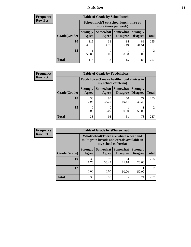### *Nutrition* **55**

| Frequency |
|-----------|
| Row Pct   |

| <b>Table of Grade by Schoollunch</b> |                                                                                                                                      |                                                                 |            |             |     |  |  |  |
|--------------------------------------|--------------------------------------------------------------------------------------------------------------------------------------|-----------------------------------------------------------------|------------|-------------|-----|--|--|--|
|                                      |                                                                                                                                      | Schoollunch(I eat school lunch three or<br>more times per week) |            |             |     |  |  |  |
| Grade(Grade)                         | Somewhat  <br><b>Strongly</b><br><b>Somewhat</b><br><b>Strongly</b><br><b>Disagree</b><br>Agree<br>Disagree<br><b>Total</b><br>Agree |                                                                 |            |             |     |  |  |  |
| 10                                   | 115<br>45.10                                                                                                                         | 38<br>14.90                                                     | 14<br>5.49 | 88<br>34.51 | 255 |  |  |  |
| 12                                   | 50.00                                                                                                                                | 0.00                                                            | 50.00      | 0.00        |     |  |  |  |
| <b>Total</b>                         | 116                                                                                                                                  | 38                                                              | 15         | 88          | 257 |  |  |  |

| <b>Frequency</b> |  |
|------------------|--|
| <b>Row Pct</b>   |  |

| <b>Table of Grade by Foodchoices</b>                                                                                     |             |             |             |             |               |  |  |
|--------------------------------------------------------------------------------------------------------------------------|-------------|-------------|-------------|-------------|---------------|--|--|
| Foodchoices (I make healthy food choices in<br>my school cafeteria)                                                      |             |             |             |             |               |  |  |
| Somewhat Somewhat<br><b>Strongly</b><br><b>Strongly</b><br><b>Disagree</b><br>Agree<br>Grade(Grade)<br>Disagree<br>Agree |             |             |             |             | <b>Total</b>  |  |  |
| 10                                                                                                                       | 33<br>12.94 | 95<br>37.25 | 50<br>19.61 | 77<br>30.20 | 255           |  |  |
| 12                                                                                                                       | 0.00        | 0.00        | 50.00       | 50.00       | $\mathcal{D}$ |  |  |
| <b>Total</b>                                                                                                             | 33          | 95          | 51          | 78          | 257           |  |  |

| <b>Frequency</b> | <b>Table of Grade by Wholewheat</b> |                          |                                                                                                             |                                        |                                    |                             |  |
|------------------|-------------------------------------|--------------------------|-------------------------------------------------------------------------------------------------------------|----------------------------------------|------------------------------------|-----------------------------|--|
| <b>Row Pct</b>   |                                     |                          | Wholewheat (There are whole wheat and<br>multigrain breads and cereals available in<br>my school cafeteria) |                                        |                                    |                             |  |
|                  | Grade(Grade)                        | <b>Strongly</b><br>Agree | Agree                                                                                                       | Somewhat   Somewhat<br><b>Disagree</b> | <b>Strongly</b><br><b>Disagree</b> | <b>Total</b>                |  |
|                  | 10                                  | 30<br>11.76              | 98<br>38.43                                                                                                 | 54<br>21.18                            | 73<br>28.63                        | 255                         |  |
|                  | 12                                  | 0.00                     | 0<br>0.00                                                                                                   | 50.00                                  | 50.00                              | $\mathcal{D}_{\mathcal{L}}$ |  |
|                  | <b>Total</b>                        | 30                       | 98                                                                                                          | 55                                     | 74                                 | 257                         |  |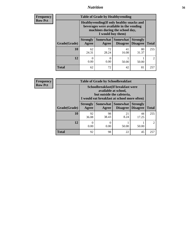### *Nutrition* **56**

**Frequency Row Pct**

| <b>Table of Grade by Healthyvending</b> |                                                                                                                                               |                          |                                    |                                    |                             |  |
|-----------------------------------------|-----------------------------------------------------------------------------------------------------------------------------------------------|--------------------------|------------------------------------|------------------------------------|-----------------------------|--|
|                                         | Healthyvending (If only healthy snacks and<br>beverages were available in the vending<br>machines during the school day,<br>I would buy them) |                          |                                    |                                    |                             |  |
| Grade(Grade)                            | <b>Strongly</b><br>Agree                                                                                                                      | <b>Somewhat</b><br>Agree | <b>Somewhat</b><br><b>Disagree</b> | <b>Strongly</b><br><b>Disagree</b> | <b>Total</b>                |  |
| 10                                      | 62<br>24.31                                                                                                                                   | 72<br>28.24              | 41<br>16.08                        | 80<br>31.37                        | 255                         |  |
| 12                                      | $\mathbf{\Omega}$<br>0.00                                                                                                                     | 0.00                     | 50.00                              | 50.00                              | $\mathcal{D}_{\mathcal{L}}$ |  |
| <b>Total</b>                            | 62                                                                                                                                            | 72                       | 42                                 | 81                                 | 257                         |  |

**Frequency Row Pct**

| <b>Table of Grade by Schoolbreakfast</b> |                                                                                                                                         |             |                                        |                                    |                             |  |
|------------------------------------------|-----------------------------------------------------------------------------------------------------------------------------------------|-------------|----------------------------------------|------------------------------------|-----------------------------|--|
|                                          | Schoolbreakfast (If breakfast were<br>available at school,<br>but outside the cafeteria,<br>I would eat breakfast at school more often) |             |                                        |                                    |                             |  |
| Grade(Grade)                             | <b>Strongly</b><br>Agree                                                                                                                | Agree       | Somewhat   Somewhat<br><b>Disagree</b> | <b>Strongly</b><br><b>Disagree</b> | <b>Total</b>                |  |
| 10                                       | 92<br>36.08                                                                                                                             | 98<br>38.43 | 21<br>8.24                             | 44<br>17.25                        | 255                         |  |
| 12                                       | 0<br>0.00                                                                                                                               | 0.00        | 50.00                                  | 50.00                              | $\mathcal{D}_{\mathcal{A}}$ |  |
| <b>Total</b>                             | 92                                                                                                                                      | 98          | 22                                     | 45                                 | 257                         |  |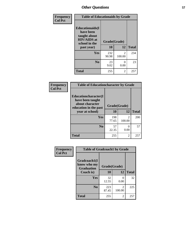| Frequency<br><b>Col Pct</b> | <b>Table of Educationaids by Grade</b>                                                                    |                    |                          |              |
|-----------------------------|-----------------------------------------------------------------------------------------------------------|--------------------|--------------------------|--------------|
|                             | <b>Educationaids</b> (I<br>have been<br>taught about<br><b>HIV/AIDS</b> at<br>school in the<br>past year) | Grade(Grade)<br>10 | 12                       | <b>Total</b> |
|                             | Yes                                                                                                       | 232<br>90.98       | $\mathfrak{D}$<br>100.00 | 234          |
|                             | N <sub>0</sub>                                                                                            | 23<br>9.02         | 0<br>0.00                | 23           |
|                             | <b>Total</b>                                                                                              | 255                | 2                        | 257          |

| Frequency<br><b>Col Pct</b> | <b>Table of Educationcharacter by Grade</b>                                                  |              |                          |              |
|-----------------------------|----------------------------------------------------------------------------------------------|--------------|--------------------------|--------------|
|                             | <b>Educationcharacter(I)</b><br>have been taught<br>about character<br>education in the past | Grade(Grade) |                          |              |
|                             | year at school)                                                                              | 10           | 12                       | <b>Total</b> |
|                             | Yes                                                                                          | 198<br>77.65 | $\mathfrak{D}$<br>100.00 | 200          |
|                             | N <sub>0</sub>                                                                               | 57<br>22.35  | 0<br>0.00                | 57           |
|                             | <b>Total</b>                                                                                 | 255          | $\overline{2}$           | 257          |

| Frequency      | <b>Table of Gradcoach1 by Grade</b>              |              |                  |              |
|----------------|--------------------------------------------------|--------------|------------------|--------------|
| <b>Col Pct</b> | Gradcoach1(I<br>know who my<br><b>Graduation</b> | Grade(Grade) |                  |              |
|                | Coach is)                                        | 10           | 12               | <b>Total</b> |
|                | Yes                                              | 32<br>12.55  | $\Omega$<br>0.00 | 32           |
|                | N <sub>0</sub>                                   | 223<br>87.45 | 2<br>100.00      | 225          |
|                | <b>Total</b>                                     | 255          | 2                | 257          |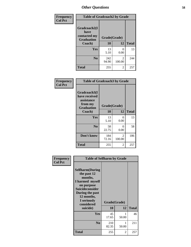| Frequency      | <b>Table of Gradcoach2 by Grade</b> |              |                          |              |
|----------------|-------------------------------------|--------------|--------------------------|--------------|
| <b>Col Pct</b> |                                     |              |                          |              |
|                | Gradcoach2(I<br>have                |              |                          |              |
|                | contacted my<br><b>Graduation</b>   | Grade(Grade) |                          |              |
|                | Coach)                              | 10           | 12                       | <b>Total</b> |
|                | Yes                                 | 13<br>5.10   | 0<br>0.00                | 13           |
|                | N <sub>0</sub>                      | 242<br>94.90 | $\mathfrak{D}$<br>100.00 | 244          |
|                | <b>Total</b>                        | 255          | 2                        | 257          |

| <b>Frequency</b><br><b>Col Pct</b> | <b>Table of Gradcoach3 by Grade</b>                                         |              |             |              |
|------------------------------------|-----------------------------------------------------------------------------|--------------|-------------|--------------|
|                                    | Gradcoach3(I<br>have received<br>assistance<br>from my<br><b>Graduation</b> | Grade(Grade) |             |              |
|                                    | Coach)                                                                      | 10           | 12          | <b>Total</b> |
|                                    | Yes                                                                         | 13<br>5.10   | 0<br>0.00   | 13           |
|                                    | N <sub>0</sub>                                                              | 58<br>22.75  | 0<br>0.00   | 58           |
|                                    | Don't know                                                                  | 184<br>72.16 | 2<br>100.00 | 186          |
|                                    | <b>Total</b>                                                                | 255          | 2           | 257          |

| Frequency      | <b>Table of Selfharm by Grade</b>                                                                                                                                                      |                    |            |              |
|----------------|----------------------------------------------------------------------------------------------------------------------------------------------------------------------------------------|--------------------|------------|--------------|
| <b>Col Pct</b> | <b>Selfharm</b> (During<br>the past 12<br>months,<br>I harmed myself<br>on purpose<br><b>Suicideconsider</b><br>During the past<br>12 months,<br>I seriously<br>considered<br>suicide) | Grade(Grade)<br>10 | 12         | <b>Total</b> |
|                | Yes                                                                                                                                                                                    | 45                 |            | 46           |
|                |                                                                                                                                                                                        | 17.65              | 50.00      |              |
|                | N <sub>0</sub>                                                                                                                                                                         | 210<br>82.35       | 1<br>50.00 | 211          |
|                | Total                                                                                                                                                                                  | 255                | 2          | 257          |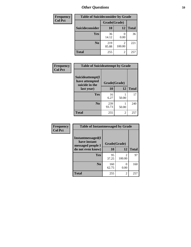| <b>Frequency</b> | <b>Table of Suicideconsider by Grade</b> |              |             |              |
|------------------|------------------------------------------|--------------|-------------|--------------|
| <b>Col Pct</b>   |                                          | Grade(Grade) |             |              |
|                  | Suicideconsider                          | <b>10</b>    | 12          | <b>Total</b> |
|                  | Yes                                      | 36<br>14.12  | 0.00        | 36           |
|                  | N <sub>0</sub>                           | 219<br>85.88 | 2<br>100.00 | 221          |
|                  | <b>Total</b>                             | 255          | 2           | 257          |

| Frequency      | <b>Table of Suicideattempt by Grade</b>              |              |                          |              |
|----------------|------------------------------------------------------|--------------|--------------------------|--------------|
| <b>Col Pct</b> | Suicideattempt(I<br>have attempted<br>suicide in the | Grade(Grade) |                          |              |
|                | last year)                                           | 10           | 12                       | <b>Total</b> |
|                | Yes                                                  | 16<br>6.27   | 50.00                    | 17           |
|                | N <sub>0</sub>                                       | 239<br>93.73 | 50.00                    | 240          |
|                | <b>Total</b>                                         | 255          | $\overline{\mathcal{L}}$ | 257          |

| Frequency      | <b>Table of Instantmessaged by Grade</b>               |              |                                       |              |
|----------------|--------------------------------------------------------|--------------|---------------------------------------|--------------|
| <b>Col Pct</b> | Instantmessaged(I<br>have instant<br>messaged people I | Grade(Grade) |                                       |              |
|                | do not even know)                                      | 10           | 12                                    | <b>Total</b> |
|                | Yes                                                    | 95<br>37.25  | $\mathcal{D}_{\mathcal{L}}$<br>100.00 | 97           |
|                | N <sub>0</sub>                                         | 160<br>62.75 | 0<br>0.00                             | 160          |
|                | <b>Total</b>                                           | 255          | 2                                     | 257          |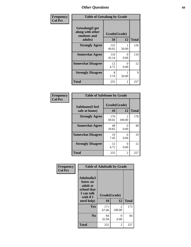| Frequency      | <b>Table of Getsalong by Grade</b>                                     |                    |           |              |
|----------------|------------------------------------------------------------------------|--------------------|-----------|--------------|
| <b>Col Pct</b> | <b>Getsalong</b> (I get<br>along with other<br>students and<br>adults) | Grade(Grade)<br>10 | 12        | <b>Total</b> |
|                |                                                                        |                    |           |              |
|                | <b>Strongly Agree</b>                                                  | 125<br>49.02       | 50.00     | 126          |
|                | <b>Somewhat Agree</b>                                                  | 110<br>43.14       | 0<br>0.00 | 110          |
|                | <b>Somewhat Disagree</b>                                               | 12<br>4.71         | 0<br>0.00 | 12           |
|                | <b>Strongly Disagree</b>                                               | 8<br>3.14          | 50.00     | 9            |
|                | <b>Total</b>                                                           | 255                | 2         | 257          |

| Frequency      | <b>Table of Safehome by Grade</b> |                           |                           |              |  |  |  |  |
|----------------|-----------------------------------|---------------------------|---------------------------|--------------|--|--|--|--|
| <b>Col Pct</b> | Safehome(I feel<br>safe at home)  | Grade(Grade)<br><b>10</b> | 12                        | <b>Total</b> |  |  |  |  |
|                | <b>Strongly Agree</b>             | 176<br>69.02              | 2<br>100.00               | 178          |  |  |  |  |
|                | <b>Somewhat Agree</b>             | 48<br>18.82               | $\mathbf{\Omega}$<br>0.00 | 48           |  |  |  |  |
|                | <b>Somewhat Disagree</b>          | 19<br>7.45                | 0<br>0.00                 | 19           |  |  |  |  |
|                | <b>Strongly Disagree</b>          | 12<br>4.71                | 0<br>0.00                 | 12           |  |  |  |  |
|                | Total                             | 255                       | 2                         | 257          |  |  |  |  |

| Frequency      | <b>Table of Adulttalk by Grade</b>                                                                |                    |                          |              |  |  |  |  |
|----------------|---------------------------------------------------------------------------------------------------|--------------------|--------------------------|--------------|--|--|--|--|
| <b>Col Pct</b> | <b>Adulttalk(I</b><br>know an<br>adult at<br>school that<br>I can talk<br>with if I<br>need help) | Grade(Grade)<br>10 | 12                       | <b>Total</b> |  |  |  |  |
|                | <b>Yes</b>                                                                                        | 171<br>67.06       | $\mathfrak{D}$<br>100.00 | 173          |  |  |  |  |
|                | N <sub>0</sub>                                                                                    | 84<br>32.94        | 0<br>0.00                | 84           |  |  |  |  |
|                | <b>Total</b>                                                                                      | 255                | 2                        | 257          |  |  |  |  |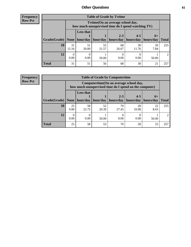| <b>Frequency</b> |
|------------------|
| <b>Row Pct</b>   |

| <b>Table of Grade by Tytime</b> |             |                                                                                        |             |                                    |             |                   |              |  |  |  |
|---------------------------------|-------------|----------------------------------------------------------------------------------------|-------------|------------------------------------|-------------|-------------------|--------------|--|--|--|
|                                 |             | Tvtime(On an average school day,<br>how much unsupervised time do I spend watching TV) |             |                                    |             |                   |              |  |  |  |
| Grade(Grade)   None   hour/day  |             | <b>Less that</b>                                                                       | hour/day    | $2 - 3$<br>  hours/day   hours/day | $4 - 5$     | $6+$<br>hours/day | <b>Total</b> |  |  |  |
| 10                              | 31<br>12.16 | 51<br>20.00                                                                            | 55<br>21.57 | 68<br>26.67                        | 30<br>11.76 | 20<br>7.84        | 255          |  |  |  |
| 12                              | 0.00        | 0.00                                                                                   | 50.00       | 0.00                               | 0.00        | 50.00             | 2            |  |  |  |
| <b>Total</b>                    | 31          | 51                                                                                     | 56          | 68                                 | 30          | 21                | 257          |  |  |  |

#### **Frequency Row Pct**

| <b>Table of Grade by Computertime</b>                                                                                         |            |                                                                                                   |             |             |             |            |              |  |  |  |
|-------------------------------------------------------------------------------------------------------------------------------|------------|---------------------------------------------------------------------------------------------------|-------------|-------------|-------------|------------|--------------|--|--|--|
|                                                                                                                               |            | Computertime (On an average school day,<br>how much unsupervised time do I spend on the computer) |             |             |             |            |              |  |  |  |
| <b>Less that</b><br>$4 - 5$<br>$2 - 3$<br>hour/day<br>hour/day<br>hours/day<br>hours/day<br>Grade(Grade)<br>None<br>hours/day |            |                                                                                                   |             |             |             |            | <b>Total</b> |  |  |  |
| 10                                                                                                                            | 25<br>9.80 | 58<br>22.75                                                                                       | 52<br>20.39 | 70<br>27.45 | 28<br>10.98 | 22<br>8.63 | 255          |  |  |  |
| 12                                                                                                                            | 0.00       | 0.00                                                                                              | 50.00       | 0.00        | 0.00        | 50.00      |              |  |  |  |
| <b>Total</b>                                                                                                                  | 25         | 58                                                                                                | 53          | 70          | 28          | 23         | 257          |  |  |  |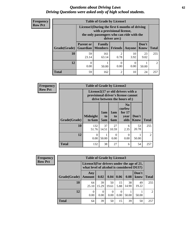#### *Questions about Driving Laws* **62** *Driving Questions were asked only of high school students.*

| <b>Frequency</b> |
|------------------|
| <b>Row Pct</b>   |

| <b>Table of Grade by License1</b> |                                                                                                                                           |                                            |                |            |               |                             |  |  |  |
|-----------------------------------|-------------------------------------------------------------------------------------------------------------------------------------------|--------------------------------------------|----------------|------------|---------------|-----------------------------|--|--|--|
|                                   | License1(During the first 6 months of driving<br>with a provisional license,<br>the only passengers who can ride with the<br>driver are:) |                                            |                |            |               |                             |  |  |  |
| Grade(Grade)                      | <b>Parent or</b>                                                                                                                          | <b>Family</b><br><b>Guardian</b>   Members | Friends        | Anyone     | Don't<br>Know | <b>Total</b>                |  |  |  |
| 10                                | 59<br>23.14                                                                                                                               | 161<br>63.14                               | 2<br>0.78      | 10<br>3.92 | 23<br>9.02    | 255                         |  |  |  |
| 12                                | 0.00                                                                                                                                      | 50.00                                      | 0<br>0.00      | 0<br>0.00  | 50.00         | $\mathcal{D}_{\mathcal{L}}$ |  |  |  |
| Total                             | 59                                                                                                                                        | 162                                        | $\overline{c}$ | 10         | 24            | 257                         |  |  |  |

| <b>Frequency</b> | <b>Table of Grade by License2</b> |                           |                  |                  |                                                                                                          |                      |                |  |  |  |
|------------------|-----------------------------------|---------------------------|------------------|------------------|----------------------------------------------------------------------------------------------------------|----------------------|----------------|--|--|--|
| <b>Row Pct</b>   |                                   |                           |                  |                  | License2(17 yr old drivers with a<br>provisional driver's license cannot<br>drive between the hours of:) |                      |                |  |  |  |
|                  | Grade(Grade)                      | <b>Midnight</b><br>to 6am | 1am<br>to<br>5am | 1am<br>to<br>6am | N <sub>0</sub><br>curfew<br>for $17$<br>year<br>olds                                                     | Don't<br><b>Know</b> | <b>Total</b>   |  |  |  |
|                  | 10                                | 132<br>51.76              | 37<br>14.51      | 27<br>10.59      | 6<br>2.35                                                                                                | 53<br>20.78          | 255            |  |  |  |
|                  | 12                                | 0<br>0.00                 | 50.00            | $\Omega$<br>0.00 | $\Omega$<br>0.00                                                                                         | 50.00                | $\mathfrak{D}$ |  |  |  |
|                  | <b>Total</b>                      | 132                       | 38               | 27               | 6                                                                                                        | 54                   | 257            |  |  |  |

| Frequency      | <b>Table of Grade by License3</b> |                                                                                        |                  |             |            |             |               |                |  |
|----------------|-----------------------------------|----------------------------------------------------------------------------------------|------------------|-------------|------------|-------------|---------------|----------------|--|
| <b>Row Pct</b> |                                   | License3(For drivers under the age of 21,<br>what level of alcohol is considered DUI?) |                  |             |            |             |               |                |  |
|                | Grade(Grade)                      | Any<br><b>Amount</b>                                                                   | 0.02             | 0.04        | 0.06       | 0.08        | Don't<br>know | <b>Total</b>   |  |
|                | 10                                | 64<br>25.10                                                                            | 39<br>15.29      | 50<br>19.61 | 15<br>5.88 | 38<br>14.90 | 49<br>19.22   | 255            |  |
|                | 12                                | $\Omega$<br>0.00                                                                       | $\Omega$<br>0.00 | 0<br>0.00   | 0.00       | 50.00       | 50.00         | $\mathfrak{D}$ |  |
|                | <b>Total</b>                      | 64                                                                                     | 39               | 50          | 15         | 39          | 50            | 257            |  |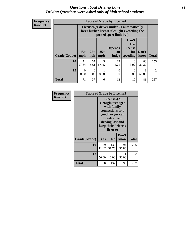#### *Questions about Driving Laws* **63** *Driving Questions were asked only of high school students.*

**Frequency Row Pct**

| <b>Table of Grade by License4</b> |                  |                                                                                                                      |              |                                      |                                             |               |                |  |  |
|-----------------------------------|------------------|----------------------------------------------------------------------------------------------------------------------|--------------|--------------------------------------|---------------------------------------------|---------------|----------------|--|--|
|                                   |                  | License4(A driver under 21 automatically<br>loses his/her license if caught exceeding the<br>posted speet limit by:) |              |                                      |                                             |               |                |  |  |
| Grade(Grade)                      | $15+$<br>mph     | $25+$<br>mph                                                                                                         | $35+$<br>mph | <b>Depends</b><br><b>on</b><br>judge | Can't<br>lose<br>license<br>for<br>speeding | Don't<br>know | <b>Total</b>   |  |  |
| 10                                | 71<br>27.84      | 37<br>14.51                                                                                                          | 45<br>17.65  | 12<br>4.71                           | 10<br>3.92                                  | 80<br>31.37   | 255            |  |  |
| 12                                | $\Omega$<br>0.00 | 0<br>0.00                                                                                                            | 1<br>50.00   | $\Omega$<br>0.00                     | 0<br>0.00                                   | 50.00         | $\mathfrak{D}$ |  |  |
| <b>Total</b>                      | 71               | 37                                                                                                                   | 46           | 12                                   | 10                                          | 81            | 257            |  |  |

| Frequency<br><b>Row Pct</b> | <b>Table of Grade by License5</b> |                                                                                                                                                             |                |               |              |  |
|-----------------------------|-----------------------------------|-------------------------------------------------------------------------------------------------------------------------------------------------------------|----------------|---------------|--------------|--|
|                             |                                   | License5(A)<br>Georgia teenager<br>with family<br>connections or a<br>good lawyer can<br>break a teen<br>driving law and<br>keep their driver's<br>license) |                |               |              |  |
|                             | Grade(Grade)                      | Yes                                                                                                                                                         | N <sub>0</sub> | Don't<br>know | <b>Total</b> |  |
|                             | 10                                | 29<br>11.37                                                                                                                                                 | 132<br>51.76   | 94<br>36.86   | 255          |  |
|                             | 12                                | 1<br>50.00                                                                                                                                                  | 0<br>0.00      | 50.00         | 2            |  |
|                             | <b>Total</b>                      | 30                                                                                                                                                          | 132            | 95            | 257          |  |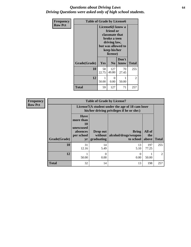#### *Questions about Driving Laws* **64** *Driving Questions were asked only of high school students.*

| <b>Frequency</b><br><b>Row Pct</b> | <b>Table of Grade by License6</b> |                                                                                                                                                 |                |               |              |  |
|------------------------------------|-----------------------------------|-------------------------------------------------------------------------------------------------------------------------------------------------|----------------|---------------|--------------|--|
|                                    |                                   | License <sub>6</sub> (I know a<br>friend or<br>classmate that<br>broke a teen<br>driving law,<br>but was allowed to<br>keep his/her<br>license) |                |               |              |  |
|                                    | Grade(Grade)                      | <b>Yes</b>                                                                                                                                      | N <sub>0</sub> | Don't<br>know | <b>Total</b> |  |
|                                    | 10                                | 58<br>22.75                                                                                                                                     | 127<br>49.80   | 70<br>27.45   | 255          |  |
|                                    | 12                                | $\mathbf{1}$<br>50.00                                                                                                                           | 0<br>0.00      | 1<br>50.00    | 2            |  |
|                                    | <b>Total</b>                      | 59                                                                                                                                              | 127            | 71            | 257          |  |

| <b>Frequency</b> | <b>Table of Grade by License7</b> |                                                                             |                                                                                               |                                                   |                        |                             |  |
|------------------|-----------------------------------|-----------------------------------------------------------------------------|-----------------------------------------------------------------------------------------------|---------------------------------------------------|------------------------|-----------------------------|--|
| <b>Row Pct</b>   |                                   |                                                                             | License7(A student under the age of 18 cam loser<br>his/her driving privileges if he or she:) |                                                   |                        |                             |  |
|                  | Grade(Grade)                      | <b>Have</b><br>more than<br>10<br>unexcused<br>absences<br>per school<br>yr | Drop out<br>without  <br>graduating                                                           | <b>Bring</b><br>alcohol/drugs/weapon<br>to school | All of<br>the<br>above | <b>Total</b>                |  |
|                  | 10                                | 31<br>12.16                                                                 | 14<br>5.49                                                                                    | 13<br>5.10                                        | 197<br>77.25           | 255                         |  |
|                  | 12                                | 50.00                                                                       | $\Omega$<br>0.00                                                                              | 0<br>0.00                                         | 50.00                  | $\mathcal{D}_{\mathcal{A}}$ |  |
|                  | <b>Total</b>                      | 32                                                                          | 14                                                                                            | 13                                                | 198                    | 257                         |  |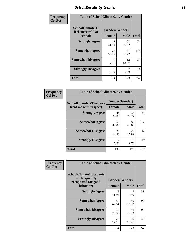# *Select Results by Gender* **65**

| Frequency      | <b>Table of SchoolClimate2 by Gender</b> |                              |                            |                    |
|----------------|------------------------------------------|------------------------------|----------------------------|--------------------|
| <b>Col Pct</b> | SchoolClimate2(I<br>feel successful at   | Gender(Gender)               |                            |                    |
|                | school)<br><b>Strongly Agree</b>         | <b>Female</b><br>42<br>31.34 | <b>Male</b><br>32<br>26.02 | <b>Total</b><br>74 |
|                | <b>Somewhat Agree</b>                    | 75<br>55.97                  | 71<br>57.72                | 146                |
|                | <b>Somewhat Disagree</b>                 | 10<br>7.46                   | 13<br>10.57                | 23                 |
|                | <b>Strongly Disagree</b>                 | 5.22                         | 7<br>5.69                  | 14                 |
|                | <b>Total</b>                             | 134                          | 123                        | 257                |

| Frequency      | <b>Table of SchoolClimate6 by Gender</b>                 |                                 |             |              |  |
|----------------|----------------------------------------------------------|---------------------------------|-------------|--------------|--|
| <b>Col Pct</b> | <b>SchoolClimate6(Teachers</b><br>treat me with respect) | Gender(Gender)<br><b>Female</b> | <b>Male</b> | <b>Total</b> |  |
|                | <b>Strongly Agree</b>                                    | 48<br>35.82                     | 36<br>29.27 | 84           |  |
|                | <b>Somewhat Agree</b>                                    | 59<br>44.03                     | 53<br>43.09 | 112          |  |
|                | <b>Somewhat Disagree</b>                                 | 20<br>14.93                     | 22<br>17.89 | 42           |  |
|                | <b>Strongly Disagree</b>                                 | 7<br>5.22                       | 12<br>9.76  | 19           |  |
|                | Total                                                    | 134                             | 123         | 257          |  |

| Frequency      | <b>Table of SchoolClimate8 by Gender</b>                                             |                                 |             |              |
|----------------|--------------------------------------------------------------------------------------|---------------------------------|-------------|--------------|
| <b>Col Pct</b> | <b>SchoolClimate8(Students</b><br>are frequently<br>recognized for good<br>behavior) | Gender(Gender)<br><b>Female</b> | <b>Male</b> | <b>Total</b> |
|                |                                                                                      |                                 |             |              |
|                | <b>Strongly Agree</b>                                                                | 16<br>11.94                     | 7<br>5.69   | 23           |
|                | <b>Somewhat Agree</b>                                                                | 57<br>42.54                     | 40<br>32.52 | 97           |
|                | <b>Somewhat Disagree</b>                                                             | 38<br>28.36                     | 56<br>45.53 | 94           |
|                | <b>Strongly Disagree</b>                                                             | 23<br>17.16                     | 20<br>16.26 | 43           |
|                | Total                                                                                | 134                             | 123         | 257          |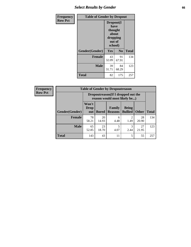## *Select Results by Gender* **66**

| Frequency      | <b>Table of Gender by Dropout</b> |                                                                        |                |              |
|----------------|-----------------------------------|------------------------------------------------------------------------|----------------|--------------|
| <b>Row Pct</b> |                                   | Dropout(I<br>have<br>thought<br>about<br>dropping<br>out of<br>school) |                |              |
|                | Gender(Gender)                    | Yes                                                                    | N <sub>0</sub> | <b>Total</b> |
|                | <b>Female</b>                     | 43<br>32.09                                                            | 91<br>67.91    | 134          |
|                | <b>Male</b>                       | 39<br>31.71                                                            | 84<br>68.29    | 123          |
|                | <b>Total</b>                      | 82                                                                     | 175            | 257          |

| <b>Frequency</b> | <b>Table of Gender by Dropoutreason</b> |                                                                    |              |                                 |                                |              |              |
|------------------|-----------------------------------------|--------------------------------------------------------------------|--------------|---------------------------------|--------------------------------|--------------|--------------|
| <b>Row Pct</b>   |                                         | Dropoutreason(If I dropped out the<br>reason would most likely be) |              |                                 |                                |              |              |
|                  | Gender(Gender)                          | Won't<br><b>Drop</b><br>out                                        | <b>Bored</b> | <b>Family</b><br><b>Reasons</b> | <b>Being</b><br><b>Bullied</b> | <b>Other</b> | <b>Total</b> |
|                  | <b>Female</b>                           | 78<br>58.21                                                        | 20<br>14.93  | 6<br>4.48                       | $\mathcal{D}$<br>1.49          | 28<br>20.90  | 134          |
|                  | <b>Male</b>                             | 65<br>52.85                                                        | 23<br>18.70  | 5<br>4.07                       | 2.44                           | 27<br>21.95  | 123          |
|                  | <b>Total</b>                            | 143                                                                | 43           | 11                              | 5                              | 55           | 257          |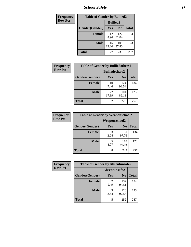*School Safety* **67**

| Frequency      | <b>Table of Gender by Bullied2</b> |                 |                |              |  |
|----------------|------------------------------------|-----------------|----------------|--------------|--|
| <b>Row Pct</b> |                                    | <b>Bullied2</b> |                |              |  |
|                | Gender(Gender)                     | Yes             | N <sub>0</sub> | <b>Total</b> |  |
|                | <b>Female</b>                      | 12<br>8.96      | 122<br>91.04   | 134          |  |
|                | <b>Male</b>                        | 15<br>12.20     | 108<br>87.80   | 123          |  |
|                | Total                              | 27              | 230            | 257          |  |

| Frequency      | <b>Table of Gender by Bulliedothers2</b> |                       |                |              |
|----------------|------------------------------------------|-----------------------|----------------|--------------|
| <b>Row Pct</b> |                                          | <b>Bulliedothers2</b> |                |              |
|                | Gender(Gender)                           | Yes                   | N <sub>0</sub> | <b>Total</b> |
|                | <b>Female</b>                            | 10<br>7.46            | 124<br>92.54   | 134          |
|                | <b>Male</b>                              | 22<br>17.89           | 101<br>82.11   | 123          |
|                | <b>Total</b>                             | 32                    | 225            | 257          |

| Frequency      | <b>Table of Gender by Weaponschool2</b> |                      |                |              |
|----------------|-----------------------------------------|----------------------|----------------|--------------|
| <b>Row Pct</b> |                                         | <b>Weaponschool2</b> |                |              |
|                | Gender(Gender)                          | <b>Yes</b>           | N <sub>0</sub> | <b>Total</b> |
|                | <b>Female</b>                           | 2.24                 | 131<br>97.76   | 134          |
|                | <b>Male</b>                             | 5<br>4.07            | 118<br>95.93   | 123          |
|                | <b>Total</b>                            | 8                    | 249            | 257          |

| Frequency      | <b>Table of Gender by Absentunsafe2</b> |               |                |              |
|----------------|-----------------------------------------|---------------|----------------|--------------|
| <b>Row Pct</b> |                                         | Absentunsafe2 |                |              |
|                | Gender(Gender)                          | Yes           | N <sub>0</sub> | <b>Total</b> |
|                | <b>Female</b>                           | 1.49          | 132<br>98.51   | 134          |
|                | <b>Male</b>                             | 2.44          | 120<br>97.56   | 123          |
|                | <b>Total</b>                            | 5             | 252            | 257          |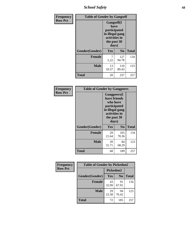*School Safety* **68**

| Frequency      | <b>Table of Gender by Gangself</b> |                                                                                                |              |              |
|----------------|------------------------------------|------------------------------------------------------------------------------------------------|--------------|--------------|
| <b>Row Pct</b> |                                    | Gangself(I<br>have<br>participated<br>in illegal gang<br>activities in<br>the past 30<br>days) |              |              |
|                | Gender(Gender)                     | Yes                                                                                            | No           | <b>Total</b> |
|                | <b>Female</b>                      | 7<br>5.22                                                                                      | 127<br>94.78 | 134          |
|                | <b>Male</b>                        | 13<br>10.57                                                                                    | 110<br>89.43 | 123          |
|                | <b>Total</b>                       | 20                                                                                             | 237          | 257          |

| Frequency      | <b>Table of Gender by Gangpeers</b> |                                                                                                                             |                |              |
|----------------|-------------------------------------|-----------------------------------------------------------------------------------------------------------------------------|----------------|--------------|
| <b>Row Pct</b> |                                     | <b>Gangpeers</b> (I<br>have friends<br>who have<br>participated<br>in illegal gang<br>activities in<br>the past 30<br>days) |                |              |
|                | Gender(Gender)                      | <b>Yes</b>                                                                                                                  | N <sub>0</sub> | <b>Total</b> |
|                | <b>Female</b>                       | 29<br>21.64                                                                                                                 | 105<br>78.36   | 134          |
|                | <b>Male</b>                         | 39<br>31.71                                                                                                                 | 84<br>68.29    | 123          |
|                | Total                               | 68                                                                                                                          | 189            | 257          |

| Frequency      | <b>Table of Gender by Pickedon2</b> |             |                |              |
|----------------|-------------------------------------|-------------|----------------|--------------|
| <b>Row Pct</b> |                                     | Pickedon2   |                |              |
|                | Gender(Gender)                      | Yes         | N <sub>0</sub> | <b>Total</b> |
|                | <b>Female</b>                       | 43<br>32.09 | 91<br>67.91    | 134          |
|                | <b>Male</b>                         | 29<br>23.58 | 94<br>76.42    | 123          |
|                | <b>Total</b>                        | 72          | 185            | 257          |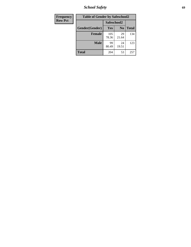*School Safety* **69**

| Frequency      | <b>Table of Gender by Safeschool2</b> |              |                |              |
|----------------|---------------------------------------|--------------|----------------|--------------|
| <b>Row Pct</b> |                                       | Safeschool2  |                |              |
|                | Gender(Gender)                        | Yes          | N <sub>0</sub> | <b>Total</b> |
|                | <b>Female</b>                         | 105<br>78.36 | 29<br>21.64    | 134          |
|                | <b>Male</b>                           | 99<br>80.49  | 24<br>19.51    | 123          |
|                | <b>Total</b>                          | 204          | 53             | 257          |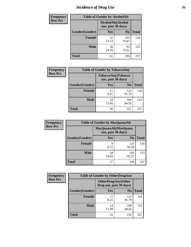# *Incidence of Drug Use* **70**

| <b>Frequency</b> | <b>Table of Gender by AlcoholAlt</b> |                                          |                |              |
|------------------|--------------------------------------|------------------------------------------|----------------|--------------|
| <b>Row Pct</b>   |                                      | AlcoholAlt(Alcohol<br>use, past 30 days) |                |              |
|                  | Gender(Gender)                       | Yes                                      | N <sub>0</sub> | <b>Total</b> |
|                  | <b>Female</b>                        | 31<br>23.13                              | 103<br>76.87   | 134          |
|                  | <b>Male</b>                          | 30<br>24.39                              | 93<br>75.61    | 123          |
|                  | <b>Total</b>                         | 61                                       | 196            | 257          |

| Frequency      | <b>Table of Gender by TobaccoAny</b> |                                          |                |              |
|----------------|--------------------------------------|------------------------------------------|----------------|--------------|
| <b>Row Pct</b> |                                      | TobaccoAny(Tobacco<br>use, past 30 days) |                |              |
|                | Gender(Gender)                       | Yes                                      | N <sub>0</sub> | <b>Total</b> |
|                | <b>Female</b>                        | 11<br>8.21                               | 123<br>91.79   | 134          |
|                | <b>Male</b>                          | 19<br>15.45                              | 104<br>84.55   | 123          |
|                | <b>Total</b>                         | 30                                       | 227            | 257          |

| <b>Frequency</b> |                | <b>Table of Gender by MarijuanaAlt</b> |                        |              |
|------------------|----------------|----------------------------------------|------------------------|--------------|
| <b>Row Pct</b>   |                | use, past 30 days)                     | MarijuanaAlt(Marijuana |              |
|                  | Gender(Gender) | <b>Yes</b>                             | N <sub>0</sub>         | <b>Total</b> |
|                  | <b>Female</b>  | 9<br>6.72                              | 125<br>93.28           | 134          |
|                  | <b>Male</b>    | 18<br>14.63                            | 105<br>85.37           | 123          |
|                  | <b>Total</b>   | 27                                     | 230                    | 257          |

| <b>Frequency</b> | <b>Table of Gender by OtherDrugAny</b> |                                                       |                |              |
|------------------|----------------------------------------|-------------------------------------------------------|----------------|--------------|
| <b>Row Pct</b>   |                                        | <b>OtherDrugAny</b> (Other<br>drug use, past 30 days) |                |              |
|                  | Gender(Gender)                         | <b>Yes</b>                                            | N <sub>0</sub> | <b>Total</b> |
|                  | <b>Female</b>                          | 11<br>8.21                                            | 123<br>91.79   | 134          |
|                  | <b>Male</b>                            | 14<br>11.38                                           | 109<br>88.62   | 123          |
|                  | <b>Total</b>                           | 25                                                    | 232            | 257          |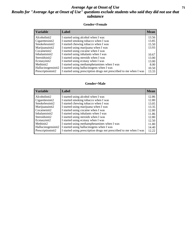#### *Average Age at Onset of Use* **71** *Results for "Average Age at Onset of Use" questions exclude students who said they did not use that substance*

#### **Gender=Female**

| <b>Variable</b>    | <b>Label</b>                                                       | <b>Mean</b> |
|--------------------|--------------------------------------------------------------------|-------------|
| Alcoholinit2       | I started using alcohol when I was                                 | 13.56       |
| Cigarettesinit2    | I started smoking tobacco when I was                               | 13.85       |
| Smokelessinit2     | I started chewing tobacco when I was                               | 15.50       |
| Marijuanainit2     | I started using marijuana when I was                               | 13.93       |
| Cocaineinit2       | I started using cocaine when I was                                 |             |
| Inhalantsinit2     | I started using inhalants when I was                               | 10.67       |
| Steroidsinit2      | I started using steroids when I was                                | 13.00       |
| Ecstasyinit2       | I started using ecstasy when I was                                 | 13.00       |
| Methinit2          | I started using methamphetamines when I was                        | 8.00        |
| Hallucinogensinit2 | I started using hallucinogens when I was                           | 10.50       |
| Prescription in t2 | I started using prescription drugs not prescribed to me when I was | 13.33       |

#### **Gender=Male**

| <b>Variable</b>                 | Label                                                              | <b>Mean</b> |
|---------------------------------|--------------------------------------------------------------------|-------------|
| Alcoholinit2                    | I started using alcohol when I was                                 | 12.86       |
| Cigarettesinit2                 | I started smoking tobacco when I was                               | 12.80       |
| Smokelessinit2                  | I started chewing tobacco when I was                               | 13.05       |
| Marijuanainit2                  | I started using marijuana when I was                               | 13.35       |
| Cocaineinit2                    | I started using cocaine when I was                                 | 12.80       |
| Inhalantsinit2                  | I started using inhalants when I was                               | 11.86       |
| Steroidsinit2                   | I started using steroids when I was                                | 12.80       |
| Ecstasyinit2                    | I started using ecstasy when I was                                 | 12.50       |
| Methinit2                       | I started using methamphetamines when I was                        | 11.80       |
| Hallucinogensinit2              | I started using hallucinogens when I was                           | 14.40       |
| Prescription in it <sub>2</sub> | I started using prescription drugs not prescribed to me when I was | 12.22       |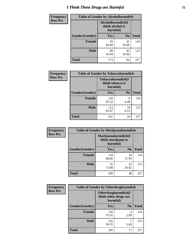# *I Think These Drugs are Harmful* **72**

| <b>Frequency</b> | <b>Table of Gender by Alcoholharmdich</b> |                                                   |                |              |
|------------------|-------------------------------------------|---------------------------------------------------|----------------|--------------|
| <b>Row Pct</b>   |                                           | Alcoholharmdich(I<br>think alcohol is<br>harmful) |                |              |
|                  | Gender(Gender)                            | <b>Yes</b>                                        | N <sub>0</sub> | <b>Total</b> |
|                  | <b>Female</b>                             | 93<br>69.40                                       | 41<br>30.60    | 134          |
|                  | <b>Male</b>                               | 80<br>65.04                                       | 43<br>34.96    | 123          |
|                  | <b>Total</b>                              | 173                                               | 84             | 257          |

| Frequency      | <b>Table of Gender by Tobaccoharmdich</b> |                              |                   |              |
|----------------|-------------------------------------------|------------------------------|-------------------|--------------|
| <b>Row Pct</b> |                                           | think tobacco is<br>harmful) | Tobaccoharmdich(I |              |
|                | Gender(Gender)                            | Yes                          | N <sub>0</sub>    | <b>Total</b> |
|                | <b>Female</b>                             | 128<br>95.52                 | 6<br>4.48         | 134          |
|                | <b>Male</b>                               | 113<br>91.87                 | 10<br>8.13        | 123          |
|                | <b>Total</b>                              | 241                          | 16                | 257          |

| Frequency      | <b>Table of Gender by Marijuanaharmdich</b> |                                                       |                |              |  |
|----------------|---------------------------------------------|-------------------------------------------------------|----------------|--------------|--|
| <b>Row Pct</b> |                                             | Marijuanaharmdich(I<br>think marijuana is<br>harmful) |                |              |  |
|                | Gender(Gender)                              | <b>Yes</b>                                            | N <sub>0</sub> | <b>Total</b> |  |
|                | <b>Female</b>                               | 118<br>88.06                                          | 16<br>11.94    | 134          |  |
|                | <b>Male</b>                                 | 91<br>73.98                                           | 32<br>26.02    | 123          |  |
|                | <b>Total</b>                                | 209                                                   | 48             | 257          |  |

| Frequency      | <b>Table of Gender by Otherdrugharmdich</b> |                                                          |                |              |  |
|----------------|---------------------------------------------|----------------------------------------------------------|----------------|--------------|--|
| <b>Row Pct</b> |                                             | Otherdrugharmdich(I<br>think other drugs are<br>harmful) |                |              |  |
|                | Gender(Gender)                              | <b>Yes</b>                                               | N <sub>0</sub> | <b>Total</b> |  |
|                | <b>Female</b>                               | 130<br>97.01                                             | 4<br>2.99      | 134          |  |
|                | <b>Male</b>                                 | 116<br>94.31                                             | 5.69           | 123          |  |
|                | <b>Total</b>                                | 246                                                      | 11             | 257          |  |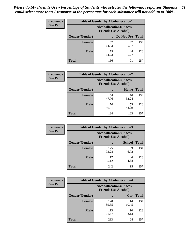| <b>Frequency</b> | <b>Table of Gender by Alcohollocation1</b> |             |                                                               |              |
|------------------|--------------------------------------------|-------------|---------------------------------------------------------------|--------------|
| <b>Row Pct</b>   |                                            |             | <b>Alcohollocation1(Places</b><br><b>Friends Use Alcohol)</b> |              |
|                  | Gender(Gender)                             |             | Do Not Use                                                    | <b>Total</b> |
|                  | <b>Female</b>                              | 87<br>64.93 | 47<br>35.07                                                   | 134          |
|                  | <b>Male</b>                                | 79<br>64.23 | 44<br>35.77                                                   | 123          |
|                  | <b>Total</b>                               | 166         | 91                                                            | 257          |

| <b>Frequency</b> | <b>Table of Gender by Alcohollocation2</b> |             |                                                               |              |
|------------------|--------------------------------------------|-------------|---------------------------------------------------------------|--------------|
| <b>Row Pct</b>   |                                            |             | <b>Alcohollocation2(Places</b><br><b>Friends Use Alcohol)</b> |              |
|                  | Gender(Gender)                             |             | Home                                                          | <b>Total</b> |
|                  | <b>Female</b>                              | 64<br>47.76 | 70<br>52.24                                                   | 134          |
|                  | <b>Male</b>                                | 70<br>56.91 | 53<br>43.09                                                   | 123          |
|                  | <b>Total</b>                               | 134         | 123                                                           | 257          |

| Frequency      | <b>Table of Gender by Alcohollocation3</b> |                                                               |               |              |
|----------------|--------------------------------------------|---------------------------------------------------------------|---------------|--------------|
| <b>Row Pct</b> |                                            | <b>Alcohollocation3(Places</b><br><b>Friends Use Alcohol)</b> |               |              |
|                | Gender(Gender)                             |                                                               | <b>School</b> | <b>Total</b> |
|                | <b>Female</b>                              | 125<br>93.28                                                  | Q<br>6.72     | 134          |
|                | <b>Male</b>                                | 117<br>95.12                                                  | 6<br>4.88     | 123          |
|                | <b>Total</b>                               | 242                                                           | 15            | 257          |

| Frequency      | <b>Table of Gender by Alcohollocation4</b> |                                                               |             |              |
|----------------|--------------------------------------------|---------------------------------------------------------------|-------------|--------------|
| <b>Row Pct</b> |                                            | <b>Alcohollocation4(Places</b><br><b>Friends Use Alcohol)</b> |             |              |
|                | <b>Gender</b> (Gender)                     |                                                               | Car         | <b>Total</b> |
|                | <b>Female</b>                              | 120<br>89.55                                                  | 14<br>10.45 | 134          |
|                | <b>Male</b>                                | 113<br>91.87                                                  | 10<br>8.13  | 123          |
|                | <b>Total</b>                               | 233                                                           | 24          | 257          |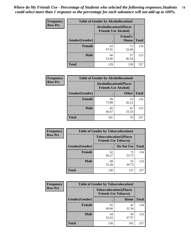| <b>Frequency</b> | <b>Table of Gender by Alcohollocation5</b> |             |                                                               |              |
|------------------|--------------------------------------------|-------------|---------------------------------------------------------------|--------------|
| <b>Row Pct</b>   |                                            |             | <b>Alcohollocation5(Places</b><br><b>Friends Use Alcohol)</b> |              |
|                  | Gender(Gender)                             | $\bullet$   | <b>Friend's</b><br><b>House</b>                               | <b>Total</b> |
|                  | <b>Female</b>                              | 63<br>47.01 | 71<br>52.99                                                   | 134          |
|                  | <b>Male</b>                                | 66<br>53.66 | 57<br>46.34                                                   | 123          |
|                  | <b>Total</b>                               | 129         | 128                                                           | 257          |

| Frequency      | <b>Table of Gender by Alcohollocation6</b> |                                                               |              |              |
|----------------|--------------------------------------------|---------------------------------------------------------------|--------------|--------------|
| <b>Row Pct</b> |                                            | <b>Alcohollocation6(Places</b><br><b>Friends Use Alcohol)</b> |              |              |
|                | <b>Gender</b> (Gender)                     |                                                               | <b>Other</b> | <b>Total</b> |
|                | Female                                     | 99<br>73.88                                                   | 35<br>26.12  | 134          |
|                | <b>Male</b>                                | 82<br>66.67                                                   | 41<br>33.33  | 123          |
|                | <b>Total</b>                               | 181                                                           | 76           | 257          |

| Frequency      | <b>Table of Gender by Tobaccolocation1</b> |                                                               |             |              |  |
|----------------|--------------------------------------------|---------------------------------------------------------------|-------------|--------------|--|
| <b>Row Pct</b> |                                            | <b>Tobaccolocation1(Places</b><br><b>Friends Use Tobacco)</b> |             |              |  |
|                | Gender(Gender)                             |                                                               | Do Not Use  | <b>Total</b> |  |
|                | Female                                     | 62<br>46.27                                                   | 72<br>53.73 | 134          |  |
|                | <b>Male</b>                                | 68<br>55.28                                                   | 55<br>44.72 | 123          |  |
|                | <b>Total</b>                               | 130                                                           | 127         | 257          |  |

| <b>Frequency</b> | <b>Table of Gender by Tobaccolocation2</b> |                                                               |             |              |
|------------------|--------------------------------------------|---------------------------------------------------------------|-------------|--------------|
| <b>Row Pct</b>   |                                            | <b>Tobaccolocation2(Places</b><br><b>Friends Use Tobacco)</b> |             |              |
|                  | Gender(Gender)                             |                                                               | Home        | <b>Total</b> |
|                  | Female                                     | 92<br>68.66                                                   | 42<br>31.34 | 134          |
|                  | <b>Male</b>                                | 64<br>52.03                                                   | 59<br>47.97 | 123          |
|                  | <b>Total</b>                               | 156                                                           | 101         | 257          |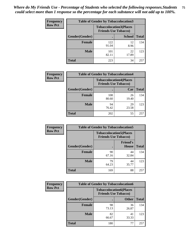| <b>Frequency</b> | <b>Table of Gender by Tobaccolocation3</b> |              |                                                               |              |
|------------------|--------------------------------------------|--------------|---------------------------------------------------------------|--------------|
| <b>Row Pct</b>   |                                            |              | <b>Tobaccolocation3(Places</b><br><b>Friends Use Tobacco)</b> |              |
|                  | Gender(Gender)                             |              | <b>School</b>                                                 | <b>Total</b> |
|                  | Female                                     | 122<br>91.04 | 12<br>8.96                                                    | 134          |
|                  | <b>Male</b>                                | 101<br>82.11 | 22<br>17.89                                                   | 123          |
|                  | Total                                      | 223          | 34                                                            | 257          |

| <b>Frequency</b> | <b>Table of Gender by Tobaccolocation4</b> |                                                               |             |              |
|------------------|--------------------------------------------|---------------------------------------------------------------|-------------|--------------|
| <b>Row Pct</b>   |                                            | <b>Tobaccolocation4(Places</b><br><b>Friends Use Tobacco)</b> |             |              |
|                  | Gender(Gender)                             |                                                               | Car         | <b>Total</b> |
|                  | <b>Female</b>                              | 108<br>80.60                                                  | 26<br>19.40 | 134          |
|                  | <b>Male</b>                                | 94<br>76.42                                                   | 29<br>23.58 | 123          |
|                  | <b>Total</b>                               | 202                                                           | 55          | 257          |

| <b>Frequency</b> | <b>Table of Gender by Tobaccolocation5</b> |                                                               |                          |              |
|------------------|--------------------------------------------|---------------------------------------------------------------|--------------------------|--------------|
| <b>Row Pct</b>   |                                            | <b>Tobaccolocation5(Places</b><br><b>Friends Use Tobacco)</b> |                          |              |
|                  | Gender(Gender)                             |                                                               | <b>Friend's</b><br>House | <b>Total</b> |
|                  | <b>Female</b>                              | 90<br>67.16                                                   | 44<br>32.84              | 134          |
|                  | <b>Male</b>                                | 79<br>64.23                                                   | 44<br>35.77              | 123          |
|                  | <b>Total</b>                               | 169                                                           | 88                       | 257          |

| <b>Frequency</b> | <b>Table of Gender by Tobaccolocation6</b> |                                                               |              |              |
|------------------|--------------------------------------------|---------------------------------------------------------------|--------------|--------------|
| <b>Row Pct</b>   |                                            | <b>Tobaccolocation6(Places</b><br><b>Friends Use Tobacco)</b> |              |              |
|                  | Gender(Gender)                             |                                                               | <b>Other</b> | <b>Total</b> |
|                  | Female                                     | 98<br>73.13                                                   | 36<br>26.87  | 134          |
|                  | <b>Male</b>                                | 82<br>66.67                                                   | 41<br>33.33  | 123          |
|                  | <b>Total</b>                               | 180                                                           | 77           | 257          |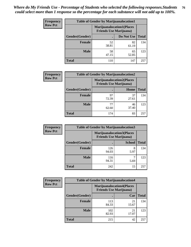| <b>Frequency</b> | <b>Table of Gender by Marijuanalocation1</b> |                                                                    |             |              |
|------------------|----------------------------------------------|--------------------------------------------------------------------|-------------|--------------|
| <b>Row Pct</b>   |                                              | <b>Marijuanalocation1(Places</b><br><b>Friends Use Marijuana</b> ) |             |              |
|                  | Gender(Gender)                               |                                                                    | Do Not Use  | <b>Total</b> |
|                  | <b>Female</b>                                | 52<br>38.81                                                        | 82<br>61.19 | 134          |
|                  | <b>Male</b>                                  | 58<br>47.15                                                        | 65<br>52.85 | 123          |
|                  | <b>Total</b>                                 | 110                                                                | 147         | 257          |

| <b>Frequency</b> | <b>Table of Gender by Marijuanalocation2</b> |                                                                    |             |              |
|------------------|----------------------------------------------|--------------------------------------------------------------------|-------------|--------------|
| <b>Row Pct</b>   |                                              | <b>Marijuanalocation2(Places</b><br><b>Friends Use Marijuana</b> ) |             |              |
|                  | Gender(Gender)                               |                                                                    | Home        | <b>Total</b> |
|                  | Female                                       | 97<br>72.39                                                        | 37<br>27.61 | 134          |
|                  | <b>Male</b>                                  | 77<br>62.60                                                        | 46<br>37.40 | 123          |
|                  | <b>Total</b>                                 | 174                                                                | 83          | 257          |

| Frequency      | <b>Table of Gender by Marijuanalocation3</b> |                                                                    |               |              |
|----------------|----------------------------------------------|--------------------------------------------------------------------|---------------|--------------|
| <b>Row Pct</b> |                                              | <b>Marijuanalocation3(Places</b><br><b>Friends Use Marijuana</b> ) |               |              |
|                | Gender(Gender)                               |                                                                    | <b>School</b> | <b>Total</b> |
|                | Female                                       | 126<br>94.03                                                       | 8<br>5.97     | 134          |
|                | <b>Male</b>                                  | 116<br>94.31                                                       | 5.69          | 123          |
|                | <b>Total</b>                                 | 242                                                                | 15            | 257          |

| <b>Frequency</b> | <b>Table of Gender by Marijuanalocation4</b> |                                |                                  |              |
|------------------|----------------------------------------------|--------------------------------|----------------------------------|--------------|
| <b>Row Pct</b>   |                                              | <b>Friends Use Marijuana</b> ) | <b>Marijuanalocation4(Places</b> |              |
|                  | Gender(Gender)                               |                                | Car                              | <b>Total</b> |
|                  | <b>Female</b>                                | 113<br>84.33                   | 21<br>15.67                      | 134          |
|                  | <b>Male</b>                                  | 102<br>82.93                   | 21<br>17.07                      | 123          |
|                  | <b>Total</b>                                 | 215                            | 42                               | 257          |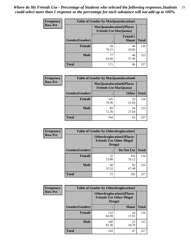| <b>Frequency</b> | <b>Table of Gender by Marijuanalocation5</b> |                                                                    |                                 |              |
|------------------|----------------------------------------------|--------------------------------------------------------------------|---------------------------------|--------------|
| <b>Row Pct</b>   |                                              | <b>Marijuanalocation5(Places</b><br><b>Friends Use Marijuana</b> ) |                                 |              |
|                  | Gender(Gender)                               |                                                                    | <b>Friend's</b><br><b>House</b> | <b>Total</b> |
|                  | <b>Female</b>                                | 94<br>70.15                                                        | 40<br>29.85                     | 134          |
|                  | <b>Male</b>                                  | 77<br>62.60                                                        | 46<br>37.40                     | 123          |
|                  | <b>Total</b>                                 | 171                                                                | 86                              | 257          |

| <b>Frequency</b> | <b>Table of Gender by Marijuanalocation6</b> |                                                                    |              |              |  |
|------------------|----------------------------------------------|--------------------------------------------------------------------|--------------|--------------|--|
| <b>Row Pct</b>   |                                              | <b>Marijuanalocation6(Places</b><br><b>Friends Use Marijuana</b> ) |              |              |  |
|                  | Gender(Gender)                               |                                                                    | <b>Other</b> | <b>Total</b> |  |
|                  | <b>Female</b>                                | 105<br>78.36                                                       | 29<br>21.64  | 134          |  |
|                  | <b>Male</b>                                  | 89<br>72.36                                                        | 34<br>27.64  | 123          |  |
|                  | <b>Total</b>                                 | 194                                                                | 63           | 257          |  |

| <b>Frequency</b> | <b>Table of Gender by Otherdruglocation1</b> |                                                                                |              |              |
|------------------|----------------------------------------------|--------------------------------------------------------------------------------|--------------|--------------|
| <b>Row Pct</b>   |                                              | <b>Otherdruglocation1(Places</b><br><b>Friends Use Other Illegal</b><br>Drugs) |              |              |
|                  | Gender(Gender)                               |                                                                                | Do Not Use   | <b>Total</b> |
|                  | <b>Female</b>                                | 32<br>23.88                                                                    | 102<br>76.12 | 134          |
|                  | <b>Male</b>                                  | 40<br>32.52                                                                    | 83<br>67.48  | 123          |
|                  | <b>Total</b>                                 | 72                                                                             | 185          | 257          |

| <b>Frequency</b> | <b>Table of Gender by Otherdruglocation2</b> |                                            |                                  |              |
|------------------|----------------------------------------------|--------------------------------------------|----------------------------------|--------------|
| <b>Row Pct</b>   |                                              | <b>Friends Use Other Illegal</b><br>Drugs) | <b>Otherdruglocation2(Places</b> |              |
|                  | Gender(Gender)                               |                                            | Home                             | <b>Total</b> |
|                  | <b>Female</b>                                | 110<br>82.09                               | 24<br>17.91                      | 134          |
|                  | <b>Male</b>                                  | 100<br>81.30                               | 23<br>18.70                      | 123          |
|                  | <b>Total</b>                                 | 210                                        | 47                               | 257          |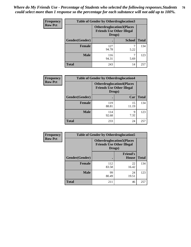| <b>Frequency</b> | <b>Table of Gender by Otherdruglocation3</b> |                                                                                |               |              |
|------------------|----------------------------------------------|--------------------------------------------------------------------------------|---------------|--------------|
| <b>Row Pct</b>   |                                              | <b>Otherdruglocation3(Places</b><br><b>Friends Use Other Illegal</b><br>Drugs) |               |              |
|                  | Gender(Gender)                               |                                                                                | <b>School</b> | <b>Total</b> |
|                  | <b>Female</b>                                | 127<br>94.78                                                                   | 5.22          | 134          |
|                  | <b>Male</b>                                  | 116<br>94.31                                                                   | 5.69          | 123          |
|                  | <b>Total</b>                                 | 243                                                                            | 14            | 257          |

| Frequency      | <b>Table of Gender by Otherdruglocation4</b> |                                                                                |             |              |
|----------------|----------------------------------------------|--------------------------------------------------------------------------------|-------------|--------------|
| <b>Row Pct</b> |                                              | <b>Otherdruglocation4(Places</b><br><b>Friends Use Other Illegal</b><br>Drugs) |             |              |
|                | Gender(Gender)                               |                                                                                | Car         | <b>Total</b> |
|                | <b>Female</b>                                | 119<br>88.81                                                                   | 15<br>11.19 | 134          |
|                | <b>Male</b>                                  | 114<br>92.68                                                                   | 9<br>7.32   | 123          |
|                | <b>Total</b>                                 | 233                                                                            | 24          | 257          |

| <b>Frequency</b> |                | <b>Table of Gender by Otherdruglocation5</b> |                                                                      |              |
|------------------|----------------|----------------------------------------------|----------------------------------------------------------------------|--------------|
| <b>Row Pct</b>   |                | Drugs)                                       | <b>Otherdruglocation5(Places</b><br><b>Friends Use Other Illegal</b> |              |
|                  | Gender(Gender) |                                              | <b>Friend's</b><br><b>House</b>                                      | <b>Total</b> |
|                  | <b>Female</b>  | 112<br>83.58                                 | 22<br>16.42                                                          | 134          |
|                  | <b>Male</b>    | 99<br>80.49                                  | 24<br>19.51                                                          | 123          |
|                  | <b>Total</b>   | 211                                          | 46                                                                   | 257          |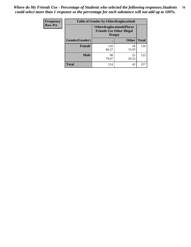| Frequency      | <b>Table of Gender by Otherdruglocation6</b> |                                                                                |              |              |
|----------------|----------------------------------------------|--------------------------------------------------------------------------------|--------------|--------------|
| <b>Row Pct</b> |                                              | <b>Otherdruglocation6(Places</b><br><b>Friends Use Other Illegal</b><br>Drugs) |              |              |
|                | Gender(Gender)                               |                                                                                | <b>Other</b> | <b>Total</b> |
|                | Female                                       | 116<br>86.57                                                                   | 18<br>13.43  | 134          |
|                | <b>Male</b>                                  | 98<br>79.67                                                                    | 25<br>20.33  | 123          |
|                | <b>Total</b>                                 | 214                                                                            | 43           | 257          |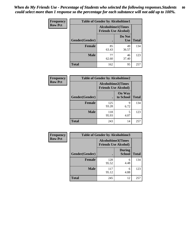| <b>Frequency</b> | <b>Table of Gender by Alcoholtime1</b> |                                                          |                      |              |
|------------------|----------------------------------------|----------------------------------------------------------|----------------------|--------------|
| <b>Row Pct</b>   |                                        | <b>Alcoholtime1(Times</b><br><b>Friends Use Alcohol)</b> |                      |              |
|                  | Gender(Gender)                         | $\bullet$                                                | Do Not<br><b>Use</b> | <b>Total</b> |
|                  | <b>Female</b>                          | 85<br>63.43                                              | 49<br>36.57          | 134          |
|                  | <b>Male</b>                            | 77<br>62.60                                              | 46<br>37.40          | 123          |
|                  | <b>Total</b>                           | 162                                                      | 95                   | 257          |

| Frequency      | <b>Table of Gender by Alcoholtime2</b> |                                                          |                            |              |
|----------------|----------------------------------------|----------------------------------------------------------|----------------------------|--------------|
| <b>Row Pct</b> |                                        | <b>Alcoholtime2(Times</b><br><b>Friends Use Alcohol)</b> |                            |              |
|                | Gender(Gender)                         |                                                          | <b>On Way</b><br>to School | <b>Total</b> |
|                | <b>Female</b>                          | 125<br>93.28                                             | 9<br>6.72                  | 134          |
|                | <b>Male</b>                            | 118<br>95.93                                             | 5<br>4.07                  | 123          |
|                | <b>Total</b>                           | 243                                                      | 14                         | 257          |

| Frequency      | <b>Table of Gender by Alcoholtime3</b> |                                                          |                                |              |
|----------------|----------------------------------------|----------------------------------------------------------|--------------------------------|--------------|
| <b>Row Pct</b> |                                        | <b>Alcoholtime3(Times</b><br><b>Friends Use Alcohol)</b> |                                |              |
|                | Gender(Gender)                         |                                                          | <b>During</b><br><b>School</b> | <b>Total</b> |
|                | <b>Female</b>                          | 128<br>95.52                                             | 6<br>4.48                      | 134          |
|                | <b>Male</b>                            | 117<br>95.12                                             | 6<br>4.88                      | 123          |
|                | <b>Total</b>                           | 245                                                      | 12                             | 257          |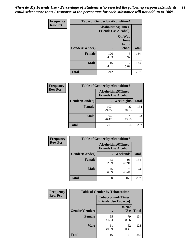*When do My Friends Use - Percentage of Students who selected the following responses.Students could select more than 1 response so the percentage for each substance will not add up to 100%.* **81**

| <b>Frequency</b> | <b>Table of Gender by Alcoholtime4</b> |                                                          |                                                |              |
|------------------|----------------------------------------|----------------------------------------------------------|------------------------------------------------|--------------|
| <b>Row Pct</b>   |                                        | <b>Alcoholtime4(Times</b><br><b>Friends Use Alcohol)</b> |                                                |              |
|                  | Gender(Gender)                         |                                                          | <b>On Way</b><br>Home<br>From<br><b>School</b> | <b>Total</b> |
|                  | <b>Female</b>                          | 126<br>94.03                                             | 8<br>5.97                                      | 134          |
|                  | <b>Male</b>                            | 116<br>94.31                                             | 7<br>5.69                                      | 123          |
|                  | <b>Total</b>                           | 242                                                      | 15                                             | 257          |

| <b>Frequency</b> | <b>Table of Gender by Alcoholtime5</b> |                                                           |                   |              |
|------------------|----------------------------------------|-----------------------------------------------------------|-------------------|--------------|
| <b>Row Pct</b>   |                                        | <b>Alcoholtime5</b> (Times<br><b>Friends Use Alcohol)</b> |                   |              |
|                  | Gender(Gender)                         |                                                           | <b>Weeknights</b> | <b>Total</b> |
|                  | <b>Female</b>                          | 107<br>79.85                                              | 27<br>20.15       | 134          |
|                  | <b>Male</b>                            | 94<br>76.42                                               | 29<br>23.58       | 123          |
|                  | <b>Total</b>                           | 201                                                       | 56                | 257          |

| <b>Frequency</b> | <b>Table of Gender by Alcoholtime6</b> |             |                                                          |              |
|------------------|----------------------------------------|-------------|----------------------------------------------------------|--------------|
| <b>Row Pct</b>   |                                        |             | <b>Alcoholtime6(Times</b><br><b>Friends Use Alcohol)</b> |              |
|                  | Gender(Gender)                         |             | <b>Weekends</b>                                          | <b>Total</b> |
|                  | Female                                 | 43<br>32.09 | 91<br>67.91                                              | 134          |
|                  | <b>Male</b>                            | 45<br>36.59 | 78<br>63.41                                              | 123          |
|                  | <b>Total</b>                           | 88          | 169                                                      | 257          |

| <b>Frequency</b> | <b>Table of Gender by Tobaccotime1</b> |                                                          |                      |              |
|------------------|----------------------------------------|----------------------------------------------------------|----------------------|--------------|
| <b>Row Pct</b>   |                                        | <b>Tobaccotime1(Times</b><br><b>Friends Use Tobacco)</b> |                      |              |
|                  | Gender(Gender)                         |                                                          | Do Not<br><b>Use</b> | <b>Total</b> |
|                  | <b>Female</b>                          | 55<br>41.04                                              | 79<br>58.96          | 134          |
|                  | <b>Male</b>                            | 61<br>49.59                                              | 62<br>50.41          | 123          |
|                  | <b>Total</b>                           | 116                                                      | 141                  | 257          |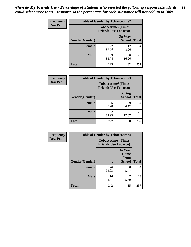*When do My Friends Use - Percentage of Students who selected the following responses.Students could select more than 1 response so the percentage for each substance will not add up to 100%.* **82**

| <b>Frequency</b> | <b>Table of Gender by Tobaccotime2</b> |                                                          |                            |              |
|------------------|----------------------------------------|----------------------------------------------------------|----------------------------|--------------|
| <b>Row Pct</b>   |                                        | <b>Tobaccotime2(Times</b><br><b>Friends Use Tobacco)</b> |                            |              |
|                  | Gender(Gender)                         | $\bullet$                                                | <b>On Way</b><br>to School | <b>Total</b> |
|                  | Female                                 | 122<br>91.04                                             | 12<br>8.96                 | 134          |
|                  | <b>Male</b>                            | 103<br>83.74                                             | 20<br>16.26                | 123          |
|                  | <b>Total</b>                           | 225                                                      | 32                         | 257          |

| Frequency      | <b>Table of Gender by Tobaccotime3</b> |                                                          |                                |              |
|----------------|----------------------------------------|----------------------------------------------------------|--------------------------------|--------------|
| <b>Row Pct</b> |                                        | <b>Tobaccotime3(Times</b><br><b>Friends Use Tobacco)</b> |                                |              |
|                | Gender(Gender)                         |                                                          | <b>During</b><br><b>School</b> | <b>Total</b> |
|                | <b>Female</b>                          | 125<br>93.28                                             | 9<br>6.72                      | 134          |
|                | <b>Male</b>                            | 102<br>82.93                                             | 21<br>17.07                    | 123          |
|                | <b>Total</b>                           | 227                                                      | 30                             | 257          |

| <b>Frequency</b> | <b>Table of Gender by Tobaccotime4</b> |                                                          |                                                |              |
|------------------|----------------------------------------|----------------------------------------------------------|------------------------------------------------|--------------|
| <b>Row Pct</b>   |                                        | <b>Tobaccotime4(Times</b><br><b>Friends Use Tobacco)</b> |                                                |              |
|                  | Gender(Gender)                         |                                                          | On Way<br>Home<br><b>From</b><br><b>School</b> | <b>Total</b> |
|                  | <b>Female</b>                          | 126<br>94.03                                             | 8<br>5.97                                      | 134          |
|                  | <b>Male</b>                            | 116<br>94.31                                             | 7<br>5.69                                      | 123          |
|                  | <b>Total</b>                           | 242                                                      | 15                                             | 257          |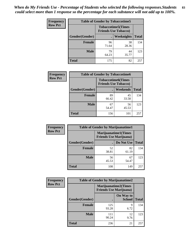| <b>Frequency</b> | <b>Table of Gender by Tobaccotime5</b> |             |                                                           |              |
|------------------|----------------------------------------|-------------|-----------------------------------------------------------|--------------|
| <b>Row Pct</b>   |                                        |             | <b>Tobaccotime5</b> (Times<br><b>Friends Use Tobacco)</b> |              |
|                  | Gender(Gender)                         |             | Weeknights                                                | <b>Total</b> |
|                  | <b>Female</b>                          | 96<br>71.64 | 38<br>28.36                                               | 134          |
|                  | <b>Male</b>                            | 79<br>64.23 | 44<br>35.77                                               | 123          |
|                  | <b>Total</b>                           | 175         | 82                                                        | 257          |

| <b>Frequency</b> | <b>Table of Gender by Tobaccotime6</b> |                                                          |                 |              |
|------------------|----------------------------------------|----------------------------------------------------------|-----------------|--------------|
| <b>Row Pct</b>   |                                        | <b>Tobaccotime6(Times</b><br><b>Friends Use Tobacco)</b> |                 |              |
|                  | Gender(Gender)                         |                                                          | <b>Weekends</b> | <b>Total</b> |
|                  | Female                                 | 89<br>66.42                                              | 45<br>33.58     | 134          |
|                  | <b>Male</b>                            | 67<br>54.47                                              | 56<br>45.53     | 123          |
|                  | <b>Total</b>                           | 156                                                      | 101             | 257          |

| <b>Frequency</b> | <b>Table of Gender by Marijuanatime1</b> |                                |                             |              |
|------------------|------------------------------------------|--------------------------------|-----------------------------|--------------|
| <b>Row Pct</b>   |                                          | <b>Friends Use Marijuana</b> ) | <b>Marijuanatime1(Times</b> |              |
|                  | Gender(Gender)                           |                                | Do Not Use                  | <b>Total</b> |
|                  | <b>Female</b>                            | 52<br>38.81                    | 82<br>61.19                 | 134          |
|                  | <b>Male</b>                              | 56<br>45.53                    | 67<br>54.47                 | 123          |
|                  | <b>Total</b>                             | 108                            | 149                         | 257          |

| <b>Frequency</b> | <b>Table of Gender by Marijuanatime2</b> |                                |                             |              |
|------------------|------------------------------------------|--------------------------------|-----------------------------|--------------|
| <b>Row Pct</b>   |                                          | <b>Friends Use Marijuana</b> ) | <b>Marijuanatime2(Times</b> |              |
|                  | Gender(Gender)                           |                                | On Way to<br><b>School</b>  | <b>Total</b> |
|                  | <b>Female</b>                            | 125<br>93.28                   | 9<br>6.72                   | 134          |
|                  | <b>Male</b>                              | 111<br>90.24                   | 12<br>9.76                  | 123          |
|                  | <b>Total</b>                             | 236                            | 21                          | 257          |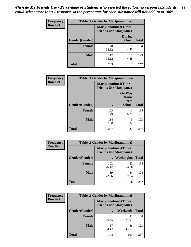*When do My Friends Use - Percentage of Students who selected the following responses.Students could select more than 1 response so the percentage for each substance will not add up to 100%.* **84**

| <b>Frequency</b> | Table of Gender by Marijuanatime3 |                                                        |                                |              |
|------------------|-----------------------------------|--------------------------------------------------------|--------------------------------|--------------|
| <b>Row Pct</b>   |                                   | Marijuanatime3(Times<br><b>Friends Use Marijuana</b> ) |                                |              |
|                  | Gender(Gender)                    |                                                        | <b>During</b><br><b>School</b> | <b>Total</b> |
|                  | <b>Female</b>                     | 128<br>95.52                                           | 6<br>4.48                      | 134          |
|                  | <b>Male</b>                       | 117<br>95.12                                           | 6<br>4.88                      | 123          |
|                  | <b>Total</b>                      | 245                                                    | 12                             | 257          |

| Frequency      | <b>Table of Gender by Marijuanatime4</b> |                                |                                                       |              |
|----------------|------------------------------------------|--------------------------------|-------------------------------------------------------|--------------|
| <b>Row Pct</b> |                                          | <b>Friends Use Marijuana</b> ) | <b>Marijuanatime4</b> (Times                          |              |
|                | <b>Gender</b> (Gender)                   |                                | <b>On Way</b><br>Home<br><b>From</b><br><b>School</b> | <b>Total</b> |
|                | <b>Female</b>                            | 123<br>91.79                   | 11<br>8.21                                            | 134          |
|                | <b>Male</b>                              | 114<br>92.68                   | 9<br>7.32                                             | 123          |
|                | <b>Total</b>                             | 237                            | 20                                                    | 257          |

| Frequency      | <b>Table of Gender by Marijuanatime5</b> |                                                                |             |              |
|----------------|------------------------------------------|----------------------------------------------------------------|-------------|--------------|
| <b>Row Pct</b> |                                          | <b>Marijuanatime5</b> (Times<br><b>Friends Use Marijuana</b> ) |             |              |
|                | Gender(Gender)                           |                                                                | Weeknights  | <b>Total</b> |
|                | <b>Female</b>                            | 102<br>76.12                                                   | 32<br>23.88 | 134          |
|                | <b>Male</b>                              | 89<br>72.36                                                    | 34<br>27.64 | 123          |
|                | <b>Total</b>                             | 191                                                            | 66          | 257          |

| <b>Frequency</b> | <b>Table of Gender by Marijuanatime6</b> |                                                               |             |              |  |
|------------------|------------------------------------------|---------------------------------------------------------------|-------------|--------------|--|
| <b>Row Pct</b>   |                                          | <b>Marijuanatime6(Times</b><br><b>Friends Use Marijuana</b> ) |             |              |  |
|                  | Gender(Gender)                           |                                                               | Weekends    | <b>Total</b> |  |
|                  | <b>Female</b>                            | 81<br>60.45                                                   | 53<br>39.55 | 134          |  |
|                  | <b>Male</b>                              | 67<br>54.47                                                   | 56<br>45.53 | 123          |  |
|                  | <b>Total</b>                             | 148                                                           | 109         | 257          |  |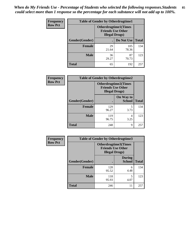*When do My Friends Use - Percentage of Students who selected the following responses.Students could select more than 1 response so the percentage for each substance will not add up to 100%.* **85**

| <b>Frequency</b> | <b>Table of Gender by Otherdrugtime1</b> |                                                    |                             |     |
|------------------|------------------------------------------|----------------------------------------------------|-----------------------------|-----|
| <b>Row Pct</b>   |                                          | <b>Friends Use Other</b><br><b>Illegal Drugs</b> ) | <b>Otherdrugtime1(Times</b> |     |
|                  | Gender(Gender)                           |                                                    | Do Not Use   Total          |     |
|                  | <b>Female</b>                            | 29<br>21.64                                        | 105<br>78.36                | 134 |
|                  | <b>Male</b>                              | 36<br>29.27                                        | 87<br>70.73                 | 123 |
|                  | <b>Total</b>                             | 65                                                 | 192                         | 257 |

| Frequency      |                        | <b>Table of Gender by Otherdrugtime2</b>                                          |                            |              |
|----------------|------------------------|-----------------------------------------------------------------------------------|----------------------------|--------------|
| <b>Row Pct</b> |                        | <b>Otherdrugtime2(Times</b><br><b>Friends Use Other</b><br><b>Illegal Drugs</b> ) |                            |              |
|                | <b>Gender</b> (Gender) |                                                                                   | On Way to<br><b>School</b> | <b>Total</b> |
|                | <b>Female</b>          | 129<br>96.27                                                                      | 5<br>3.73                  | 134          |
|                | <b>Male</b>            | 119<br>96.75                                                                      | 4<br>3.25                  | 123          |
|                | <b>Total</b>           | 248                                                                               | 9                          | 257          |

| Frequency      | <b>Table of Gender by Otherdrugtime3</b> |                        |                                                  |              |
|----------------|------------------------------------------|------------------------|--------------------------------------------------|--------------|
| <b>Row Pct</b> |                                          | <b>Illegal Drugs</b> ) | Otherdrugtime3(Times<br><b>Friends Use Other</b> |              |
|                | Gender(Gender)                           |                        | <b>During</b><br><b>School</b>                   | <b>Total</b> |
|                | <b>Female</b>                            | 128<br>95.52           | 6<br>4.48                                        | 134          |
|                | <b>Male</b>                              | 118<br>95.93           | 5<br>4.07                                        | 123          |
|                | <b>Total</b>                             | 246                    | 11                                               | 257          |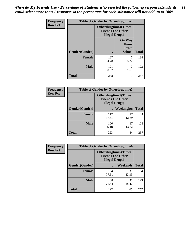*When do My Friends Use - Percentage of Students who selected the following responses.Students could select more than 1 response so the percentage for each substance will not add up to 100%.* **86**

| <b>Frequency</b> | <b>Table of Gender by Otherdrugtime4</b> |                                                    |                                                       |              |
|------------------|------------------------------------------|----------------------------------------------------|-------------------------------------------------------|--------------|
| <b>Row Pct</b>   |                                          | <b>Friends Use Other</b><br><b>Illegal Drugs</b> ) | <b>Otherdrugtime4(Times</b>                           |              |
|                  | Gender(Gender)                           |                                                    | <b>On Way</b><br>Home<br><b>From</b><br><b>School</b> | <b>Total</b> |
|                  | Female                                   | 127<br>94.78                                       | 5.22                                                  | 134          |
|                  | <b>Male</b>                              | 121<br>98.37                                       | $\mathfrak{D}$<br>1.63                                | 123          |
|                  | <b>Total</b>                             | 248                                                | 9                                                     | 257          |

| Frequency      | <b>Table of Gender by Otherdrugtime5</b> |                                                                                    |             |              |
|----------------|------------------------------------------|------------------------------------------------------------------------------------|-------------|--------------|
| <b>Row Pct</b> |                                          | <b>Otherdrugtime5</b> (Times<br><b>Friends Use Other</b><br><b>Illegal Drugs</b> ) |             |              |
|                | Gender(Gender)                           |                                                                                    | Weeknights  | <b>Total</b> |
|                | <b>Female</b>                            | 117<br>87.31                                                                       | 17<br>12.69 | 134          |
|                | <b>Male</b>                              | 106<br>86.18                                                                       | 17<br>13.82 | 123          |
|                | <b>Total</b>                             | 223                                                                                | 34          | 257          |

| <b>Frequency</b> | <b>Table of Gender by Otherdrugtime6</b> |                                                                                   |             |              |  |
|------------------|------------------------------------------|-----------------------------------------------------------------------------------|-------------|--------------|--|
| <b>Row Pct</b>   |                                          | <b>Otherdrugtime6(Times</b><br><b>Friends Use Other</b><br><b>Illegal Drugs</b> ) |             |              |  |
|                  | Gender(Gender)                           |                                                                                   | Weekends    | <b>Total</b> |  |
|                  | <b>Female</b>                            | 104<br>77.61                                                                      | 30<br>22.39 | 134          |  |
|                  | <b>Male</b>                              | 88<br>71.54                                                                       | 35<br>28.46 | 123          |  |
|                  | <b>Total</b>                             | 192                                                                               | 65          | 257          |  |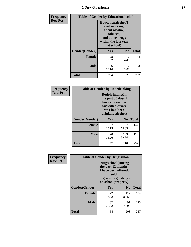# *Other Questions* **87**

| <b>Frequency</b> | <b>Table of Gender by Educationalcohol</b> |                                                                                                                                       |             |              |
|------------------|--------------------------------------------|---------------------------------------------------------------------------------------------------------------------------------------|-------------|--------------|
| <b>Row Pct</b>   |                                            | <b>Educationalcohol</b> (I<br>have been taught<br>about alcohol,<br>tobacco,<br>and other drugs<br>within the last year<br>at school) |             |              |
|                  | Gender(Gender)                             | <b>Yes</b>                                                                                                                            | No          | <b>Total</b> |
|                  | <b>Female</b>                              | 128<br>95.52                                                                                                                          | 6<br>4.48   | 134          |
|                  | <b>Male</b>                                | 106<br>86.18                                                                                                                          | 17<br>13.82 | 123          |
|                  | <b>Total</b>                               | 234                                                                                                                                   | 23          | 257          |

| Frequency | <b>Table of Gender by Rodedrinking</b> |             |                                                                                                                     |              |  |
|-----------|----------------------------------------|-------------|---------------------------------------------------------------------------------------------------------------------|--------------|--|
|           | <b>Row Pct</b>                         |             | Rodedrinking(In<br>the past 30 days I<br>have ridden in a<br>car with a driver<br>who had been<br>drinking alcohol) |              |  |
|           | Gender(Gender)                         | Yes         | N <sub>0</sub>                                                                                                      | <b>Total</b> |  |
|           | <b>Female</b>                          | 27<br>20.15 | 107<br>79.85                                                                                                        | 134          |  |
|           | <b>Male</b>                            | 20<br>16.26 | 103<br>83.74                                                                                                        | 123          |  |
|           | <b>Total</b>                           | 47          | 210                                                                                                                 | 257          |  |

| Frequency      | <b>Table of Gender by Drugsschool</b> |                                                                                                                                     |                |              |  |
|----------------|---------------------------------------|-------------------------------------------------------------------------------------------------------------------------------------|----------------|--------------|--|
| <b>Row Pct</b> |                                       | <b>Drugsschool</b> (During<br>the past 12 months,<br>I have been offered,<br>sold,<br>or given illegal drugs<br>on school property) |                |              |  |
|                | Gender(Gender)                        | <b>Yes</b>                                                                                                                          | N <sub>0</sub> | <b>Total</b> |  |
|                | <b>Female</b>                         | 22<br>16.42                                                                                                                         | 112<br>83.58   | 134          |  |
|                | <b>Male</b>                           | 32<br>26.02                                                                                                                         | 91<br>73.98    | 123          |  |
|                | <b>Total</b>                          | 54                                                                                                                                  | 203            | 257          |  |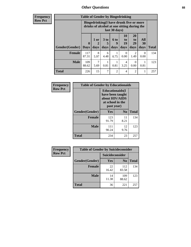# *Other Questions* **88**

**Frequency Row Pct**

| <b>Table of Gender by Bingedrinking</b> |                         |                                                                                                         |                   |                   |                               |                               |                   |              |
|-----------------------------------------|-------------------------|---------------------------------------------------------------------------------------------------------|-------------------|-------------------|-------------------------------|-------------------------------|-------------------|--------------|
|                                         |                         | Bingedrinking(I have drunk five or more<br>drinks of alcohol at one sitting during the<br>last 30 days) |                   |                   |                               |                               |                   |              |
| <b>Gender</b> (Gender)                  | $\bf{0}$<br><b>Days</b> | 1 or<br>days                                                                                            | 3 to<br>5<br>days | 6 to<br>9<br>days | <b>10</b><br>to<br>19<br>days | <b>20</b><br>to<br>29<br>days | All<br>30<br>days | <b>Total</b> |
| <b>Female</b>                           | 117<br>87.31            | 8<br>5.97                                                                                               | 6<br>4.48         | 0.75              | $\Omega$<br>0.00              | 2<br>1.49                     | $\Omega$<br>0.00  | 134          |
| <b>Male</b>                             | 109<br>88.62            | 5.69                                                                                                    | 0.81              | 0.81              | 4<br>3.25                     | $\Omega$<br>0.00              | 0.81              | 123          |
| <b>Total</b>                            |                         |                                                                                                         |                   |                   |                               |                               |                   |              |

| Frequency      | <b>Table of Gender by Educationaids</b> |                                                                                                 |            |              |  |
|----------------|-----------------------------------------|-------------------------------------------------------------------------------------------------|------------|--------------|--|
| <b>Row Pct</b> |                                         | <b>Educationaids</b> (I<br>have been taught<br>about HIV/AIDS<br>at school in the<br>past year) |            |              |  |
|                | Gender(Gender)                          | Yes                                                                                             | $\bf No$   | <b>Total</b> |  |
|                | <b>Female</b>                           | 123<br>91.79                                                                                    | 11<br>8.21 | 134          |  |
|                | <b>Male</b>                             | 111<br>90.24                                                                                    | 12<br>9.76 | 123          |  |
|                | <b>Total</b>                            | 234                                                                                             | 23         | 257          |  |

| <b>Frequency</b> | <b>Table of Gender by Suicideconsider</b> |                 |                |              |  |
|------------------|-------------------------------------------|-----------------|----------------|--------------|--|
| <b>Row Pct</b>   |                                           | Suicideconsider |                |              |  |
|                  | Gender(Gender)                            | Yes             | N <sub>0</sub> | <b>Total</b> |  |
|                  | <b>Female</b>                             | 22<br>16.42     | 112<br>83.58   | 134          |  |
|                  | <b>Male</b>                               | 14<br>11.38     | 109<br>88.62   | 123          |  |
|                  | <b>Total</b>                              | 36              | 221            | 257          |  |